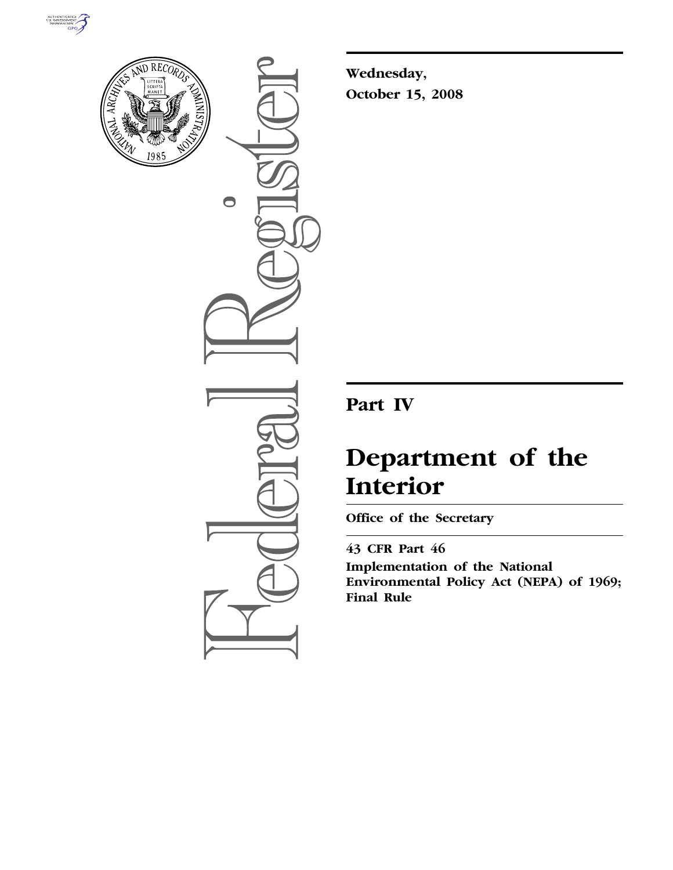



 $\bigcirc$ 

**Wednesday, October 15, 2008** 

## **Part IV**

# **Department of the Interior**

**Office of the Secretary** 

**43 CFR Part 46 Implementation of the National Environmental Policy Act (NEPA) of 1969; Final Rule**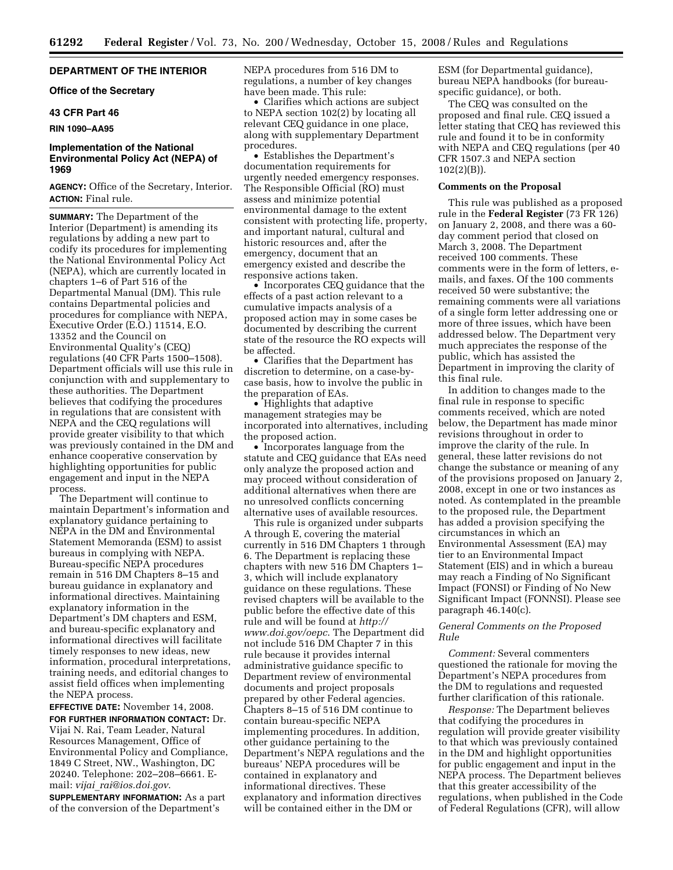#### **DEPARTMENT OF THE INTERIOR**

**Office of the Secretary** 

#### **43 CFR Part 46**

#### **RIN 1090–AA95**

#### **Implementation of the National Environmental Policy Act (NEPA) of 1969**

**AGENCY:** Office of the Secretary, Interior. **ACTION:** Final rule.

**SUMMARY:** The Department of the Interior (Department) is amending its regulations by adding a new part to codify its procedures for implementing the National Environmental Policy Act (NEPA), which are currently located in chapters 1–6 of Part 516 of the Departmental Manual (DM). This rule contains Departmental policies and procedures for compliance with NEPA, Executive Order (E.O.) 11514, E.O. 13352 and the Council on Environmental Quality's (CEQ) regulations (40 CFR Parts 1500–1508). Department officials will use this rule in conjunction with and supplementary to these authorities. The Department believes that codifying the procedures in regulations that are consistent with NEPA and the CEQ regulations will provide greater visibility to that which was previously contained in the DM and enhance cooperative conservation by highlighting opportunities for public engagement and input in the NEPA process.

The Department will continue to maintain Department's information and explanatory guidance pertaining to NEPA in the DM and Environmental Statement Memoranda (ESM) to assist bureaus in complying with NEPA. Bureau-specific NEPA procedures remain in 516 DM Chapters 8–15 and bureau guidance in explanatory and informational directives. Maintaining explanatory information in the Department's DM chapters and ESM, and bureau-specific explanatory and informational directives will facilitate timely responses to new ideas, new information, procedural interpretations, training needs, and editorial changes to assist field offices when implementing the NEPA process.

**EFFECTIVE DATE:** November 14, 2008. **FOR FURTHER INFORMATION CONTACT:** Dr. Vijai N. Rai, Team Leader, Natural Resources Management, Office of Environmental Policy and Compliance, 1849 C Street, NW., Washington, DC 20240. Telephone: 202–208–6661. Email: *vijai*\_*rai@ios.doi.gov*.

**SUPPLEMENTARY INFORMATION:** As a part of the conversion of the Department's

NEPA procedures from 516 DM to regulations, a number of key changes have been made. This rule:

• Clarifies which actions are subject to NEPA section 102(2) by locating all relevant CEQ guidance in one place, along with supplementary Department procedures.

• Establishes the Department's documentation requirements for urgently needed emergency responses. The Responsible Official (RO) must assess and minimize potential environmental damage to the extent consistent with protecting life, property, and important natural, cultural and historic resources and, after the emergency, document that an emergency existed and describe the responsive actions taken.

• Incorporates CEQ guidance that the effects of a past action relevant to a cumulative impacts analysis of a proposed action may in some cases be documented by describing the current state of the resource the RO expects will be affected.

• Clarifies that the Department has discretion to determine, on a case-bycase basis, how to involve the public in the preparation of EAs.

• Highlights that adaptive management strategies may be incorporated into alternatives, including the proposed action.

• Incorporates language from the statute and CEQ guidance that EAs need only analyze the proposed action and may proceed without consideration of additional alternatives when there are no unresolved conflicts concerning alternative uses of available resources.

This rule is organized under subparts A through E, covering the material currently in 516 DM Chapters 1 through 6. The Department is replacing these chapters with new 516 DM Chapters 1– 3, which will include explanatory guidance on these regulations. These revised chapters will be available to the public before the effective date of this rule and will be found at *http:// www.doi.gov/oepc*. The Department did not include 516 DM Chapter 7 in this rule because it provides internal administrative guidance specific to Department review of environmental documents and project proposals prepared by other Federal agencies. Chapters 8–15 of 516 DM continue to contain bureau-specific NEPA implementing procedures. In addition, other guidance pertaining to the Department's NEPA regulations and the bureaus' NEPA procedures will be contained in explanatory and informational directives. These explanatory and information directives will be contained either in the DM or

ESM (for Departmental guidance), bureau NEPA handbooks (for bureauspecific guidance), or both.

The CEQ was consulted on the proposed and final rule. CEQ issued a letter stating that CEQ has reviewed this rule and found it to be in conformity with NEPA and CEQ regulations (per 40 CFR 1507.3 and NEPA section 102(2)(B)).

#### **Comments on the Proposal**

This rule was published as a proposed rule in the **Federal Register** (73 FR 126) on January 2, 2008, and there was a 60 day comment period that closed on March 3, 2008. The Department received 100 comments. These comments were in the form of letters, emails, and faxes. Of the 100 comments received 50 were substantive; the remaining comments were all variations of a single form letter addressing one or more of three issues, which have been addressed below. The Department very much appreciates the response of the public, which has assisted the Department in improving the clarity of this final rule.

In addition to changes made to the final rule in response to specific comments received, which are noted below, the Department has made minor revisions throughout in order to improve the clarity of the rule. In general, these latter revisions do not change the substance or meaning of any of the provisions proposed on January 2, 2008, except in one or two instances as noted. As contemplated in the preamble to the proposed rule, the Department has added a provision specifying the circumstances in which an Environmental Assessment (EA) may tier to an Environmental Impact Statement (EIS) and in which a bureau may reach a Finding of No Significant Impact (FONSI) or Finding of No New Significant Impact (FONNSI). Please see paragraph 46.140(c).

#### *General Comments on the Proposed Rule*

*Comment:* Several commenters questioned the rationale for moving the Department's NEPA procedures from the DM to regulations and requested further clarification of this rationale.

*Response:* The Department believes that codifying the procedures in regulation will provide greater visibility to that which was previously contained in the DM and highlight opportunities for public engagement and input in the NEPA process. The Department believes that this greater accessibility of the regulations, when published in the Code of Federal Regulations (CFR), will allow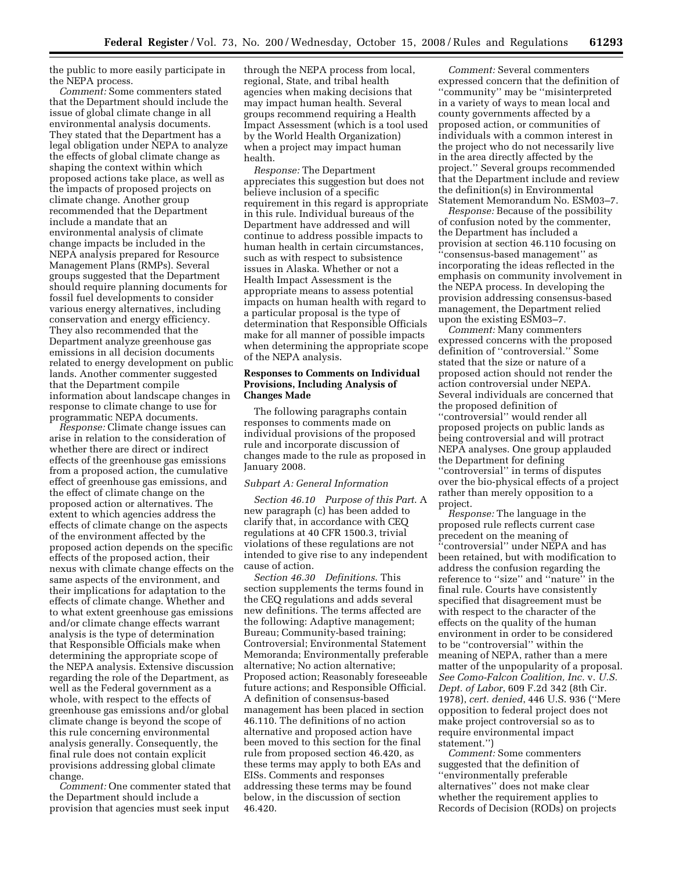the public to more easily participate in the NEPA process.

*Comment:* Some commenters stated that the Department should include the issue of global climate change in all environmental analysis documents. They stated that the Department has a legal obligation under NEPA to analyze the effects of global climate change as shaping the context within which proposed actions take place, as well as the impacts of proposed projects on climate change. Another group recommended that the Department include a mandate that an environmental analysis of climate change impacts be included in the NEPA analysis prepared for Resource Management Plans (RMPs). Several groups suggested that the Department should require planning documents for fossil fuel developments to consider various energy alternatives, including conservation and energy efficiency. They also recommended that the Department analyze greenhouse gas emissions in all decision documents related to energy development on public lands. Another commenter suggested that the Department compile information about landscape changes in response to climate change to use for programmatic NEPA documents.

*Response:* Climate change issues can arise in relation to the consideration of whether there are direct or indirect effects of the greenhouse gas emissions from a proposed action, the cumulative effect of greenhouse gas emissions, and the effect of climate change on the proposed action or alternatives. The extent to which agencies address the effects of climate change on the aspects of the environment affected by the proposed action depends on the specific effects of the proposed action, their nexus with climate change effects on the same aspects of the environment, and their implications for adaptation to the effects of climate change. Whether and to what extent greenhouse gas emissions and/or climate change effects warrant analysis is the type of determination that Responsible Officials make when determining the appropriate scope of the NEPA analysis. Extensive discussion regarding the role of the Department, as well as the Federal government as a whole, with respect to the effects of greenhouse gas emissions and/or global climate change is beyond the scope of this rule concerning environmental analysis generally. Consequently, the final rule does not contain explicit provisions addressing global climate change.

*Comment:* One commenter stated that the Department should include a provision that agencies must seek input

through the NEPA process from local, regional, State, and tribal health agencies when making decisions that may impact human health. Several groups recommend requiring a Health Impact Assessment (which is a tool used by the World Health Organization) when a project may impact human health.

*Response:* The Department appreciates this suggestion but does not believe inclusion of a specific requirement in this regard is appropriate in this rule. Individual bureaus of the Department have addressed and will continue to address possible impacts to human health in certain circumstances, such as with respect to subsistence issues in Alaska. Whether or not a Health Impact Assessment is the appropriate means to assess potential impacts on human health with regard to a particular proposal is the type of determination that Responsible Officials make for all manner of possible impacts when determining the appropriate scope of the NEPA analysis.

#### **Responses to Comments on Individual Provisions, Including Analysis of Changes Made**

The following paragraphs contain responses to comments made on individual provisions of the proposed rule and incorporate discussion of changes made to the rule as proposed in January 2008.

#### *Subpart A: General Information*

*Section 46.10 Purpose of this Part*. A new paragraph (c) has been added to clarify that, in accordance with CEQ regulations at 40 CFR 1500.3, trivial violations of these regulations are not intended to give rise to any independent cause of action.

*Section 46.30 Definitions*. This section supplements the terms found in the CEQ regulations and adds several new definitions. The terms affected are the following: Adaptive management; Bureau; Community-based training; Controversial; Environmental Statement Memoranda; Environmentally preferable alternative; No action alternative; Proposed action; Reasonably foreseeable future actions; and Responsible Official. A definition of consensus-based management has been placed in section 46.110. The definitions of no action alternative and proposed action have been moved to this section for the final rule from proposed section 46.420, as these terms may apply to both EAs and EISs. Comments and responses addressing these terms may be found below, in the discussion of section 46.420.

*Comment:* Several commenters expressed concern that the definition of ''community'' may be ''misinterpreted in a variety of ways to mean local and county governments affected by a proposed action, or communities of individuals with a common interest in the project who do not necessarily live in the area directly affected by the project.'' Several groups recommended that the Department include and review the definition(s) in Environmental Statement Memorandum No. ESM03–7.

*Response:* Because of the possibility of confusion noted by the commenter, the Department has included a provision at section 46.110 focusing on ''consensus-based management'' as incorporating the ideas reflected in the emphasis on community involvement in the NEPA process. In developing the provision addressing consensus-based management, the Department relied upon the existing ESM03–7.

*Comment:* Many commenters expressed concerns with the proposed definition of ''controversial.'' Some stated that the size or nature of a proposed action should not render the action controversial under NEPA. Several individuals are concerned that the proposed definition of ''controversial'' would render all proposed projects on public lands as being controversial and will protract NEPA analyses. One group applauded the Department for defining ''controversial'' in terms of disputes over the bio-physical effects of a project rather than merely opposition to a project.

*Response:* The language in the proposed rule reflects current case precedent on the meaning of ''controversial'' under NEPA and has been retained, but with modification to address the confusion regarding the reference to ''size'' and ''nature'' in the final rule. Courts have consistently specified that disagreement must be with respect to the character of the effects on the quality of the human environment in order to be considered to be ''controversial'' within the meaning of NEPA, rather than a mere matter of the unpopularity of a proposal. *See Como-Falcon Coalition, Inc.* v. *U.S. Dept. of Labor*, 609 F.2d 342 (8th Cir. 1978), *cert. denied*, 446 U.S. 936 (''Mere opposition to federal project does not make project controversial so as to require environmental impact statement.'')

*Comment:* Some commenters suggested that the definition of ''environmentally preferable alternatives'' does not make clear whether the requirement applies to Records of Decision (RODs) on projects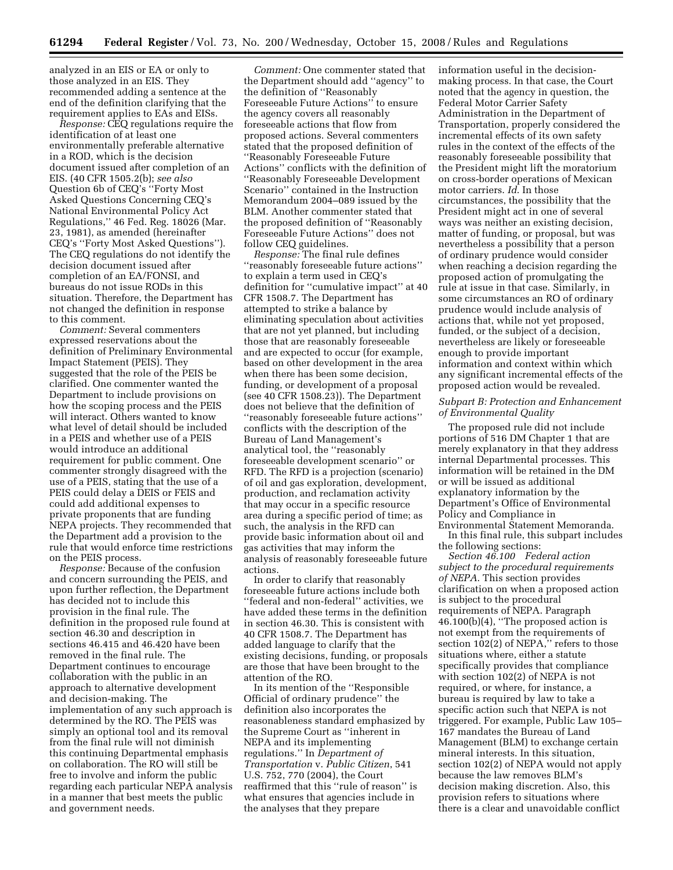analyzed in an EIS or EA or only to those analyzed in an EIS. They recommended adding a sentence at the end of the definition clarifying that the requirement applies to EAs and EISs.

*Response:* CEQ regulations require the identification of at least one environmentally preferable alternative in a ROD, which is the decision document issued after completion of an EIS. (40 CFR 1505.2(b); *see also*  Question 6b of CEQ's ''Forty Most Asked Questions Concerning CEQ's National Environmental Policy Act Regulations,'' 46 Fed. Reg. 18026 (Mar. 23, 1981), as amended (hereinafter CEQ's ''Forty Most Asked Questions''). The CEQ regulations do not identify the decision document issued after completion of an EA/FONSI, and bureaus do not issue RODs in this situation. Therefore, the Department has not changed the definition in response to this comment.

*Comment:* Several commenters expressed reservations about the definition of Preliminary Environmental Impact Statement (PEIS). They suggested that the role of the PEIS be clarified. One commenter wanted the Department to include provisions on how the scoping process and the PEIS will interact. Others wanted to know what level of detail should be included in a PEIS and whether use of a PEIS would introduce an additional requirement for public comment. One commenter strongly disagreed with the use of a PEIS, stating that the use of a PEIS could delay a DEIS or FEIS and could add additional expenses to private proponents that are funding NEPA projects. They recommended that the Department add a provision to the rule that would enforce time restrictions on the PEIS process.

*Response:* Because of the confusion and concern surrounding the PEIS, and upon further reflection, the Department has decided not to include this provision in the final rule. The definition in the proposed rule found at section 46.30 and description in sections 46.415 and 46.420 have been removed in the final rule. The Department continues to encourage collaboration with the public in an approach to alternative development and decision-making. The implementation of any such approach is determined by the RO. The PEIS was simply an optional tool and its removal from the final rule will not diminish this continuing Departmental emphasis on collaboration. The RO will still be free to involve and inform the public regarding each particular NEPA analysis in a manner that best meets the public and government needs.

*Comment:* One commenter stated that the Department should add ''agency'' to the definition of ''Reasonably Foreseeable Future Actions'' to ensure the agency covers all reasonably foreseeable actions that flow from proposed actions. Several commenters stated that the proposed definition of ''Reasonably Foreseeable Future Actions'' conflicts with the definition of ''Reasonably Foreseeable Development Scenario'' contained in the Instruction Memorandum 2004–089 issued by the BLM. Another commenter stated that the proposed definition of ''Reasonably Foreseeable Future Actions'' does not follow CEQ guidelines.

*Response:* The final rule defines ''reasonably foreseeable future actions'' to explain a term used in CEQ's definition for ''cumulative impact'' at 40 CFR 1508.7. The Department has attempted to strike a balance by eliminating speculation about activities that are not yet planned, but including those that are reasonably foreseeable and are expected to occur (for example, based on other development in the area when there has been some decision, funding, or development of a proposal (see 40 CFR 1508.23)). The Department does not believe that the definition of ''reasonably foreseeable future actions'' conflicts with the description of the Bureau of Land Management's analytical tool, the ''reasonably foreseeable development scenario'' or RFD. The RFD is a projection (scenario) of oil and gas exploration, development, production, and reclamation activity that may occur in a specific resource area during a specific period of time; as such, the analysis in the RFD can provide basic information about oil and gas activities that may inform the analysis of reasonably foreseeable future actions.

In order to clarify that reasonably foreseeable future actions include both ''federal and non-federal'' activities, we have added these terms in the definition in section 46.30. This is consistent with 40 CFR 1508.7. The Department has added language to clarify that the existing decisions, funding, or proposals are those that have been brought to the attention of the RO.

In its mention of the ''Responsible Official of ordinary prudence'' the definition also incorporates the reasonableness standard emphasized by the Supreme Court as ''inherent in NEPA and its implementing regulations.'' In *Department of Transportation* v. *Public Citizen*, 541 U.S. 752, 770 (2004), the Court reaffirmed that this ''rule of reason'' is what ensures that agencies include in the analyses that they prepare

information useful in the decisionmaking process. In that case, the Court noted that the agency in question, the Federal Motor Carrier Safety Administration in the Department of Transportation, properly considered the incremental effects of its own safety rules in the context of the effects of the reasonably foreseeable possibility that the President might lift the moratorium on cross-border operations of Mexican motor carriers. *Id*. In those circumstances, the possibility that the President might act in one of several ways was neither an existing decision, matter of funding, or proposal, but was nevertheless a possibility that a person of ordinary prudence would consider when reaching a decision regarding the proposed action of promulgating the rule at issue in that case. Similarly, in some circumstances an RO of ordinary prudence would include analysis of actions that, while not yet proposed, funded, or the subject of a decision, nevertheless are likely or foreseeable enough to provide important information and context within which any significant incremental effects of the proposed action would be revealed.

#### *Subpart B: Protection and Enhancement of Environmental Quality*

The proposed rule did not include portions of 516 DM Chapter 1 that are merely explanatory in that they address internal Departmental processes. This information will be retained in the DM or will be issued as additional explanatory information by the Department's Office of Environmental Policy and Compliance in Environmental Statement Memoranda.

In this final rule, this subpart includes the following sections:

*Section 46.100 Federal action subject to the procedural requirements of NEPA*. This section provides clarification on when a proposed action is subject to the procedural requirements of NEPA. Paragraph 46.100(b)(4), ''The proposed action is not exempt from the requirements of section 102(2) of NEPA," refers to those situations where, either a statute specifically provides that compliance with section 102(2) of NEPA is not required, or where, for instance, a bureau is required by law to take a specific action such that NEPA is not triggered. For example, Public Law 105– 167 mandates the Bureau of Land Management (BLM) to exchange certain mineral interests. In this situation, section 102(2) of NEPA would not apply because the law removes BLM's decision making discretion. Also, this provision refers to situations where there is a clear and unavoidable conflict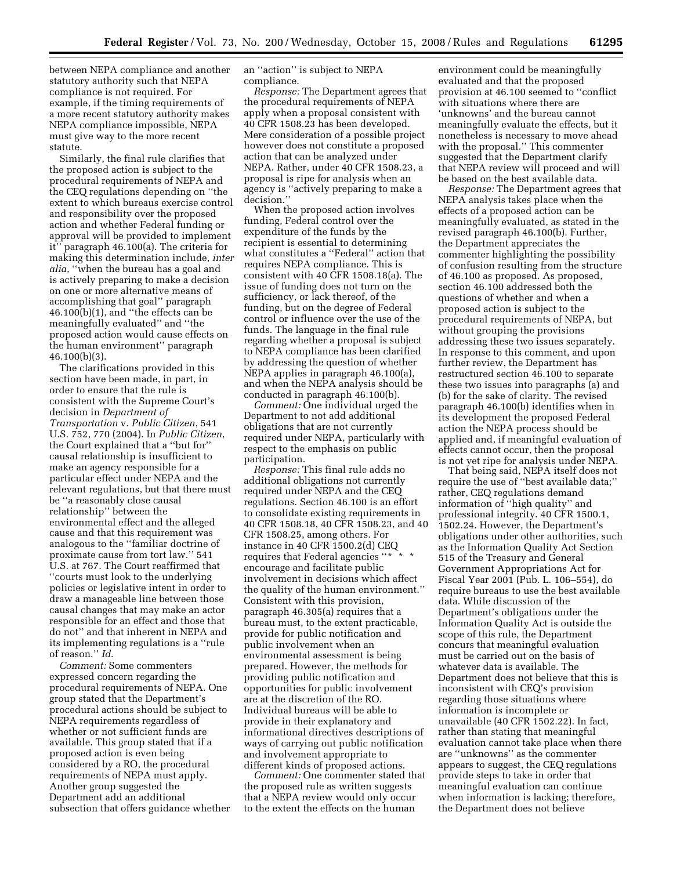between NEPA compliance and another statutory authority such that NEPA compliance is not required. For example, if the timing requirements of a more recent statutory authority makes NEPA compliance impossible, NEPA must give way to the more recent statute.

Similarly, the final rule clarifies that the proposed action is subject to the procedural requirements of NEPA and the CEQ regulations depending on ''the extent to which bureaus exercise control and responsibility over the proposed action and whether Federal funding or approval will be provided to implement it'' paragraph 46.100(a). The criteria for making this determination include, *inter alia*, ''when the bureau has a goal and is actively preparing to make a decision on one or more alternative means of accomplishing that goal'' paragraph 46.100(b)(1), and ''the effects can be meaningfully evaluated'' and ''the proposed action would cause effects on the human environment'' paragraph 46.100(b)(3).

The clarifications provided in this section have been made, in part, in order to ensure that the rule is consistent with the Supreme Court's decision in *Department of Transportation* v. *Public Citizen*, 541 U.S. 752, 770 (2004). In *Public Citizen*, the Court explained that a ''but for'' causal relationship is insufficient to make an agency responsible for a particular effect under NEPA and the relevant regulations, but that there must be ''a reasonably close causal relationship'' between the environmental effect and the alleged cause and that this requirement was analogous to the ''familiar doctrine of proximate cause from tort law.'' 541 U.S. at 767. The Court reaffirmed that ''courts must look to the underlying policies or legislative intent in order to draw a manageable line between those causal changes that may make an actor responsible for an effect and those that do not'' and that inherent in NEPA and its implementing regulations is a ''rule of reason.'' *Id*.

*Comment:* Some commenters expressed concern regarding the procedural requirements of NEPA. One group stated that the Department's procedural actions should be subject to NEPA requirements regardless of whether or not sufficient funds are available. This group stated that if a proposed action is even being considered by a RO, the procedural requirements of NEPA must apply. Another group suggested the Department add an additional subsection that offers guidance whether an ''action'' is subject to NEPA compliance.

*Response:* The Department agrees that the procedural requirements of NEPA apply when a proposal consistent with 40 CFR 1508.23 has been developed. Mere consideration of a possible project however does not constitute a proposed action that can be analyzed under NEPA. Rather, under 40 CFR 1508.23, a proposal is ripe for analysis when an agency is ''actively preparing to make a decision.''

When the proposed action involves funding, Federal control over the expenditure of the funds by the recipient is essential to determining what constitutes a ''Federal'' action that requires NEPA compliance. This is consistent with 40 CFR 1508.18(a). The issue of funding does not turn on the sufficiency, or lack thereof, of the funding, but on the degree of Federal control or influence over the use of the funds. The language in the final rule regarding whether a proposal is subject to NEPA compliance has been clarified by addressing the question of whether NEPA applies in paragraph 46.100(a), and when the NEPA analysis should be conducted in paragraph 46.100(b).

*Comment:* One individual urged the Department to not add additional obligations that are not currently required under NEPA, particularly with respect to the emphasis on public participation.

*Response:* This final rule adds no additional obligations not currently required under NEPA and the CEQ regulations. Section 46.100 is an effort to consolidate existing requirements in 40 CFR 1508.18, 40 CFR 1508.23, and 40 CFR 1508.25, among others. For instance in 40 CFR 1500.2(d) CEQ requires that Federal agencies "\* encourage and facilitate public involvement in decisions which affect the quality of the human environment.'' Consistent with this provision, paragraph 46.305(a) requires that a bureau must, to the extent practicable, provide for public notification and public involvement when an environmental assessment is being prepared. However, the methods for providing public notification and opportunities for public involvement are at the discretion of the RO. Individual bureaus will be able to provide in their explanatory and informational directives descriptions of ways of carrying out public notification and involvement appropriate to different kinds of proposed actions.

*Comment:* One commenter stated that the proposed rule as written suggests that a NEPA review would only occur to the extent the effects on the human

environment could be meaningfully evaluated and that the proposed provision at 46.100 seemed to ''conflict with situations where there are 'unknowns' and the bureau cannot meaningfully evaluate the effects, but it nonetheless is necessary to move ahead with the proposal.'' This commenter suggested that the Department clarify that NEPA review will proceed and will be based on the best available data.

*Response:* The Department agrees that NEPA analysis takes place when the effects of a proposed action can be meaningfully evaluated, as stated in the revised paragraph 46.100(b). Further, the Department appreciates the commenter highlighting the possibility of confusion resulting from the structure of 46.100 as proposed. As proposed, section 46.100 addressed both the questions of whether and when a proposed action is subject to the procedural requirements of NEPA, but without grouping the provisions addressing these two issues separately. In response to this comment, and upon further review, the Department has restructured section 46.100 to separate these two issues into paragraphs (a) and (b) for the sake of clarity. The revised paragraph 46.100(b) identifies when in its development the proposed Federal action the NEPA process should be applied and, if meaningful evaluation of effects cannot occur, then the proposal is not yet ripe for analysis under NEPA.

That being said, NEPA itself does not require the use of ''best available data;'' rather, CEQ regulations demand information of ''high quality'' and professional integrity. 40 CFR 1500.1, 1502.24. However, the Department's obligations under other authorities, such as the Information Quality Act Section 515 of the Treasury and General Government Appropriations Act for Fiscal Year 2001 (Pub. L. 106–554), do require bureaus to use the best available data. While discussion of the Department's obligations under the Information Quality Act is outside the scope of this rule, the Department concurs that meaningful evaluation must be carried out on the basis of whatever data is available. The Department does not believe that this is inconsistent with CEQ's provision regarding those situations where information is incomplete or unavailable (40 CFR 1502.22). In fact, rather than stating that meaningful evaluation cannot take place when there are ''unknowns'' as the commenter appears to suggest, the CEQ regulations provide steps to take in order that meaningful evaluation can continue when information is lacking; therefore, the Department does not believe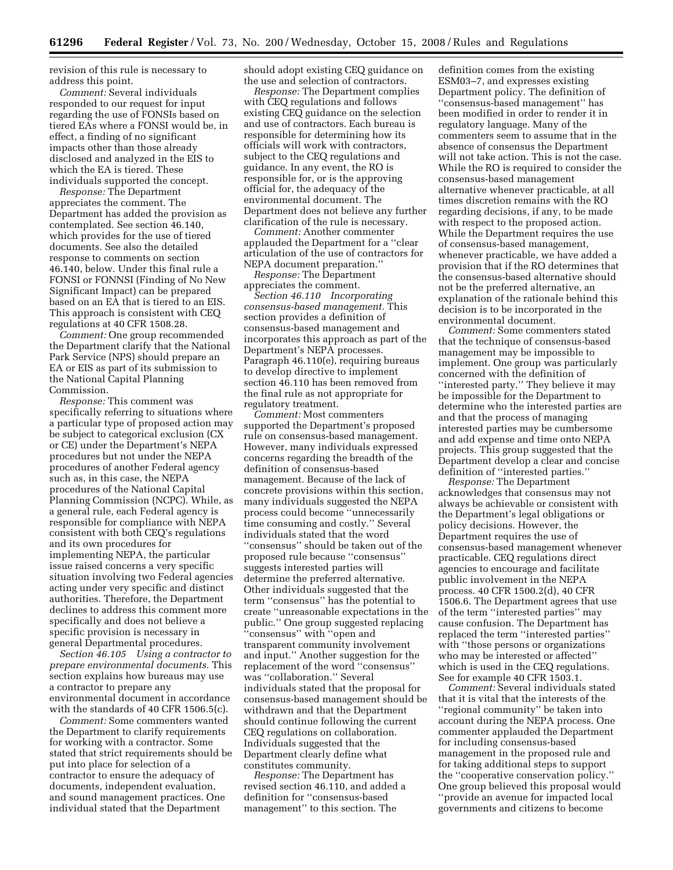revision of this rule is necessary to address this point.

*Comment:* Several individuals responded to our request for input regarding the use of FONSIs based on tiered EAs where a FONSI would be, in effect, a finding of no significant impacts other than those already disclosed and analyzed in the EIS to which the EA is tiered. These individuals supported the concept.

*Response:* The Department appreciates the comment. The Department has added the provision as contemplated. See section 46.140, which provides for the use of tiered documents. See also the detailed response to comments on section 46.140, below. Under this final rule a FONSI or FONNSI (Finding of No New Significant Impact) can be prepared based on an EA that is tiered to an EIS. This approach is consistent with CEQ regulations at 40 CFR 1508.28.

*Comment:* One group recommended the Department clarify that the National Park Service (NPS) should prepare an EA or EIS as part of its submission to the National Capital Planning Commission.

*Response:* This comment was specifically referring to situations where a particular type of proposed action may be subject to categorical exclusion (CX or CE) under the Department's NEPA procedures but not under the NEPA procedures of another Federal agency such as, in this case, the NEPA procedures of the National Capital Planning Commission (NCPC). While, as a general rule, each Federal agency is responsible for compliance with NEPA consistent with both CEQ's regulations and its own procedures for implementing NEPA, the particular issue raised concerns a very specific situation involving two Federal agencies acting under very specific and distinct authorities. Therefore, the Department declines to address this comment more specifically and does not believe a specific provision is necessary in general Departmental procedures.

*Section 46.105 Using a contractor to prepare environmental documents.* This section explains how bureaus may use a contractor to prepare any environmental document in accordance with the standards of 40 CFR 1506.5(c).

*Comment:* Some commenters wanted the Department to clarify requirements for working with a contractor. Some stated that strict requirements should be put into place for selection of a contractor to ensure the adequacy of documents, independent evaluation, and sound management practices. One individual stated that the Department

should adopt existing CEQ guidance on the use and selection of contractors.

*Response:* The Department complies with CEQ regulations and follows existing CEQ guidance on the selection and use of contractors. Each bureau is responsible for determining how its officials will work with contractors, subject to the CEQ regulations and guidance. In any event, the RO is responsible for, or is the approving official for, the adequacy of the environmental document. The Department does not believe any further clarification of the rule is necessary.

*Comment:* Another commenter applauded the Department for a ''clear articulation of the use of contractors for NEPA document preparation.''

*Response:* The Department appreciates the comment.

*Section 46.110 Incorporating consensus-based management.* This section provides a definition of consensus-based management and incorporates this approach as part of the Department's NEPA processes. Paragraph 46.110(e), requiring bureaus to develop directive to implement section 46.110 has been removed from the final rule as not appropriate for regulatory treatment.

*Comment:* Most commenters supported the Department's proposed rule on consensus-based management. However, many individuals expressed concerns regarding the breadth of the definition of consensus-based management. Because of the lack of concrete provisions within this section, many individuals suggested the NEPA process could become ''unnecessarily time consuming and costly.'' Several individuals stated that the word ''consensus'' should be taken out of the proposed rule because ''consensus'' suggests interested parties will determine the preferred alternative. Other individuals suggested that the term ''consensus'' has the potential to create ''unreasonable expectations in the public.'' One group suggested replacing ''consensus'' with ''open and transparent community involvement and input.'' Another suggestion for the replacement of the word ''consensus'' was ''collaboration.'' Several individuals stated that the proposal for consensus-based management should be withdrawn and that the Department should continue following the current CEQ regulations on collaboration. Individuals suggested that the Department clearly define what constitutes community.

*Response:* The Department has revised section 46.110, and added a definition for ''consensus-based management'' to this section. The

definition comes from the existing ESM03–7, and expresses existing Department policy. The definition of ''consensus-based management'' has been modified in order to render it in regulatory language. Many of the commenters seem to assume that in the absence of consensus the Department will not take action. This is not the case. While the RO is required to consider the consensus-based management alternative whenever practicable, at all times discretion remains with the RO regarding decisions, if any, to be made with respect to the proposed action. While the Department requires the use of consensus-based management, whenever practicable, we have added a provision that if the RO determines that the consensus-based alternative should not be the preferred alternative, an explanation of the rationale behind this decision is to be incorporated in the environmental document.

*Comment:* Some commenters stated that the technique of consensus-based management may be impossible to implement. One group was particularly concerned with the definition of ''interested party.'' They believe it may be impossible for the Department to determine who the interested parties are and that the process of managing interested parties may be cumbersome and add expense and time onto NEPA projects. This group suggested that the Department develop a clear and concise definition of ''interested parties.''

*Response:* The Department acknowledges that consensus may not always be achievable or consistent with the Department's legal obligations or policy decisions. However, the Department requires the use of consensus-based management whenever practicable. CEQ regulations direct agencies to encourage and facilitate public involvement in the NEPA process. 40 CFR 1500.2(d), 40 CFR 1506.6. The Department agrees that use of the term ''interested parties'' may cause confusion. The Department has replaced the term ''interested parties'' with "those persons or organizations" who may be interested or affected'' which is used in the CEQ regulations. See for example 40 CFR 1503.1.

*Comment:* Several individuals stated that it is vital that the interests of the ''regional community'' be taken into account during the NEPA process. One commenter applauded the Department for including consensus-based management in the proposed rule and for taking additional steps to support the ''cooperative conservation policy.'' One group believed this proposal would ''provide an avenue for impacted local governments and citizens to become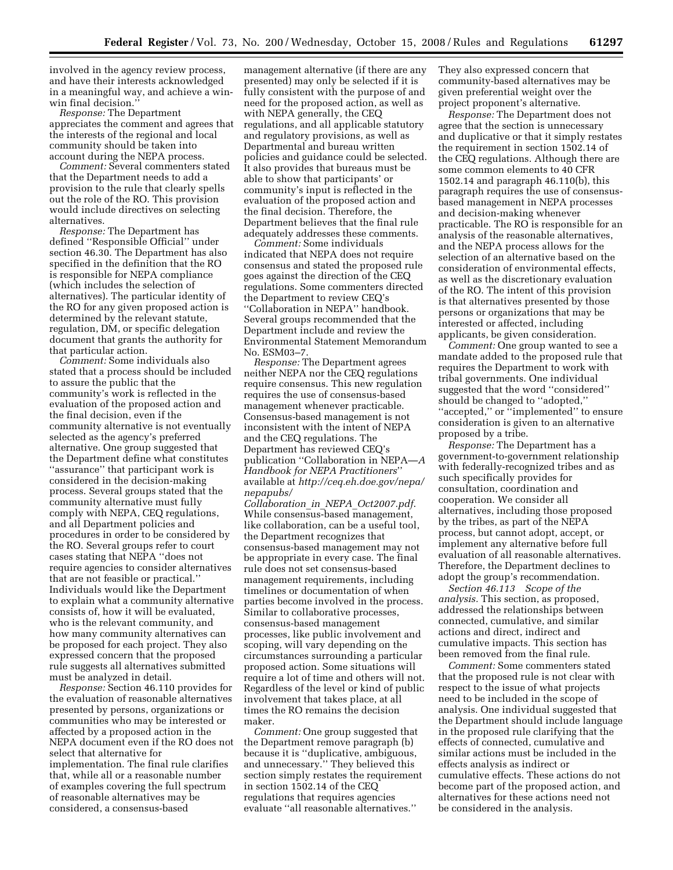involved in the agency review process, and have their interests acknowledged in a meaningful way, and achieve a winwin final decision.''

*Response:* The Department appreciates the comment and agrees that the interests of the regional and local community should be taken into account during the NEPA process.

*Comment:* Several commenters stated that the Department needs to add a provision to the rule that clearly spells out the role of the RO. This provision would include directives on selecting alternatives.

*Response:* The Department has defined ''Responsible Official'' under section 46.30. The Department has also specified in the definition that the RO is responsible for NEPA compliance (which includes the selection of alternatives). The particular identity of the RO for any given proposed action is determined by the relevant statute, regulation, DM, or specific delegation document that grants the authority for that particular action.

*Comment:* Some individuals also stated that a process should be included to assure the public that the community's work is reflected in the evaluation of the proposed action and the final decision, even if the community alternative is not eventually selected as the agency's preferred alternative. One group suggested that the Department define what constitutes ''assurance'' that participant work is considered in the decision-making process. Several groups stated that the community alternative must fully comply with NEPA, CEQ regulations, and all Department policies and procedures in order to be considered by the RO. Several groups refer to court cases stating that NEPA ''does not require agencies to consider alternatives that are not feasible or practical.'' Individuals would like the Department to explain what a community alternative consists of, how it will be evaluated, who is the relevant community, and how many community alternatives can be proposed for each project. They also expressed concern that the proposed rule suggests all alternatives submitted must be analyzed in detail.

*Response:* Section 46.110 provides for the evaluation of reasonable alternatives presented by persons, organizations or communities who may be interested or affected by a proposed action in the NEPA document even if the RO does not select that alternative for implementation. The final rule clarifies that, while all or a reasonable number of examples covering the full spectrum of reasonable alternatives may be considered, a consensus-based

management alternative (if there are any presented) may only be selected if it is fully consistent with the purpose of and need for the proposed action, as well as with NEPA generally, the CEQ regulations, and all applicable statutory and regulatory provisions, as well as Departmental and bureau written policies and guidance could be selected. It also provides that bureaus must be able to show that participants' or community's input is reflected in the evaluation of the proposed action and the final decision. Therefore, the Department believes that the final rule adequately addresses these comments.

*Comment:* Some individuals indicated that NEPA does not require consensus and stated the proposed rule goes against the direction of the CEQ regulations. Some commenters directed the Department to review CEQ's ''Collaboration in NEPA'' handbook. Several groups recommended that the Department include and review the Environmental Statement Memorandum No. ESM03–7.

*Response:* The Department agrees neither NEPA nor the CEQ regulations require consensus. This new regulation requires the use of consensus-based management whenever practicable. Consensus-based management is not inconsistent with the intent of NEPA and the CEQ regulations. The Department has reviewed CEQ's publication "Collaboration in NEPA-*Handbook for NEPA Practitioners*'' available at *http://ceq.eh.doe.gov/nepa/ nepapubs/* 

*Collaboration*\_*in*\_*NEPA*\_*Oct2007.pdf*. While consensus-based management, like collaboration, can be a useful tool, the Department recognizes that consensus-based management may not be appropriate in every case. The final rule does not set consensus-based management requirements, including timelines or documentation of when parties become involved in the process. Similar to collaborative processes, consensus-based management processes, like public involvement and scoping, will vary depending on the circumstances surrounding a particular proposed action. Some situations will require a lot of time and others will not. Regardless of the level or kind of public involvement that takes place, at all times the RO remains the decision maker.

*Comment:* One group suggested that the Department remove paragraph (b) because it is ''duplicative, ambiguous, and unnecessary.'' They believed this section simply restates the requirement in section 1502.14 of the CEQ regulations that requires agencies evaluate ''all reasonable alternatives.''

They also expressed concern that community-based alternatives may be given preferential weight over the project proponent's alternative.

*Response:* The Department does not agree that the section is unnecessary and duplicative or that it simply restates the requirement in section 1502.14 of the CEQ regulations. Although there are some common elements to 40 CFR 1502.14 and paragraph 46.110(b), this paragraph requires the use of consensusbased management in NEPA processes and decision-making whenever practicable. The RO is responsible for an analysis of the reasonable alternatives, and the NEPA process allows for the selection of an alternative based on the consideration of environmental effects, as well as the discretionary evaluation of the RO. The intent of this provision is that alternatives presented by those persons or organizations that may be interested or affected, including applicants, be given consideration.

*Comment:* One group wanted to see a mandate added to the proposed rule that requires the Department to work with tribal governments. One individual suggested that the word ''considered'' should be changed to ''adopted,'' ''accepted,'' or ''implemented'' to ensure consideration is given to an alternative proposed by a tribe.

*Response:* The Department has a government-to-government relationship with federally-recognized tribes and as such specifically provides for consultation, coordination and cooperation. We consider all alternatives, including those proposed by the tribes, as part of the NEPA process, but cannot adopt, accept, or implement any alternative before full evaluation of all reasonable alternatives. Therefore, the Department declines to adopt the group's recommendation.

*Section 46.113 Scope of the analysis.* This section, as proposed, addressed the relationships between connected, cumulative, and similar actions and direct, indirect and cumulative impacts. This section has been removed from the final rule.

*Comment:* Some commenters stated that the proposed rule is not clear with respect to the issue of what projects need to be included in the scope of analysis. One individual suggested that the Department should include language in the proposed rule clarifying that the effects of connected, cumulative and similar actions must be included in the effects analysis as indirect or cumulative effects. These actions do not become part of the proposed action, and alternatives for these actions need not be considered in the analysis.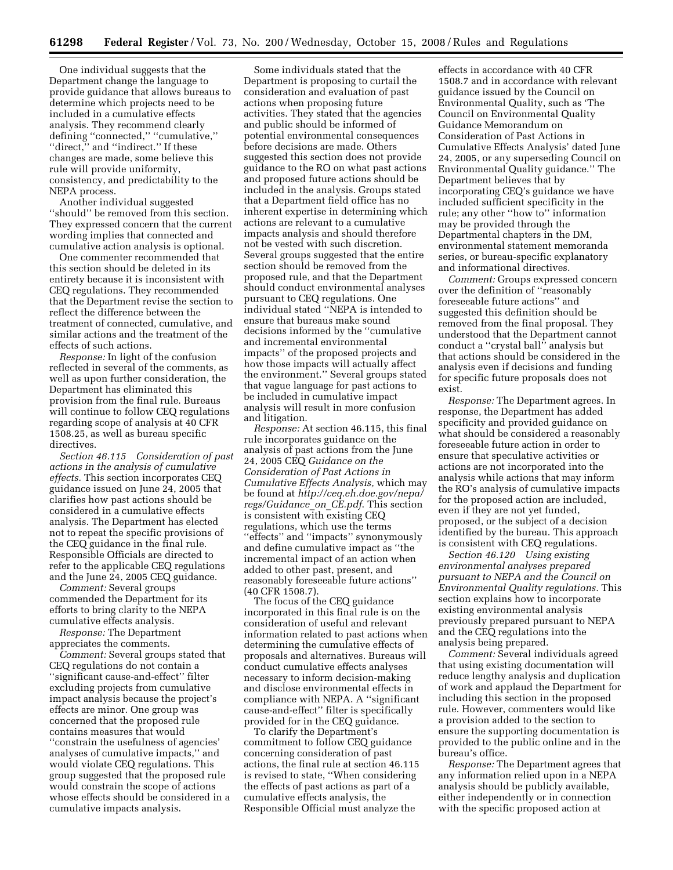One individual suggests that the Department change the language to provide guidance that allows bureaus to determine which projects need to be included in a cumulative effects analysis. They recommend clearly defining ''connected,'' ''cumulative,'' "direct," and "indirect." If these changes are made, some believe this rule will provide uniformity, consistency, and predictability to the NEPA process.

Another individual suggested ''should'' be removed from this section. They expressed concern that the current wording implies that connected and cumulative action analysis is optional.

One commenter recommended that this section should be deleted in its entirety because it is inconsistent with CEQ regulations. They recommended that the Department revise the section to reflect the difference between the treatment of connected, cumulative, and similar actions and the treatment of the effects of such actions.

*Response:* In light of the confusion reflected in several of the comments, as well as upon further consideration, the Department has eliminated this provision from the final rule. Bureaus will continue to follow CEQ regulations regarding scope of analysis at 40 CFR 1508.25, as well as bureau specific directives.

*Section 46.115 Consideration of past actions in the analysis of cumulative effects.* This section incorporates CEQ guidance issued on June 24, 2005 that clarifies how past actions should be considered in a cumulative effects analysis. The Department has elected not to repeat the specific provisions of the CEQ guidance in the final rule. Responsible Officials are directed to refer to the applicable CEQ regulations and the June 24, 2005 CEQ guidance.

*Comment:* Several groups commended the Department for its efforts to bring clarity to the NEPA cumulative effects analysis.

*Response:* The Department appreciates the comments.

*Comment:* Several groups stated that CEQ regulations do not contain a ''significant cause-and-effect'' filter excluding projects from cumulative impact analysis because the project's effects are minor. One group was concerned that the proposed rule contains measures that would ''constrain the usefulness of agencies' analyses of cumulative impacts,'' and would violate CEQ regulations. This group suggested that the proposed rule would constrain the scope of actions whose effects should be considered in a cumulative impacts analysis.

Some individuals stated that the Department is proposing to curtail the consideration and evaluation of past actions when proposing future activities. They stated that the agencies and public should be informed of potential environmental consequences before decisions are made. Others suggested this section does not provide guidance to the RO on what past actions and proposed future actions should be included in the analysis. Groups stated that a Department field office has no inherent expertise in determining which actions are relevant to a cumulative impacts analysis and should therefore not be vested with such discretion. Several groups suggested that the entire section should be removed from the proposed rule, and that the Department should conduct environmental analyses pursuant to CEQ regulations. One individual stated ''NEPA is intended to ensure that bureaus make sound decisions informed by the ''cumulative and incremental environmental impacts'' of the proposed projects and how those impacts will actually affect the environment.'' Several groups stated that vague language for past actions to be included in cumulative impact analysis will result in more confusion and litigation.

*Response:* At section 46.115, this final rule incorporates guidance on the analysis of past actions from the June 24, 2005 CEQ *Guidance on the Consideration of Past Actions in Cumulative Effects Analysis,* which may be found at *http://ceq.eh.doe.gov/nepa/ regs/Guidance*\_*on*\_*CE.pdf*. This section is consistent with existing CEQ regulations, which use the terms ''effects'' and ''impacts'' synonymously and define cumulative impact as ''the incremental impact of an action when added to other past, present, and reasonably foreseeable future actions'' (40 CFR 1508.7).

The focus of the CEQ guidance incorporated in this final rule is on the consideration of useful and relevant information related to past actions when determining the cumulative effects of proposals and alternatives. Bureaus will conduct cumulative effects analyses necessary to inform decision-making and disclose environmental effects in compliance with NEPA. A ''significant cause-and-effect'' filter is specifically provided for in the CEQ guidance.

To clarify the Department's commitment to follow CEQ guidance concerning consideration of past actions, the final rule at section 46.115 is revised to state, ''When considering the effects of past actions as part of a cumulative effects analysis, the Responsible Official must analyze the

effects in accordance with 40 CFR 1508.7 and in accordance with relevant guidance issued by the Council on Environmental Quality, such as 'The Council on Environmental Quality Guidance Memorandum on Consideration of Past Actions in Cumulative Effects Analysis' dated June 24, 2005, or any superseding Council on Environmental Quality guidance.'' The Department believes that by incorporating CEQ's guidance we have included sufficient specificity in the rule; any other ''how to'' information may be provided through the Departmental chapters in the DM, environmental statement memoranda series, or bureau-specific explanatory and informational directives.

*Comment:* Groups expressed concern over the definition of ''reasonably foreseeable future actions'' and suggested this definition should be removed from the final proposal. They understood that the Department cannot conduct a ''crystal ball'' analysis but that actions should be considered in the analysis even if decisions and funding for specific future proposals does not exist.

*Response:* The Department agrees. In response, the Department has added specificity and provided guidance on what should be considered a reasonably foreseeable future action in order to ensure that speculative activities or actions are not incorporated into the analysis while actions that may inform the RO's analysis of cumulative impacts for the proposed action are included, even if they are not yet funded, proposed, or the subject of a decision identified by the bureau. This approach is consistent with CEQ regulations.

*Section 46.120 Using existing environmental analyses prepared pursuant to NEPA and the Council on Environmental Quality regulations.* This section explains how to incorporate existing environmental analysis previously prepared pursuant to NEPA and the CEQ regulations into the analysis being prepared.

*Comment:* Several individuals agreed that using existing documentation will reduce lengthy analysis and duplication of work and applaud the Department for including this section in the proposed rule. However, commenters would like a provision added to the section to ensure the supporting documentation is provided to the public online and in the bureau's office.

*Response:* The Department agrees that any information relied upon in a NEPA analysis should be publicly available, either independently or in connection with the specific proposed action at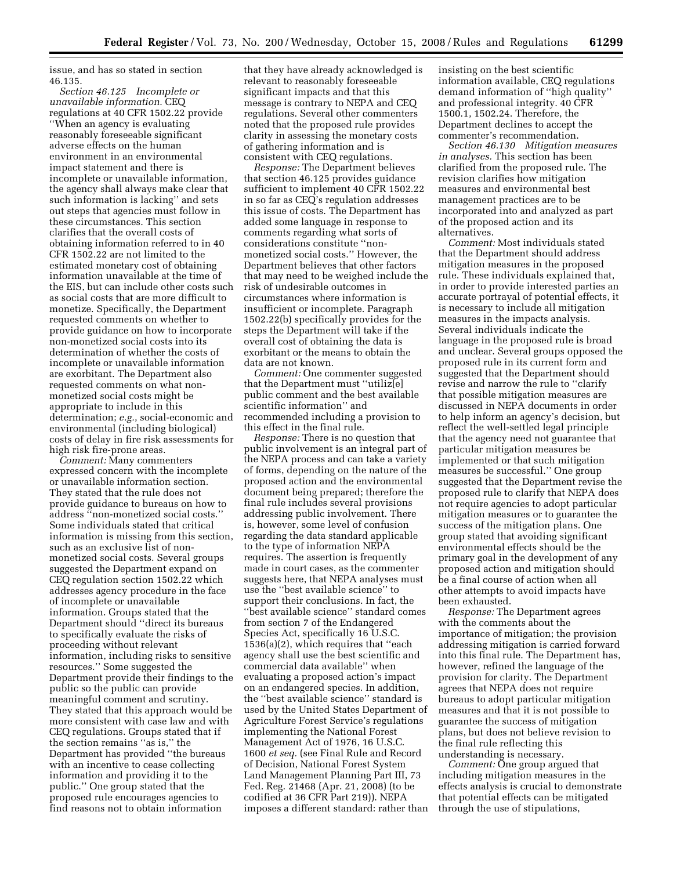issue, and has so stated in section 46.135.

*Section 46.125 Incomplete or unavailable information.* CEQ regulations at 40 CFR 1502.22 provide ''When an agency is evaluating reasonably foreseeable significant adverse effects on the human environment in an environmental impact statement and there is incomplete or unavailable information, the agency shall always make clear that such information is lacking'' and sets out steps that agencies must follow in these circumstances. This section clarifies that the overall costs of obtaining information referred to in 40 CFR 1502.22 are not limited to the estimated monetary cost of obtaining information unavailable at the time of the EIS, but can include other costs such as social costs that are more difficult to monetize. Specifically, the Department requested comments on whether to provide guidance on how to incorporate non-monetized social costs into its determination of whether the costs of incomplete or unavailable information are exorbitant. The Department also requested comments on what nonmonetized social costs might be appropriate to include in this determination; *e.g.*, social-economic and environmental (including biological) costs of delay in fire risk assessments for high risk fire-prone areas.

*Comment:* Many commenters expressed concern with the incomplete or unavailable information section. They stated that the rule does not provide guidance to bureaus on how to address ''non-monetized social costs.'' Some individuals stated that critical information is missing from this section, such as an exclusive list of nonmonetized social costs. Several groups suggested the Department expand on CEQ regulation section 1502.22 which addresses agency procedure in the face of incomplete or unavailable information. Groups stated that the Department should ''direct its bureaus to specifically evaluate the risks of proceeding without relevant information, including risks to sensitive resources.'' Some suggested the Department provide their findings to the public so the public can provide meaningful comment and scrutiny. They stated that this approach would be more consistent with case law and with CEQ regulations. Groups stated that if the section remains ''as is,'' the Department has provided ''the bureaus with an incentive to cease collecting information and providing it to the public.'' One group stated that the proposed rule encourages agencies to find reasons not to obtain information

that they have already acknowledged is relevant to reasonably foreseeable significant impacts and that this message is contrary to NEPA and CEQ regulations. Several other commenters noted that the proposed rule provides clarity in assessing the monetary costs of gathering information and is consistent with CEQ regulations.

*Response:* The Department believes that section 46.125 provides guidance sufficient to implement 40 CFR 1502.22 in so far as CEQ's regulation addresses this issue of costs. The Department has added some language in response to comments regarding what sorts of considerations constitute ''nonmonetized social costs.'' However, the Department believes that other factors that may need to be weighed include the risk of undesirable outcomes in circumstances where information is insufficient or incomplete. Paragraph 1502.22(b) specifically provides for the steps the Department will take if the overall cost of obtaining the data is exorbitant or the means to obtain the data are not known.

*Comment:* One commenter suggested that the Department must ''utiliz[e] public comment and the best available scientific information'' and recommended including a provision to this effect in the final rule.

*Response:* There is no question that public involvement is an integral part of the NEPA process and can take a variety of forms, depending on the nature of the proposed action and the environmental document being prepared; therefore the final rule includes several provisions addressing public involvement. There is, however, some level of confusion regarding the data standard applicable to the type of information NEPA requires. The assertion is frequently made in court cases, as the commenter suggests here, that NEPA analyses must use the ''best available science'' to support their conclusions. In fact, the ''best available science'' standard comes from section 7 of the Endangered Species Act, specifically 16 U.S.C. 1536(a)(2), which requires that ''each agency shall use the best scientific and commercial data available'' when evaluating a proposed action's impact on an endangered species. In addition, the ''best available science'' standard is used by the United States Department of Agriculture Forest Service's regulations implementing the National Forest Management Act of 1976, 16 U.S.C. 1600 *et seq.* (see Final Rule and Record of Decision, National Forest System Land Management Planning Part III, 73 Fed. Reg. 21468 (Apr. 21, 2008) (to be codified at 36 CFR Part 219)). NEPA imposes a different standard: rather than insisting on the best scientific information available, CEQ regulations demand information of ''high quality'' and professional integrity. 40 CFR 1500.1, 1502.24. Therefore, the Department declines to accept the commenter's recommendation.

*Section 46.130 Mitigation measures in analyses.* This section has been clarified from the proposed rule. The revision clarifies how mitigation measures and environmental best management practices are to be incorporated into and analyzed as part of the proposed action and its alternatives.

*Comment:* Most individuals stated that the Department should address mitigation measures in the proposed rule. These individuals explained that, in order to provide interested parties an accurate portrayal of potential effects, it is necessary to include all mitigation measures in the impacts analysis. Several individuals indicate the language in the proposed rule is broad and unclear. Several groups opposed the proposed rule in its current form and suggested that the Department should revise and narrow the rule to ''clarify that possible mitigation measures are discussed in NEPA documents in order to help inform an agency's decision, but reflect the well-settled legal principle that the agency need not guarantee that particular mitigation measures be implemented or that such mitigation measures be successful.'' One group suggested that the Department revise the proposed rule to clarify that NEPA does not require agencies to adopt particular mitigation measures or to guarantee the success of the mitigation plans. One group stated that avoiding significant environmental effects should be the primary goal in the development of any proposed action and mitigation should be a final course of action when all other attempts to avoid impacts have been exhausted.

*Response:* The Department agrees with the comments about the importance of mitigation; the provision addressing mitigation is carried forward into this final rule. The Department has, however, refined the language of the provision for clarity. The Department agrees that NEPA does not require bureaus to adopt particular mitigation measures and that it is not possible to guarantee the success of mitigation plans, but does not believe revision to the final rule reflecting this understanding is necessary.

*Comment:* One group argued that including mitigation measures in the effects analysis is crucial to demonstrate that potential effects can be mitigated through the use of stipulations,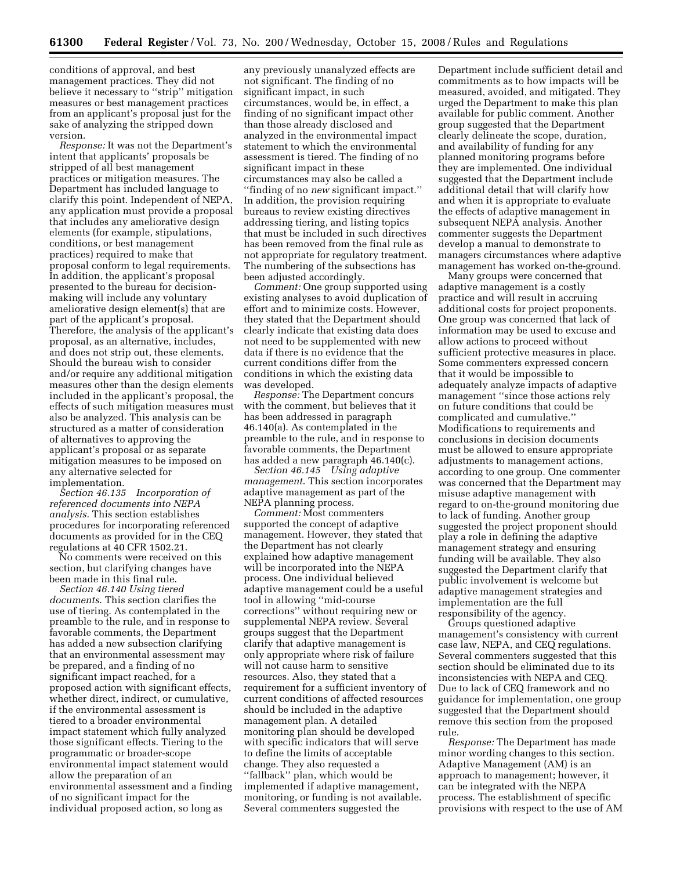conditions of approval, and best management practices. They did not believe it necessary to ''strip'' mitigation measures or best management practices from an applicant's proposal just for the sake of analyzing the stripped down version.

*Response:* It was not the Department's intent that applicants' proposals be stripped of all best management practices or mitigation measures. The Department has included language to clarify this point. Independent of NEPA, any application must provide a proposal that includes any ameliorative design elements (for example, stipulations, conditions, or best management practices) required to make that proposal conform to legal requirements. In addition, the applicant's proposal presented to the bureau for decisionmaking will include any voluntary ameliorative design element(s) that are part of the applicant's proposal. Therefore, the analysis of the applicant's proposal, as an alternative, includes, and does not strip out, these elements. Should the bureau wish to consider and/or require any additional mitigation measures other than the design elements included in the applicant's proposal, the effects of such mitigation measures must also be analyzed. This analysis can be structured as a matter of consideration of alternatives to approving the applicant's proposal or as separate mitigation measures to be imposed on any alternative selected for implementation.

*Section 46.135 Incorporation of referenced documents into NEPA analysis.* This section establishes procedures for incorporating referenced documents as provided for in the CEQ regulations at 40 CFR 1502.21.

No comments were received on this section, but clarifying changes have been made in this final rule.

*Section 46.140 Using tiered documents*. This section clarifies the use of tiering. As contemplated in the preamble to the rule, and in response to favorable comments, the Department has added a new subsection clarifying that an environmental assessment may be prepared, and a finding of no significant impact reached, for a proposed action with significant effects, whether direct, indirect, or cumulative, if the environmental assessment is tiered to a broader environmental impact statement which fully analyzed those significant effects. Tiering to the programmatic or broader-scope environmental impact statement would allow the preparation of an environmental assessment and a finding of no significant impact for the individual proposed action, so long as

any previously unanalyzed effects are not significant. The finding of no significant impact, in such circumstances, would be, in effect, a finding of no significant impact other than those already disclosed and analyzed in the environmental impact statement to which the environmental assessment is tiered. The finding of no significant impact in these circumstances may also be called a ''finding of no *new* significant impact.'' In addition, the provision requiring bureaus to review existing directives addressing tiering, and listing topics that must be included in such directives has been removed from the final rule as not appropriate for regulatory treatment. The numbering of the subsections has been adjusted accordingly.

*Comment:* One group supported using existing analyses to avoid duplication of effort and to minimize costs. However, they stated that the Department should clearly indicate that existing data does not need to be supplemented with new data if there is no evidence that the current conditions differ from the conditions in which the existing data was developed.

*Response:* The Department concurs with the comment, but believes that it has been addressed in paragraph 46.140(a). As contemplated in the preamble to the rule, and in response to favorable comments, the Department has added a new paragraph 46.140(c).

*Section 46.145 Using adaptive management*. This section incorporates adaptive management as part of the NEPA planning process.

*Comment:* Most commenters supported the concept of adaptive management. However, they stated that the Department has not clearly explained how adaptive management will be incorporated into the NEPA process. One individual believed adaptive management could be a useful tool in allowing ''mid-course corrections'' without requiring new or supplemental NEPA review. Several groups suggest that the Department clarify that adaptive management is only appropriate where risk of failure will not cause harm to sensitive resources. Also, they stated that a requirement for a sufficient inventory of current conditions of affected resources should be included in the adaptive management plan. A detailed monitoring plan should be developed with specific indicators that will serve to define the limits of acceptable change. They also requested a ''fallback'' plan, which would be implemented if adaptive management, monitoring, or funding is not available. Several commenters suggested the

Department include sufficient detail and commitments as to how impacts will be measured, avoided, and mitigated. They urged the Department to make this plan available for public comment. Another group suggested that the Department clearly delineate the scope, duration, and availability of funding for any planned monitoring programs before they are implemented. One individual suggested that the Department include additional detail that will clarify how and when it is appropriate to evaluate the effects of adaptive management in subsequent NEPA analysis. Another commenter suggests the Department develop a manual to demonstrate to managers circumstances where adaptive management has worked on-the-ground.

Many groups were concerned that adaptive management is a costly practice and will result in accruing additional costs for project proponents. One group was concerned that lack of information may be used to excuse and allow actions to proceed without sufficient protective measures in place. Some commenters expressed concern that it would be impossible to adequately analyze impacts of adaptive management ''since those actions rely on future conditions that could be complicated and cumulative.'' Modifications to requirements and conclusions in decision documents must be allowed to ensure appropriate adjustments to management actions, according to one group. One commenter was concerned that the Department may misuse adaptive management with regard to on-the-ground monitoring due to lack of funding. Another group suggested the project proponent should play a role in defining the adaptive management strategy and ensuring funding will be available. They also suggested the Department clarify that public involvement is welcome but adaptive management strategies and implementation are the full responsibility of the agency.

Groups questioned adaptive management's consistency with current case law, NEPA, and CEQ regulations. Several commenters suggested that this section should be eliminated due to its inconsistencies with NEPA and CEQ. Due to lack of CEQ framework and no guidance for implementation, one group suggested that the Department should remove this section from the proposed rule.

*Response:* The Department has made minor wording changes to this section. Adaptive Management (AM) is an approach to management; however, it can be integrated with the NEPA process. The establishment of specific provisions with respect to the use of AM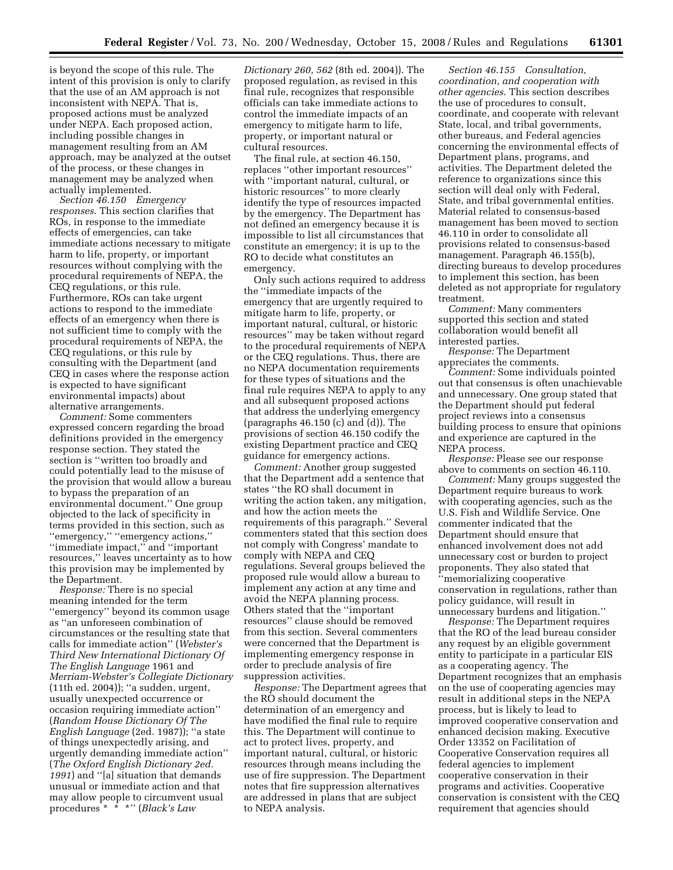is beyond the scope of this rule. The intent of this provision is only to clarify that the use of an AM approach is not inconsistent with NEPA. That is, proposed actions must be analyzed under NEPA. Each proposed action, including possible changes in management resulting from an AM approach, may be analyzed at the outset of the process, or these changes in management may be analyzed when actually implemented.

*Section 46.150 Emergency responses*. This section clarifies that ROs, in response to the immediate effects of emergencies, can take immediate actions necessary to mitigate harm to life, property, or important resources without complying with the procedural requirements of NEPA, the CEQ regulations, or this rule. Furthermore, ROs can take urgent actions to respond to the immediate effects of an emergency when there is not sufficient time to comply with the procedural requirements of NEPA, the CEQ regulations, or this rule by consulting with the Department (and CEQ in cases where the response action is expected to have significant environmental impacts) about alternative arrangements.

*Comment:* Some commenters expressed concern regarding the broad definitions provided in the emergency response section. They stated the section is ''written too broadly and could potentially lead to the misuse of the provision that would allow a bureau to bypass the preparation of an environmental document.'' One group objected to the lack of specificity in terms provided in this section, such as ''emergency,'' ''emergency actions,'' ''immediate impact,'' and ''important resources,'' leaves uncertainty as to how this provision may be implemented by the Department.

*Response:* There is no special meaning intended for the term ''emergency'' beyond its common usage as ''an unforeseen combination of circumstances or the resulting state that calls for immediate action'' (*Webster's Third New International Dictionary Of The English Language* 1961 and *Merriam-Webster's Collegiate Dictionary*  (11th ed. 2004)); ''a sudden, urgent, usually unexpected occurrence or occasion requiring immediate action'' (*Random House Dictionary Of The English Language* (2ed. 1987)); ''a state of things unexpectedly arising, and urgently demanding immediate action'' (*The Oxford English Dictionary 2ed. 1991*) and ''[a] situation that demands unusual or immediate action and that may allow people to circumvent usual procedures \* \* \*'' (*Black's Law* 

*Dictionary 260, 562* (8th ed. 2004)). The proposed regulation, as revised in this final rule, recognizes that responsible officials can take immediate actions to control the immediate impacts of an emergency to mitigate harm to life, property, or important natural or cultural resources.

The final rule, at section 46.150, replaces ''other important resources'' with ''important natural, cultural, or historic resources'' to more clearly identify the type of resources impacted by the emergency. The Department has not defined an emergency because it is impossible to list all circumstances that constitute an emergency; it is up to the RO to decide what constitutes an emergency.

Only such actions required to address the ''immediate impacts of the emergency that are urgently required to mitigate harm to life, property, or important natural, cultural, or historic resources'' may be taken without regard to the procedural requirements of NEPA or the CEQ regulations. Thus, there are no NEPA documentation requirements for these types of situations and the final rule requires NEPA to apply to any and all subsequent proposed actions that address the underlying emergency (paragraphs 46.150 (c) and (d)). The provisions of section 46.150 codify the existing Department practice and CEQ guidance for emergency actions.

*Comment:* Another group suggested that the Department add a sentence that states ''the RO shall document in writing the action taken, any mitigation, and how the action meets the requirements of this paragraph.'' Several commenters stated that this section does not comply with Congress' mandate to comply with NEPA and CEQ regulations. Several groups believed the proposed rule would allow a bureau to implement any action at any time and avoid the NEPA planning process. Others stated that the ''important resources'' clause should be removed from this section. Several commenters were concerned that the Department is implementing emergency response in order to preclude analysis of fire suppression activities.

*Response:* The Department agrees that the RO should document the determination of an emergency and have modified the final rule to require this. The Department will continue to act to protect lives, property, and important natural, cultural, or historic resources through means including the use of fire suppression. The Department notes that fire suppression alternatives are addressed in plans that are subject to NEPA analysis.

*Section 46.155 Consultation, coordination, and cooperation with other agencies*. This section describes the use of procedures to consult, coordinate, and cooperate with relevant State, local, and tribal governments, other bureaus, and Federal agencies concerning the environmental effects of Department plans, programs, and activities. The Department deleted the reference to organizations since this section will deal only with Federal, State, and tribal governmental entities. Material related to consensus-based management has been moved to section 46.110 in order to consolidate all provisions related to consensus-based management. Paragraph 46.155(b), directing bureaus to develop procedures to implement this section, has been deleted as not appropriate for regulatory treatment.

*Comment:* Many commenters supported this section and stated collaboration would benefit all interested parties.

*Response:* The Department appreciates the comments.

*Comment:* Some individuals pointed out that consensus is often unachievable and unnecessary. One group stated that the Department should put federal project reviews into a consensus building process to ensure that opinions and experience are captured in the NEPA process.

*Response:* Please see our response above to comments on section 46.110.

*Comment:* Many groups suggested the Department require bureaus to work with cooperating agencies, such as the U.S. Fish and Wildlife Service. One commenter indicated that the Department should ensure that enhanced involvement does not add unnecessary cost or burden to project proponents. They also stated that ''memorializing cooperative conservation in regulations, rather than policy guidance, will result in unnecessary burdens and litigation.''

*Response:* The Department requires that the RO of the lead bureau consider any request by an eligible government entity to participate in a particular EIS as a cooperating agency. The Department recognizes that an emphasis on the use of cooperating agencies may result in additional steps in the NEPA process, but is likely to lead to improved cooperative conservation and enhanced decision making. Executive Order 13352 on Facilitation of Cooperative Conservation requires all federal agencies to implement cooperative conservation in their programs and activities. Cooperative conservation is consistent with the CEQ requirement that agencies should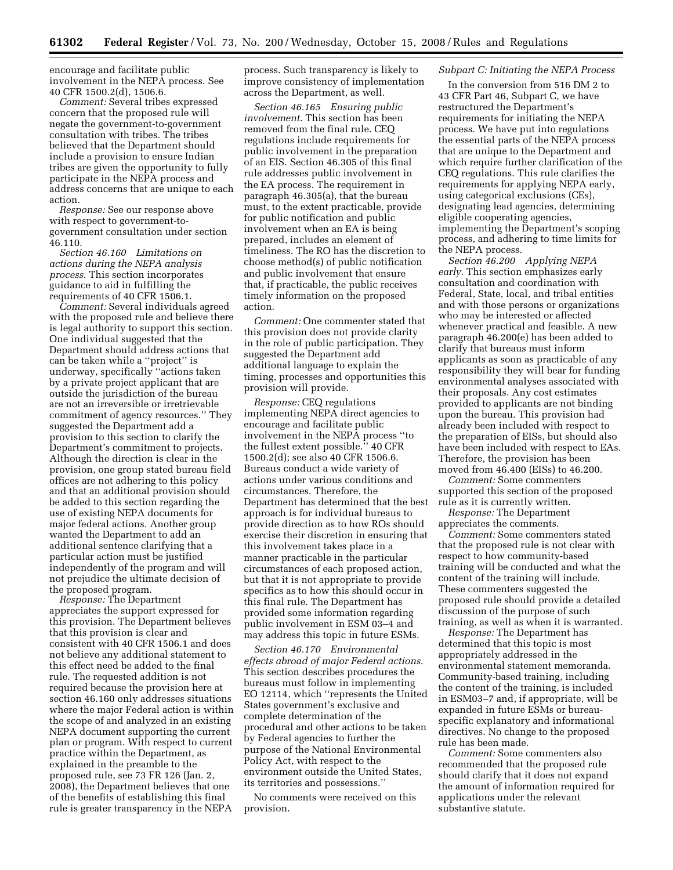encourage and facilitate public involvement in the NEPA process. See 40 CFR 1500.2(d), 1506.6.

*Comment:* Several tribes expressed concern that the proposed rule will negate the government-to-government consultation with tribes. The tribes believed that the Department should include a provision to ensure Indian tribes are given the opportunity to fully participate in the NEPA process and address concerns that are unique to each action.

*Response:* See our response above with respect to government-togovernment consultation under section 46.110.

*Section 46.160 Limitations on actions during the NEPA analysis process*. This section incorporates guidance to aid in fulfilling the requirements of 40 CFR 1506.1.

*Comment:* Several individuals agreed with the proposed rule and believe there is legal authority to support this section. One individual suggested that the Department should address actions that can be taken while a ''project'' is underway, specifically ''actions taken by a private project applicant that are outside the jurisdiction of the bureau are not an irreversible or irretrievable commitment of agency resources.'' They suggested the Department add a provision to this section to clarify the Department's commitment to projects. Although the direction is clear in the provision, one group stated bureau field offices are not adhering to this policy and that an additional provision should be added to this section regarding the use of existing NEPA documents for major federal actions. Another group wanted the Department to add an additional sentence clarifying that a particular action must be justified independently of the program and will not prejudice the ultimate decision of the proposed program.

*Response:* The Department appreciates the support expressed for this provision. The Department believes that this provision is clear and consistent with 40 CFR 1506.1 and does not believe any additional statement to this effect need be added to the final rule. The requested addition is not required because the provision here at section 46.160 only addresses situations where the major Federal action is within the scope of and analyzed in an existing NEPA document supporting the current plan or program. With respect to current practice within the Department, as explained in the preamble to the proposed rule, see 73 FR 126 (Jan. 2, 2008), the Department believes that one of the benefits of establishing this final rule is greater transparency in the NEPA

process. Such transparency is likely to improve consistency of implementation across the Department, as well.

*Section 46.165 Ensuring public involvement*. This section has been removed from the final rule. CEQ regulations include requirements for public involvement in the preparation of an EIS. Section 46.305 of this final rule addresses public involvement in the EA process. The requirement in paragraph 46.305(a), that the bureau must, to the extent practicable, provide for public notification and public involvement when an EA is being prepared, includes an element of timeliness. The RO has the discretion to choose method(s) of public notification and public involvement that ensure that, if practicable, the public receives timely information on the proposed action.

*Comment:* One commenter stated that this provision does not provide clarity in the role of public participation. They suggested the Department add additional language to explain the timing, processes and opportunities this provision will provide.

*Response:* CEQ regulations implementing NEPA direct agencies to encourage and facilitate public involvement in the NEPA process ''to the fullest extent possible.'' 40 CFR 1500.2(d); see also 40 CFR 1506.6. Bureaus conduct a wide variety of actions under various conditions and circumstances. Therefore, the Department has determined that the best approach is for individual bureaus to provide direction as to how ROs should exercise their discretion in ensuring that this involvement takes place in a manner practicable in the particular circumstances of each proposed action, but that it is not appropriate to provide specifics as to how this should occur in this final rule. The Department has provided some information regarding public involvement in ESM 03–4 and may address this topic in future ESMs.

*Section 46.170 Environmental effects abroad of major Federal actions*. This section describes procedures the bureaus must follow in implementing EO 12114, which ''represents the United States government's exclusive and complete determination of the procedural and other actions to be taken by Federal agencies to further the purpose of the National Environmental Policy Act, with respect to the environment outside the United States, its territories and possessions.''

No comments were received on this provision.

#### *Subpart C: Initiating the NEPA Process*

In the conversion from 516 DM 2 to 43 CFR Part 46, Subpart C, we have restructured the Department's requirements for initiating the NEPA process. We have put into regulations the essential parts of the NEPA process that are unique to the Department and which require further clarification of the CEQ regulations. This rule clarifies the requirements for applying NEPA early, using categorical exclusions (CEs), designating lead agencies, determining eligible cooperating agencies, implementing the Department's scoping process, and adhering to time limits for the NEPA process.

*Section 46.200 Applying NEPA early*. This section emphasizes early consultation and coordination with Federal, State, local, and tribal entities and with those persons or organizations who may be interested or affected whenever practical and feasible. A new paragraph 46.200(e) has been added to clarify that bureaus must inform applicants as soon as practicable of any responsibility they will bear for funding environmental analyses associated with their proposals. Any cost estimates provided to applicants are not binding upon the bureau. This provision had already been included with respect to the preparation of EISs, but should also have been included with respect to EAs. Therefore, the provision has been moved from 46.400 (EISs) to 46.200.

*Comment:* Some commenters supported this section of the proposed rule as it is currently written.

*Response:* The Department appreciates the comments.

*Comment:* Some commenters stated that the proposed rule is not clear with respect to how community-based training will be conducted and what the content of the training will include. These commenters suggested the proposed rule should provide a detailed discussion of the purpose of such training, as well as when it is warranted.

*Response:* The Department has determined that this topic is most appropriately addressed in the environmental statement memoranda. Community-based training, including the content of the training, is included in ESM03–7 and, if appropriate, will be expanded in future ESMs or bureauspecific explanatory and informational directives. No change to the proposed rule has been made.

*Comment:* Some commenters also recommended that the proposed rule should clarify that it does not expand the amount of information required for applications under the relevant substantive statute.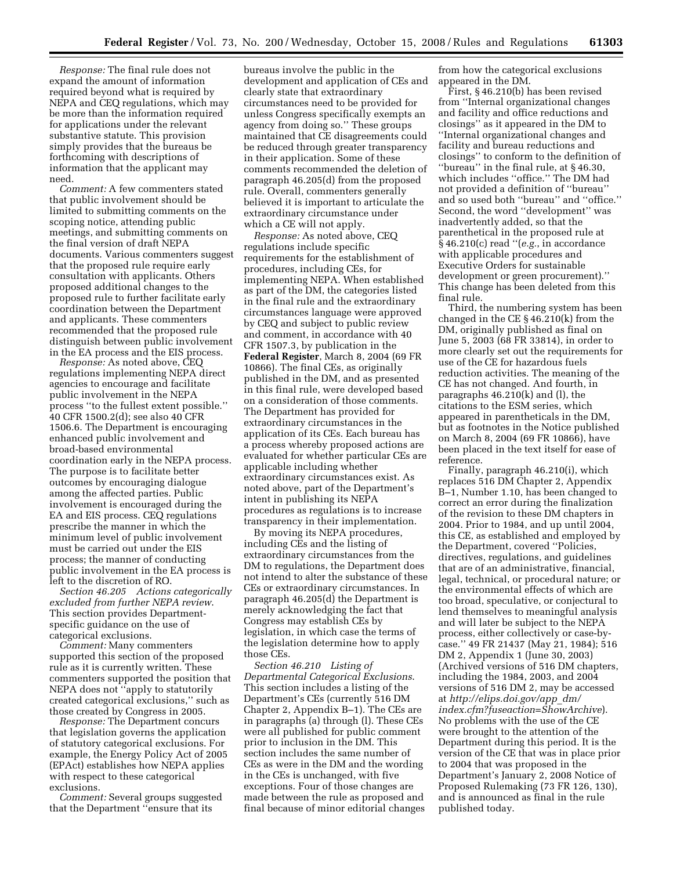*Response:* The final rule does not expand the amount of information required beyond what is required by NEPA and CEQ regulations, which may be more than the information required for applications under the relevant substantive statute. This provision simply provides that the bureaus be forthcoming with descriptions of information that the applicant may need.

*Comment:* A few commenters stated that public involvement should be limited to submitting comments on the scoping notice, attending public meetings, and submitting comments on the final version of draft NEPA documents. Various commenters suggest that the proposed rule require early consultation with applicants. Others proposed additional changes to the proposed rule to further facilitate early coordination between the Department and applicants. These commenters recommended that the proposed rule distinguish between public involvement in the EA process and the EIS process.

*Response:* As noted above, CEQ regulations implementing NEPA direct agencies to encourage and facilitate public involvement in the NEPA process ''to the fullest extent possible.'' 40 CFR 1500.2(d); see also 40 CFR 1506.6. The Department is encouraging enhanced public involvement and broad-based environmental coordination early in the NEPA process. The purpose is to facilitate better outcomes by encouraging dialogue among the affected parties. Public involvement is encouraged during the EA and EIS process. CEQ regulations prescribe the manner in which the minimum level of public involvement must be carried out under the EIS process; the manner of conducting public involvement in the EA process is left to the discretion of RO.

*Section 46.205 Actions categorically excluded from further NEPA review*. This section provides Departmentspecific guidance on the use of categorical exclusions.

*Comment:* Many commenters supported this section of the proposed rule as it is currently written. These commenters supported the position that NEPA does not ''apply to statutorily created categorical exclusions,'' such as those created by Congress in 2005.

*Response:* The Department concurs that legislation governs the application of statutory categorical exclusions. For example, the Energy Policy Act of 2005 (EPAct) establishes how NEPA applies with respect to these categorical exclusions.

*Comment:* Several groups suggested that the Department ''ensure that its

bureaus involve the public in the development and application of CEs and clearly state that extraordinary circumstances need to be provided for unless Congress specifically exempts an agency from doing so.'' These groups maintained that CE disagreements could be reduced through greater transparency in their application. Some of these comments recommended the deletion of paragraph 46.205(d) from the proposed rule. Overall, commenters generally believed it is important to articulate the extraordinary circumstance under which a CE will not apply.

*Response:* As noted above, CEQ regulations include specific requirements for the establishment of procedures, including CEs, for implementing NEPA. When established as part of the DM, the categories listed in the final rule and the extraordinary circumstances language were approved by CEQ and subject to public review and comment, in accordance with 40 CFR 1507.3, by publication in the **Federal Register**, March 8, 2004 (69 FR 10866). The final CEs, as originally published in the DM, and as presented in this final rule, were developed based on a consideration of those comments. The Department has provided for extraordinary circumstances in the application of its CEs. Each bureau has a process whereby proposed actions are evaluated for whether particular CEs are applicable including whether extraordinary circumstances exist. As noted above, part of the Department's intent in publishing its NEPA procedures as regulations is to increase transparency in their implementation.

By moving its NEPA procedures, including CEs and the listing of extraordinary circumstances from the DM to regulations, the Department does not intend to alter the substance of these CEs or extraordinary circumstances. In paragraph 46.205(d) the Department is merely acknowledging the fact that Congress may establish CEs by legislation, in which case the terms of the legislation determine how to apply those CEs.

*Section 46.210 Listing of Departmental Categorical Exclusions*. This section includes a listing of the Department's CEs (currently 516 DM Chapter 2, Appendix B–1). The CEs are in paragraphs (a) through (l). These CEs were all published for public comment prior to inclusion in the DM. This section includes the same number of CEs as were in the DM and the wording in the CEs is unchanged, with five exceptions. Four of those changes are made between the rule as proposed and final because of minor editorial changes

from how the categorical exclusions appeared in the DM.

First, § 46.210(b) has been revised from ''Internal organizational changes and facility and office reductions and closings'' as it appeared in the DM to ''Internal organizational changes and facility and bureau reductions and closings'' to conform to the definition of ''bureau'' in the final rule, at § 46.30, which includes ''office.'' The DM had not provided a definition of ''bureau'' and so used both ''bureau'' and ''office.'' Second, the word ''development'' was inadvertently added, so that the parenthetical in the proposed rule at § 46.210(c) read ''(*e.g.*, in accordance with applicable procedures and Executive Orders for sustainable development or green procurement).'' This change has been deleted from this final rule.

Third, the numbering system has been changed in the CE § 46.210(k) from the DM, originally published as final on June 5, 2003 (68 FR 33814), in order to more clearly set out the requirements for use of the CE for hazardous fuels reduction activities. The meaning of the CE has not changed. And fourth, in paragraphs  $46.210(k)$  and (l), the citations to the ESM series, which appeared in parentheticals in the DM, but as footnotes in the Notice published on March 8, 2004 (69 FR 10866), have been placed in the text itself for ease of reference.

Finally, paragraph 46.210(i), which replaces 516 DM Chapter 2, Appendix B–1, Number 1.10, has been changed to correct an error during the finalization of the revision to these DM chapters in 2004. Prior to 1984, and up until 2004, this CE, as established and employed by the Department, covered ''Policies, directives, regulations, and guidelines that are of an administrative, financial, legal, technical, or procedural nature; or the environmental effects of which are too broad, speculative, or conjectural to lend themselves to meaningful analysis and will later be subject to the NEPA process, either collectively or case-bycase.'' 49 FR 21437 (May 21, 1984); 516 DM 2, Appendix 1 (June 30, 2003) (Archived versions of 516 DM chapters, including the 1984, 2003, and 2004 versions of 516 DM 2, may be accessed at *http://elips.doi.gov/app*\_*dm/ index.cfm?fuseaction=ShowArchive*). No problems with the use of the CE were brought to the attention of the Department during this period. It is the version of the CE that was in place prior to 2004 that was proposed in the Department's January 2, 2008 Notice of Proposed Rulemaking (73 FR 126, 130), and is announced as final in the rule published today.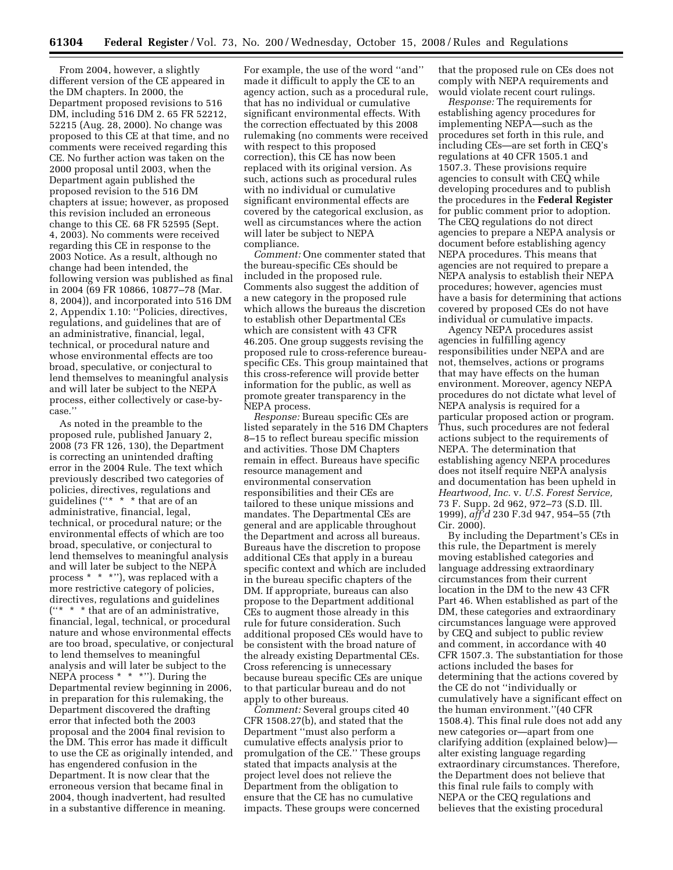From 2004, however, a slightly different version of the CE appeared in the DM chapters. In 2000, the Department proposed revisions to 516 DM, including 516 DM 2. 65 FR 52212, 52215 (Aug. 28, 2000). No change was proposed to this CE at that time, and no comments were received regarding this CE. No further action was taken on the 2000 proposal until 2003, when the Department again published the proposed revision to the 516 DM chapters at issue; however, as proposed this revision included an erroneous change to this CE. 68 FR 52595 (Sept. 4, 2003). No comments were received regarding this CE in response to the 2003 Notice. As a result, although no change had been intended, the following version was published as final in 2004 (69 FR 10866, 10877–78 (Mar. 8, 2004)), and incorporated into 516 DM 2, Appendix 1.10: ''Policies, directives, regulations, and guidelines that are of an administrative, financial, legal, technical, or procedural nature and whose environmental effects are too broad, speculative, or conjectural to lend themselves to meaningful analysis and will later be subject to the NEPA process, either collectively or case-bycase.''

As noted in the preamble to the proposed rule, published January 2, 2008 (73 FR 126, 130), the Department is correcting an unintended drafting error in the 2004 Rule. The text which previously described two categories of policies, directives, regulations and guidelines (''\* \* \* that are of an administrative, financial, legal, technical, or procedural nature; or the environmental effects of which are too broad, speculative, or conjectural to lend themselves to meaningful analysis and will later be subject to the NEPA process \* \* \*''), was replaced with a more restrictive category of policies, directives, regulations and guidelines  $($ "\* \* \* that are of an administrative, financial, legal, technical, or procedural nature and whose environmental effects are too broad, speculative, or conjectural to lend themselves to meaningful analysis and will later be subject to the NEPA process \* \* \*"). During the Departmental review beginning in 2006, in preparation for this rulemaking, the Department discovered the drafting error that infected both the 2003 proposal and the 2004 final revision to the DM. This error has made it difficult to use the CE as originally intended, and has engendered confusion in the Department. It is now clear that the erroneous version that became final in 2004, though inadvertent, had resulted in a substantive difference in meaning.

For example, the use of the word ''and'' made it difficult to apply the CE to an agency action, such as a procedural rule, that has no individual or cumulative significant environmental effects. With the correction effectuated by this 2008 rulemaking (no comments were received with respect to this proposed correction), this CE has now been replaced with its original version. As such, actions such as procedural rules with no individual or cumulative significant environmental effects are covered by the categorical exclusion, as well as circumstances where the action will later be subject to NEPA compliance.

*Comment:* One commenter stated that the bureau-specific CEs should be included in the proposed rule. Comments also suggest the addition of a new category in the proposed rule which allows the bureaus the discretion to establish other Departmental CEs which are consistent with 43 CFR 46.205. One group suggests revising the proposed rule to cross-reference bureauspecific CEs. This group maintained that this cross-reference will provide better information for the public, as well as promote greater transparency in the NEPA process.

*Response:* Bureau specific CEs are listed separately in the 516 DM Chapters 8–15 to reflect bureau specific mission and activities. Those DM Chapters remain in effect. Bureaus have specific resource management and environmental conservation responsibilities and their CEs are tailored to these unique missions and mandates. The Departmental CEs are general and are applicable throughout the Department and across all bureaus. Bureaus have the discretion to propose additional CEs that apply in a bureau specific context and which are included in the bureau specific chapters of the DM. If appropriate, bureaus can also propose to the Department additional CEs to augment those already in this rule for future consideration. Such additional proposed CEs would have to be consistent with the broad nature of the already existing Departmental CEs. Cross referencing is unnecessary because bureau specific CEs are unique to that particular bureau and do not apply to other bureaus.

*Comment:* Several groups cited 40 CFR 1508.27(b), and stated that the Department ''must also perform a cumulative effects analysis prior to promulgation of the CE.'' These groups stated that impacts analysis at the project level does not relieve the Department from the obligation to ensure that the CE has no cumulative impacts. These groups were concerned

that the proposed rule on CEs does not comply with NEPA requirements and would violate recent court rulings.

*Response:* The requirements for establishing agency procedures for implementing NEPA—such as the procedures set forth in this rule, and including CEs—are set forth in CEQ's regulations at 40 CFR 1505.1 and 1507.3. These provisions require agencies to consult with CEQ while developing procedures and to publish the procedures in the **Federal Register**  for public comment prior to adoption. The CEQ regulations do not direct agencies to prepare a NEPA analysis or document before establishing agency NEPA procedures. This means that agencies are not required to prepare a NEPA analysis to establish their NEPA procedures; however, agencies must have a basis for determining that actions covered by proposed CEs do not have individual or cumulative impacts.

Agency NEPA procedures assist agencies in fulfilling agency responsibilities under NEPA and are not, themselves, actions or programs that may have effects on the human environment. Moreover, agency NEPA procedures do not dictate what level of NEPA analysis is required for a particular proposed action or program. Thus, such procedures are not federal actions subject to the requirements of NEPA. The determination that establishing agency NEPA procedures does not itself require NEPA analysis and documentation has been upheld in *Heartwood, Inc.* v. *U.S. Forest Service,*  73 F. Supp. 2d 962, 972–73 (S.D. Ill. 1999), *aff'd* 230 F.3d 947, 954–55 (7th Cir. 2000).

By including the Department's CEs in this rule, the Department is merely moving established categories and language addressing extraordinary circumstances from their current location in the DM to the new 43 CFR Part 46. When established as part of the DM, these categories and extraordinary circumstances language were approved by CEQ and subject to public review and comment, in accordance with 40 CFR 1507.3. The substantiation for those actions included the bases for determining that the actions covered by the CE do not ''individually or cumulatively have a significant effect on the human environment.''(40 CFR 1508.4). This final rule does not add any new categories or—apart from one clarifying addition (explained below) alter existing language regarding extraordinary circumstances. Therefore, the Department does not believe that this final rule fails to comply with NEPA or the CEQ regulations and believes that the existing procedural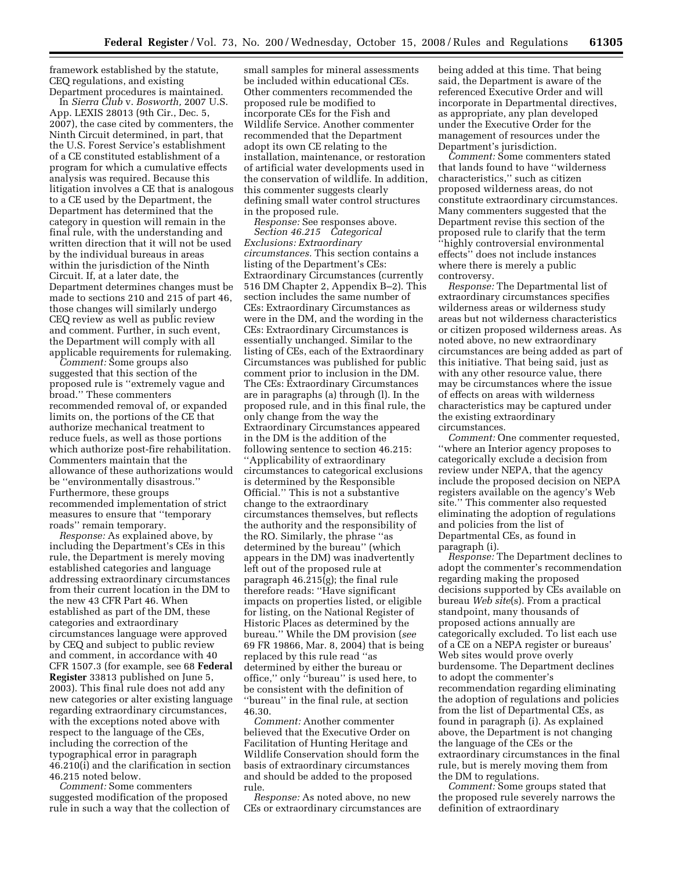framework established by the statute, CEQ regulations, and existing Department procedures is maintained.

In *Sierra Club* v. *Bosworth,* 2007 U.S. App. LEXIS 28013 (9th Cir., Dec. 5, 2007), the case cited by commenters, the Ninth Circuit determined, in part, that the U.S. Forest Service's establishment of a CE constituted establishment of a program for which a cumulative effects analysis was required. Because this litigation involves a CE that is analogous to a CE used by the Department, the Department has determined that the category in question will remain in the final rule, with the understanding and written direction that it will not be used by the individual bureaus in areas within the jurisdiction of the Ninth Circuit. If, at a later date, the Department determines changes must be made to sections 210 and 215 of part 46, those changes will similarly undergo CEQ review as well as public review and comment. Further, in such event, the Department will comply with all applicable requirements for rulemaking.

*Comment:* Some groups also suggested that this section of the proposed rule is ''extremely vague and broad.'' These commenters recommended removal of, or expanded limits on, the portions of the CE that authorize mechanical treatment to reduce fuels, as well as those portions which authorize post-fire rehabilitation. Commenters maintain that the allowance of these authorizations would be ''environmentally disastrous.'' Furthermore, these groups recommended implementation of strict measures to ensure that ''temporary roads'' remain temporary.

*Response:* As explained above, by including the Department's CEs in this rule, the Department is merely moving established categories and language addressing extraordinary circumstances from their current location in the DM to the new 43 CFR Part 46. When established as part of the DM, these categories and extraordinary circumstances language were approved by CEQ and subject to public review and comment, in accordance with 40 CFR 1507.3 (for example, see 68 **Federal Register** 33813 published on June 5, 2003). This final rule does not add any new categories or alter existing language regarding extraordinary circumstances, with the exceptions noted above with respect to the language of the CEs, including the correction of the typographical error in paragraph 46.210(i) and the clarification in section 46.215 noted below.

*Comment:* Some commenters suggested modification of the proposed rule in such a way that the collection of

small samples for mineral assessments be included within educational CEs. Other commenters recommended the proposed rule be modified to incorporate CEs for the Fish and Wildlife Service. Another commenter recommended that the Department adopt its own CE relating to the installation, maintenance, or restoration of artificial water developments used in the conservation of wildlife. In addition, this commenter suggests clearly defining small water control structures in the proposed rule.

*Response:* See responses above. *Section 46.215 Categorical Exclusions: Extraordinary circumstances.* This section contains a listing of the Department's CEs: Extraordinary Circumstances (currently 516 DM Chapter 2, Appendix B–2). This section includes the same number of CEs: Extraordinary Circumstances as were in the DM, and the wording in the CEs: Extraordinary Circumstances is essentially unchanged. Similar to the listing of CEs, each of the Extraordinary Circumstances was published for public comment prior to inclusion in the DM. The CEs: Extraordinary Circumstances are in paragraphs (a) through (l). In the proposed rule, and in this final rule, the only change from the way the Extraordinary Circumstances appeared in the DM is the addition of the following sentence to section 46.215: ''Applicability of extraordinary circumstances to categorical exclusions is determined by the Responsible Official.'' This is not a substantive change to the extraordinary circumstances themselves, but reflects the authority and the responsibility of the RO. Similarly, the phrase ''as determined by the bureau'' (which appears in the DM) was inadvertently left out of the proposed rule at paragraph 46.215(g); the final rule therefore reads: ''Have significant impacts on properties listed, or eligible for listing, on the National Register of Historic Places as determined by the bureau.'' While the DM provision (*see*  69 FR 19866, Mar. 8, 2004) that is being replaced by this rule read ''as determined by either the bureau or office,'' only ''bureau'' is used here, to be consistent with the definition of ''bureau'' in the final rule, at section 46.30.

*Comment:* Another commenter believed that the Executive Order on Facilitation of Hunting Heritage and Wildlife Conservation should form the basis of extraordinary circumstances and should be added to the proposed rule.

*Response:* As noted above, no new CEs or extraordinary circumstances are being added at this time. That being said, the Department is aware of the referenced Executive Order and will incorporate in Departmental directives, as appropriate, any plan developed under the Executive Order for the management of resources under the Department's jurisdiction.

*Comment:* Some commenters stated that lands found to have ''wilderness characteristics,'' such as citizen proposed wilderness areas, do not constitute extraordinary circumstances. Many commenters suggested that the Department revise this section of the proposed rule to clarify that the term ''highly controversial environmental effects'' does not include instances where there is merely a public controversy.

*Response:* The Departmental list of extraordinary circumstances specifies wilderness areas or wilderness study areas but not wilderness characteristics or citizen proposed wilderness areas. As noted above, no new extraordinary circumstances are being added as part of this initiative. That being said, just as with any other resource value, there may be circumstances where the issue of effects on areas with wilderness characteristics may be captured under the existing extraordinary circumstances.

*Comment:* One commenter requested, ''where an Interior agency proposes to categorically exclude a decision from review under NEPA, that the agency include the proposed decision on NEPA registers available on the agency's Web site.'' This commenter also requested eliminating the adoption of regulations and policies from the list of Departmental CEs, as found in paragraph (i).

*Response:* The Department declines to adopt the commenter's recommendation regarding making the proposed decisions supported by CEs available on bureau *Web site*(s). From a practical standpoint, many thousands of proposed actions annually are categorically excluded. To list each use of a CE on a NEPA register or bureaus' Web sites would prove overly burdensome. The Department declines to adopt the commenter's recommendation regarding eliminating the adoption of regulations and policies from the list of Departmental CEs, as found in paragraph (i). As explained above, the Department is not changing the language of the CEs or the extraordinary circumstances in the final rule, but is merely moving them from the DM to regulations.

*Comment:* Some groups stated that the proposed rule severely narrows the definition of extraordinary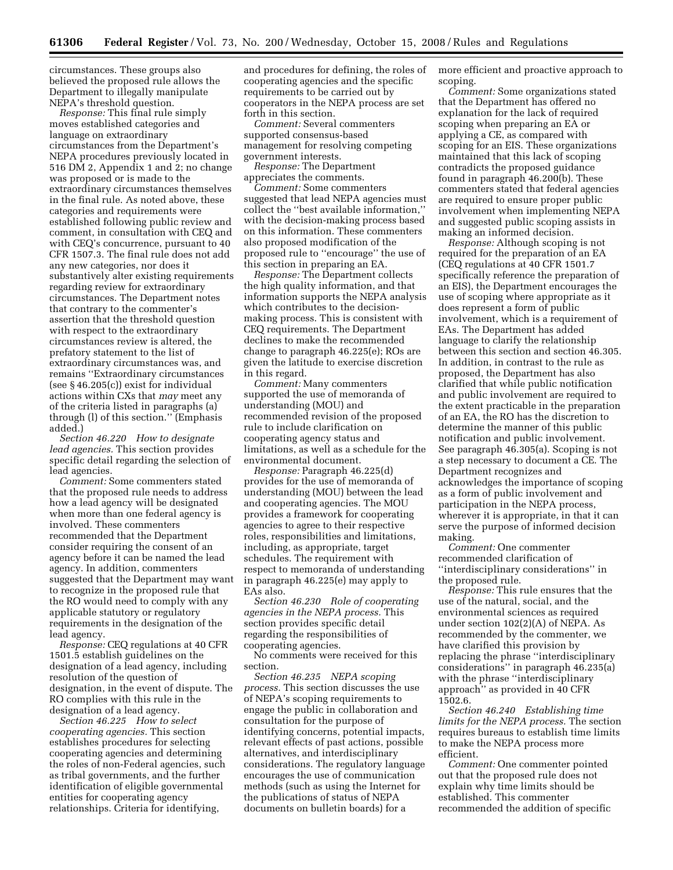circumstances. These groups also believed the proposed rule allows the Department to illegally manipulate NEPA's threshold question.

*Response:* This final rule simply moves established categories and language on extraordinary circumstances from the Department's NEPA procedures previously located in 516 DM 2, Appendix 1 and 2; no change was proposed or is made to the extraordinary circumstances themselves in the final rule. As noted above, these categories and requirements were established following public review and comment, in consultation with CEQ and with CEQ's concurrence, pursuant to 40 CFR 1507.3. The final rule does not add any new categories, nor does it substantively alter existing requirements regarding review for extraordinary circumstances. The Department notes that contrary to the commenter's assertion that the threshold question with respect to the extraordinary circumstances review is altered, the prefatory statement to the list of extraordinary circumstances was, and remains ''Extraordinary circumstances (see § 46.205(c)) exist for individual actions within CXs that *may* meet any of the criteria listed in paragraphs (a) through (l) of this section.'' (Emphasis added.)

*Section 46.220 How to designate lead agencies.* This section provides specific detail regarding the selection of lead agencies.

*Comment:* Some commenters stated that the proposed rule needs to address how a lead agency will be designated when more than one federal agency is involved. These commenters recommended that the Department consider requiring the consent of an agency before it can be named the lead agency. In addition, commenters suggested that the Department may want to recognize in the proposed rule that the RO would need to comply with any applicable statutory or regulatory requirements in the designation of the lead agency.

*Response:* CEQ regulations at 40 CFR 1501.5 establish guidelines on the designation of a lead agency, including resolution of the question of designation, in the event of dispute. The RO complies with this rule in the designation of a lead agency.

*Section 46.225 How to select cooperating agencies.* This section establishes procedures for selecting cooperating agencies and determining the roles of non-Federal agencies, such as tribal governments, and the further identification of eligible governmental entities for cooperating agency relationships. Criteria for identifying,

and procedures for defining, the roles of cooperating agencies and the specific requirements to be carried out by cooperators in the NEPA process are set forth in this section.

*Comment:* Several commenters supported consensus-based management for resolving competing government interests.

*Response:* The Department appreciates the comments.

*Comment:* Some commenters suggested that lead NEPA agencies must collect the ''best available information,'' with the decision-making process based on this information. These commenters also proposed modification of the proposed rule to ''encourage'' the use of this section in preparing an EA.

*Response:* The Department collects the high quality information, and that information supports the NEPA analysis which contributes to the decisionmaking process. This is consistent with CEQ requirements. The Department declines to make the recommended change to paragraph 46.225(e); ROs are given the latitude to exercise discretion in this regard.

*Comment:* Many commenters supported the use of memoranda of understanding (MOU) and recommended revision of the proposed rule to include clarification on cooperating agency status and limitations, as well as a schedule for the environmental document.

*Response:* Paragraph 46.225(d) provides for the use of memoranda of understanding (MOU) between the lead and cooperating agencies. The MOU provides a framework for cooperating agencies to agree to their respective roles, responsibilities and limitations, including, as appropriate, target schedules. The requirement with respect to memoranda of understanding in paragraph 46.225(e) may apply to EAs also.

*Section 46.230 Role of cooperating agencies in the NEPA process.* This section provides specific detail regarding the responsibilities of cooperating agencies.

No comments were received for this section.

*Section 46.235 NEPA scoping process.* This section discusses the use of NEPA's scoping requirements to engage the public in collaboration and consultation for the purpose of identifying concerns, potential impacts, relevant effects of past actions, possible alternatives, and interdisciplinary considerations. The regulatory language encourages the use of communication methods (such as using the Internet for the publications of status of NEPA documents on bulletin boards) for a

more efficient and proactive approach to scoping.

*Comment:* Some organizations stated that the Department has offered no explanation for the lack of required scoping when preparing an EA or applying a CE, as compared with scoping for an EIS. These organizations maintained that this lack of scoping contradicts the proposed guidance found in paragraph 46.200(b). These commenters stated that federal agencies are required to ensure proper public involvement when implementing NEPA and suggested public scoping assists in making an informed decision.

*Response:* Although scoping is not required for the preparation of an EA (CEQ regulations at 40 CFR 1501.7 specifically reference the preparation of an EIS), the Department encourages the use of scoping where appropriate as it does represent a form of public involvement, which is a requirement of EAs. The Department has added language to clarify the relationship between this section and section 46.305. In addition, in contrast to the rule as proposed, the Department has also clarified that while public notification and public involvement are required to the extent practicable in the preparation of an EA, the RO has the discretion to determine the manner of this public notification and public involvement. See paragraph 46.305(a). Scoping is not a step necessary to document a CE. The Department recognizes and acknowledges the importance of scoping as a form of public involvement and participation in the NEPA process, wherever it is appropriate, in that it can serve the purpose of informed decision making.

*Comment:* One commenter recommended clarification of ''interdisciplinary considerations'' in the proposed rule.

*Response:* This rule ensures that the use of the natural, social, and the environmental sciences as required under section 102(2)(A) of NEPA. As recommended by the commenter, we have clarified this provision by replacing the phrase ''interdisciplinary considerations'' in paragraph 46.235(a) with the phrase ''interdisciplinary approach'' as provided in 40 CFR 1502.6.

*Section 46.240 Establishing time limits for the NEPA process.* The section requires bureaus to establish time limits to make the NEPA process more efficient.

*Comment:* One commenter pointed out that the proposed rule does not explain why time limits should be established. This commenter recommended the addition of specific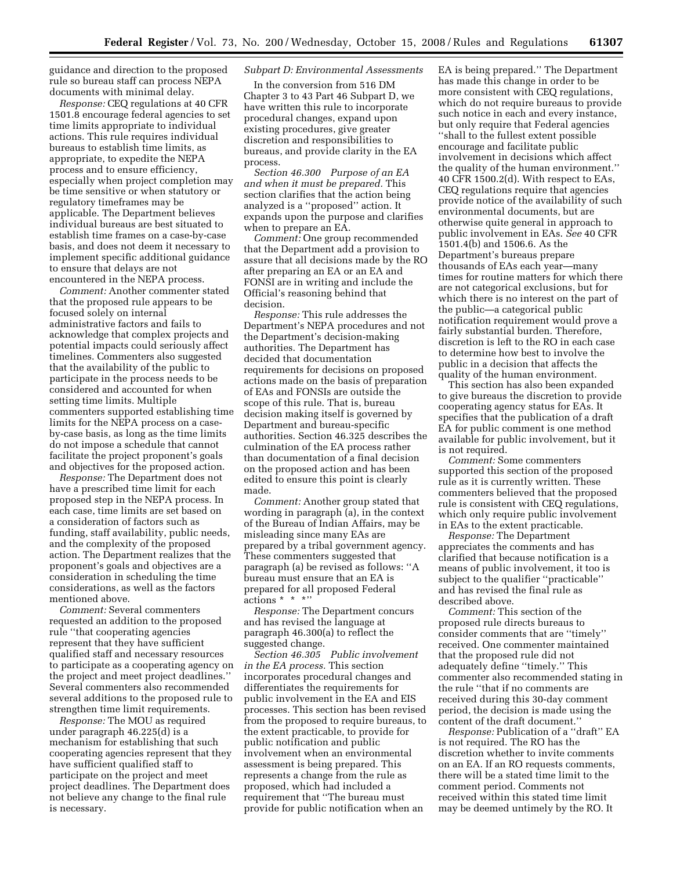guidance and direction to the proposed rule so bureau staff can process NEPA documents with minimal delay.

*Response:* CEQ regulations at 40 CFR 1501.8 encourage federal agencies to set time limits appropriate to individual actions. This rule requires individual bureaus to establish time limits, as appropriate, to expedite the NEPA process and to ensure efficiency, especially when project completion may be time sensitive or when statutory or regulatory timeframes may be applicable. The Department believes individual bureaus are best situated to establish time frames on a case-by-case basis, and does not deem it necessary to implement specific additional guidance to ensure that delays are not encountered in the NEPA process.

*Comment:* Another commenter stated that the proposed rule appears to be focused solely on internal administrative factors and fails to acknowledge that complex projects and potential impacts could seriously affect timelines. Commenters also suggested that the availability of the public to participate in the process needs to be considered and accounted for when setting time limits. Multiple commenters supported establishing time limits for the NEPA process on a caseby-case basis, as long as the time limits do not impose a schedule that cannot facilitate the project proponent's goals and objectives for the proposed action.

*Response:* The Department does not have a prescribed time limit for each proposed step in the NEPA process. In each case, time limits are set based on a consideration of factors such as funding, staff availability, public needs, and the complexity of the proposed action. The Department realizes that the proponent's goals and objectives are a consideration in scheduling the time considerations, as well as the factors mentioned above.

*Comment:* Several commenters requested an addition to the proposed rule ''that cooperating agencies represent that they have sufficient qualified staff and necessary resources to participate as a cooperating agency on the project and meet project deadlines.'' Several commenters also recommended several additions to the proposed rule to strengthen time limit requirements.

*Response:* The MOU as required under paragraph 46.225(d) is a mechanism for establishing that such cooperating agencies represent that they have sufficient qualified staff to participate on the project and meet project deadlines. The Department does not believe any change to the final rule is necessary.

#### *Subpart D: Environmental Assessments*

In the conversion from 516 DM Chapter 3 to 43 Part 46 Subpart D, we have written this rule to incorporate procedural changes, expand upon existing procedures, give greater discretion and responsibilities to bureaus, and provide clarity in the EA process.

*Section 46.300 Purpose of an EA and when it must be prepared.* This section clarifies that the action being analyzed is a ''proposed'' action. It expands upon the purpose and clarifies when to prepare an EA.

*Comment:* One group recommended that the Department add a provision to assure that all decisions made by the RO after preparing an EA or an EA and FONSI are in writing and include the Official's reasoning behind that decision.

*Response:* This rule addresses the Department's NEPA procedures and not the Department's decision-making authorities. The Department has decided that documentation requirements for decisions on proposed actions made on the basis of preparation of EAs and FONSIs are outside the scope of this rule. That is, bureau decision making itself is governed by Department and bureau-specific authorities. Section 46.325 describes the culmination of the EA process rather than documentation of a final decision on the proposed action and has been edited to ensure this point is clearly made.

*Comment:* Another group stated that wording in paragraph (a), in the context of the Bureau of Indian Affairs, may be misleading since many EAs are prepared by a tribal government agency. These commenters suggested that paragraph (a) be revised as follows: ''A bureau must ensure that an EA is prepared for all proposed Federal actions \* \* \*''

*Response:* The Department concurs and has revised the language at paragraph 46.300(a) to reflect the suggested change.

*Section 46.305 Public involvement in the EA process.* This section incorporates procedural changes and differentiates the requirements for public involvement in the EA and EIS processes. This section has been revised from the proposed to require bureaus, to the extent practicable, to provide for public notification and public involvement when an environmental assessment is being prepared. This represents a change from the rule as proposed, which had included a requirement that ''The bureau must provide for public notification when an

EA is being prepared.'' The Department has made this change in order to be more consistent with CEQ regulations, which do not require bureaus to provide such notice in each and every instance, but only require that Federal agencies ''shall to the fullest extent possible encourage and facilitate public involvement in decisions which affect the quality of the human environment.'' 40 CFR 1500.2(d). With respect to EAs, CEQ regulations require that agencies provide notice of the availability of such environmental documents, but are otherwise quite general in approach to public involvement in EAs. *See* 40 CFR 1501.4(b) and 1506.6. As the Department's bureaus prepare thousands of EAs each year—many times for routine matters for which there are not categorical exclusions, but for which there is no interest on the part of the public—a categorical public notification requirement would prove a fairly substantial burden. Therefore, discretion is left to the RO in each case to determine how best to involve the public in a decision that affects the quality of the human environment.

This section has also been expanded to give bureaus the discretion to provide cooperating agency status for EAs. It specifies that the publication of a draft EA for public comment is one method available for public involvement, but it is not required.

*Comment:* Some commenters supported this section of the proposed rule as it is currently written. These commenters believed that the proposed rule is consistent with CEQ regulations, which only require public involvement in EAs to the extent practicable.

*Response:* The Department appreciates the comments and has clarified that because notification is a means of public involvement, it too is subject to the qualifier ''practicable'' and has revised the final rule as described above.

*Comment:* This section of the proposed rule directs bureaus to consider comments that are ''timely'' received. One commenter maintained that the proposed rule did not adequately define ''timely.'' This commenter also recommended stating in the rule ''that if no comments are received during this 30-day comment period, the decision is made using the content of the draft document.''

*Response:* Publication of a ''draft'' EA is not required. The RO has the discretion whether to invite comments on an EA. If an RO requests comments, there will be a stated time limit to the comment period. Comments not received within this stated time limit may be deemed untimely by the RO. It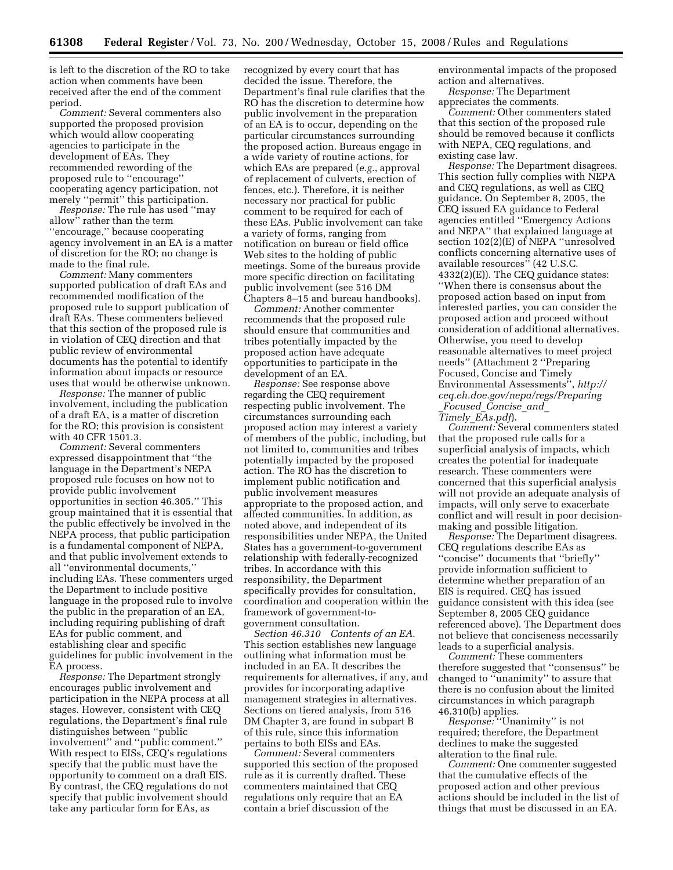is left to the discretion of the RO to take action when comments have been received after the end of the comment period.

*Comment:* Several commenters also supported the proposed provision which would allow cooperating agencies to participate in the development of EAs. They recommended rewording of the proposed rule to ''encourage'' cooperating agency participation, not merely ''permit'' this participation.

*Response:* The rule has used ''may allow<sup>"</sup> rather than the term ''encourage,'' because cooperating agency involvement in an EA is a matter of discretion for the RO; no change is made to the final rule.

*Comment:* Many commenters supported publication of draft EAs and recommended modification of the proposed rule to support publication of draft EAs. These commenters believed that this section of the proposed rule is in violation of CEQ direction and that public review of environmental documents has the potential to identify information about impacts or resource uses that would be otherwise unknown.

*Response:* The manner of public involvement, including the publication of a draft EA, is a matter of discretion for the RO; this provision is consistent with 40 CFR 1501.3.

*Comment:* Several commenters expressed disappointment that ''the language in the Department's NEPA proposed rule focuses on how not to provide public involvement opportunities in section 46.305.'' This group maintained that it is essential that the public effectively be involved in the NEPA process, that public participation is a fundamental component of NEPA, and that public involvement extends to all ''environmental documents,'' including EAs. These commenters urged the Department to include positive language in the proposed rule to involve the public in the preparation of an EA, including requiring publishing of draft EAs for public comment, and establishing clear and specific guidelines for public involvement in the EA process.

*Response:* The Department strongly encourages public involvement and participation in the NEPA process at all stages. However, consistent with CEQ regulations, the Department's final rule distinguishes between ''public involvement'' and ''public comment.'' With respect to EISs, CEQ's regulations specify that the public must have the opportunity to comment on a draft EIS. By contrast, the CEQ regulations do not specify that public involvement should take any particular form for EAs, as

recognized by every court that has decided the issue. Therefore, the Department's final rule clarifies that the RO has the discretion to determine how public involvement in the preparation of an EA is to occur, depending on the particular circumstances surrounding the proposed action. Bureaus engage in a wide variety of routine actions, for which EAs are prepared (*e.g.*, approval of replacement of culverts, erection of fences, etc.). Therefore, it is neither necessary nor practical for public comment to be required for each of these EAs. Public involvement can take a variety of forms, ranging from notification on bureau or field office Web sites to the holding of public meetings. Some of the bureaus provide more specific direction on facilitating public involvement (see 516 DM Chapters 8–15 and bureau handbooks).

*Comment:* Another commenter recommends that the proposed rule should ensure that communities and tribes potentially impacted by the proposed action have adequate opportunities to participate in the development of an EA.

*Response:* See response above regarding the CEQ requirement respecting public involvement. The circumstances surrounding each proposed action may interest a variety of members of the public, including, but not limited to, communities and tribes potentially impacted by the proposed action. The RO has the discretion to implement public notification and public involvement measures appropriate to the proposed action, and affected communities. In addition, as noted above, and independent of its responsibilities under NEPA, the United States has a government-to-government relationship with federally-recognized tribes. In accordance with this responsibility, the Department specifically provides for consultation, coordination and cooperation within the framework of government-togovernment consultation.

*Section 46.310 Contents of an EA.*  This section establishes new language outlining what information must be included in an EA. It describes the requirements for alternatives, if any, and provides for incorporating adaptive management strategies in alternatives. Sections on tiered analysis, from 516 DM Chapter 3, are found in subpart B of this rule, since this information pertains to both EISs and EAs.

*Comment:* Several commenters supported this section of the proposed rule as it is currently drafted. These commenters maintained that CEQ regulations only require that an EA contain a brief discussion of the

environmental impacts of the proposed action and alternatives.

*Response:* The Department appreciates the comments.

*Comment:* Other commenters stated that this section of the proposed rule should be removed because it conflicts with NEPA, CEQ regulations, and existing case law.

*Response:* The Department disagrees. This section fully complies with NEPA and CEQ regulations, as well as CEQ guidance. On September 8, 2005, the CEQ issued EA guidance to Federal agencies entitled ''Emergency Actions and NEPA'' that explained language at section 102(2)(E) of NEPA ''unresolved conflicts concerning alternative uses of available resources'' (42 U.S.C. 4332(2)(E)). The CEQ guidance states: ''When there is consensus about the proposed action based on input from interested parties, you can consider the proposed action and proceed without consideration of additional alternatives. Otherwise, you need to develop reasonable alternatives to meet project needs'' (Attachment 2 ''Preparing Focused, Concise and Timely Environmental Assessments'', *http:// ceq.eh.doe.gov/nepa/regs/Preparing* \_*Focused*\_*Concise*\_*and*\_ *Timely*\_*EAs.pdf*).

*Comment:* Several commenters stated that the proposed rule calls for a superficial analysis of impacts, which creates the potential for inadequate research. These commenters were concerned that this superficial analysis will not provide an adequate analysis of impacts, will only serve to exacerbate conflict and will result in poor decisionmaking and possible litigation.

*Response:* The Department disagrees. CEQ regulations describe EAs as ''concise'' documents that ''briefly'' provide information sufficient to determine whether preparation of an EIS is required. CEQ has issued guidance consistent with this idea (see September 8, 2005 CEQ guidance referenced above). The Department does not believe that conciseness necessarily leads to a superficial analysis.

*Comment:* These commenters therefore suggested that ''consensus'' be changed to ''unanimity'' to assure that there is no confusion about the limited circumstances in which paragraph 46.310(b) applies.

*Response:* ''Unanimity'' is not required; therefore, the Department declines to make the suggested alteration to the final rule.

*Comment:* One commenter suggested that the cumulative effects of the proposed action and other previous actions should be included in the list of things that must be discussed in an EA.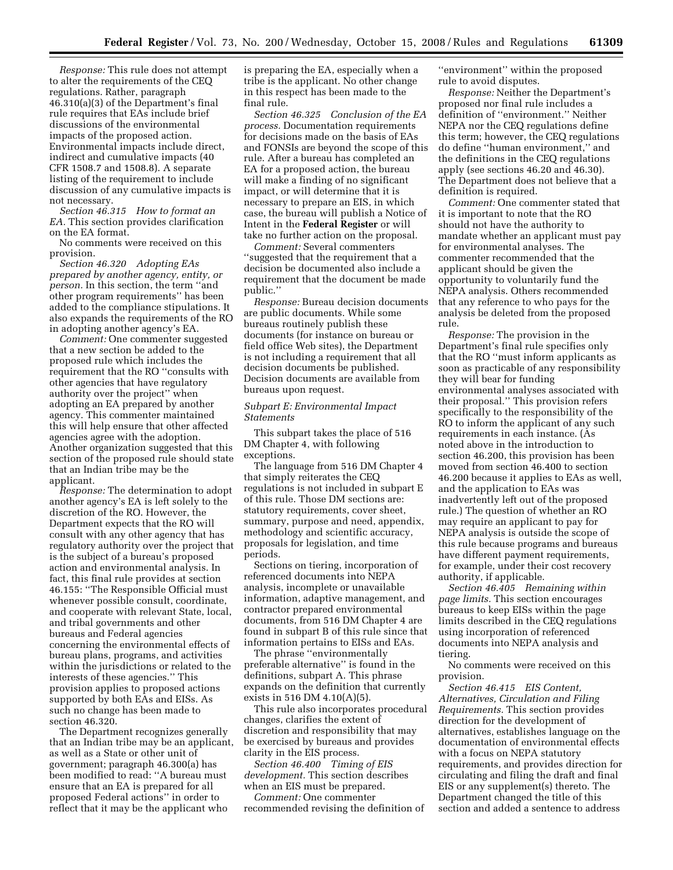*Response:* This rule does not attempt to alter the requirements of the CEQ regulations. Rather, paragraph 46.310(a)(3) of the Department's final rule requires that EAs include brief discussions of the environmental impacts of the proposed action. Environmental impacts include direct, indirect and cumulative impacts (40 CFR 1508.7 and 1508.8). A separate listing of the requirement to include discussion of any cumulative impacts is not necessary.

*Section 46.315 How to format an EA.* This section provides clarification on the EA format.

No comments were received on this provision.

*Section 46.320 Adopting EAs prepared by another agency, entity, or person.* In this section, the term ''and other program requirements'' has been added to the compliance stipulations. It also expands the requirements of the RO in adopting another agency's EA.

*Comment:* One commenter suggested that a new section be added to the proposed rule which includes the requirement that the RO ''consults with other agencies that have regulatory authority over the project'' when adopting an EA prepared by another agency. This commenter maintained this will help ensure that other affected agencies agree with the adoption. Another organization suggested that this section of the proposed rule should state that an Indian tribe may be the applicant.

*Response:* The determination to adopt another agency's EA is left solely to the discretion of the RO. However, the Department expects that the RO will consult with any other agency that has regulatory authority over the project that is the subject of a bureau's proposed action and environmental analysis. In fact, this final rule provides at section 46.155: ''The Responsible Official must whenever possible consult, coordinate, and cooperate with relevant State, local, and tribal governments and other bureaus and Federal agencies concerning the environmental effects of bureau plans, programs, and activities within the jurisdictions or related to the interests of these agencies.'' This provision applies to proposed actions supported by both EAs and EISs. As such no change has been made to section 46.320.

The Department recognizes generally that an Indian tribe may be an applicant, as well as a State or other unit of government; paragraph 46.300(a) has been modified to read: ''A bureau must ensure that an EA is prepared for all proposed Federal actions'' in order to reflect that it may be the applicant who

is preparing the EA, especially when a tribe is the applicant. No other change in this respect has been made to the final rule.

*Section 46.325 Conclusion of the EA process.* Documentation requirements for decisions made on the basis of EAs and FONSIs are beyond the scope of this rule. After a bureau has completed an EA for a proposed action, the bureau will make a finding of no significant impact, or will determine that it is necessary to prepare an EIS, in which case, the bureau will publish a Notice of Intent in the **Federal Register** or will take no further action on the proposal.

*Comment:* Several commenters ''suggested that the requirement that a decision be documented also include a requirement that the document be made public.''

*Response:* Bureau decision documents are public documents. While some bureaus routinely publish these documents (for instance on bureau or field office Web sites), the Department is not including a requirement that all decision documents be published. Decision documents are available from bureaus upon request.

#### *Subpart E: Environmental Impact Statements*

This subpart takes the place of 516 DM Chapter 4, with following exceptions.

The language from 516 DM Chapter 4 that simply reiterates the CEQ regulations is not included in subpart E of this rule. Those DM sections are: statutory requirements, cover sheet, summary, purpose and need, appendix, methodology and scientific accuracy, proposals for legislation, and time periods.

Sections on tiering, incorporation of referenced documents into NEPA analysis, incomplete or unavailable information, adaptive management, and contractor prepared environmental documents, from 516 DM Chapter 4 are found in subpart B of this rule since that information pertains to EISs and EAs.

The phrase ''environmentally preferable alternative'' is found in the definitions, subpart A. This phrase expands on the definition that currently exists in 516 DM 4.10(A)(5).

This rule also incorporates procedural changes, clarifies the extent of discretion and responsibility that may be exercised by bureaus and provides clarity in the EIS process.

*Section 46.400 Timing of EIS development.* This section describes when an EIS must be prepared.

*Comment:* One commenter recommended revising the definition of ''environment'' within the proposed rule to avoid disputes.

*Response:* Neither the Department's proposed nor final rule includes a definition of ''environment.'' Neither NEPA nor the CEQ regulations define this term; however, the CEQ regulations do define ''human environment,'' and the definitions in the CEQ regulations apply (see sections 46.20 and 46.30). The Department does not believe that a definition is required.

*Comment:* One commenter stated that it is important to note that the RO should not have the authority to mandate whether an applicant must pay for environmental analyses. The commenter recommended that the applicant should be given the opportunity to voluntarily fund the NEPA analysis. Others recommended that any reference to who pays for the analysis be deleted from the proposed rule.

*Response:* The provision in the Department's final rule specifies only that the RO ''must inform applicants as soon as practicable of any responsibility they will bear for funding environmental analyses associated with their proposal.'' This provision refers specifically to the responsibility of the RO to inform the applicant of any such requirements in each instance. (As noted above in the introduction to section 46.200, this provision has been moved from section 46.400 to section 46.200 because it applies to EAs as well, and the application to EAs was inadvertently left out of the proposed rule.) The question of whether an RO may require an applicant to pay for NEPA analysis is outside the scope of this rule because programs and bureaus have different payment requirements, for example, under their cost recovery authority, if applicable.

*Section 46.405 Remaining within page limits.* This section encourages bureaus to keep EISs within the page limits described in the CEQ regulations using incorporation of referenced documents into NEPA analysis and tiering.

No comments were received on this provision.

*Section 46.415 EIS Content, Alternatives, Circulation and Filing Requirements.* This section provides direction for the development of alternatives, establishes language on the documentation of environmental effects with a focus on NEPA statutory requirements, and provides direction for circulating and filing the draft and final EIS or any supplement(s) thereto. The Department changed the title of this section and added a sentence to address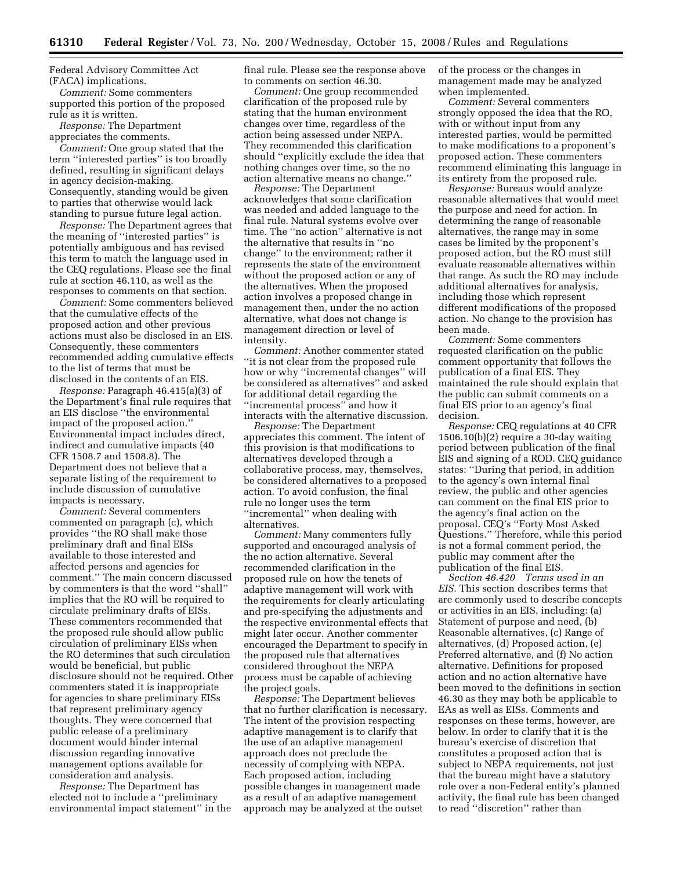Federal Advisory Committee Act (FACA) implications.

*Comment:* Some commenters supported this portion of the proposed rule as it is written.

*Response:* The Department appreciates the comments.

*Comment:* One group stated that the term ''interested parties'' is too broadly defined, resulting in significant delays in agency decision-making. Consequently, standing would be given to parties that otherwise would lack standing to pursue future legal action.

*Response:* The Department agrees that the meaning of ''interested parties'' is potentially ambiguous and has revised this term to match the language used in the CEQ regulations. Please see the final rule at section 46.110, as well as the responses to comments on that section.

*Comment:* Some commenters believed that the cumulative effects of the proposed action and other previous actions must also be disclosed in an EIS. Consequently, these commenters recommended adding cumulative effects to the list of terms that must be disclosed in the contents of an EIS.

*Response:* Paragraph 46.415(a)(3) of the Department's final rule requires that an EIS disclose ''the environmental impact of the proposed action.'' Environmental impact includes direct, indirect and cumulative impacts (40 CFR 1508.7 and 1508.8). The Department does not believe that a separate listing of the requirement to include discussion of cumulative impacts is necessary.

*Comment:* Several commenters commented on paragraph (c), which provides ''the RO shall make those preliminary draft and final EISs available to those interested and affected persons and agencies for comment.'' The main concern discussed by commenters is that the word ''shall'' implies that the RO will be required to circulate preliminary drafts of EISs. These commenters recommended that the proposed rule should allow public circulation of preliminary EISs when the RO determines that such circulation would be beneficial, but public disclosure should not be required. Other commenters stated it is inappropriate for agencies to share preliminary EISs that represent preliminary agency thoughts. They were concerned that public release of a preliminary document would hinder internal discussion regarding innovative management options available for consideration and analysis.

*Response:* The Department has elected not to include a ''preliminary environmental impact statement'' in the final rule. Please see the response above to comments on section 46.30.

*Comment:* One group recommended clarification of the proposed rule by stating that the human environment changes over time, regardless of the action being assessed under NEPA. They recommended this clarification should ''explicitly exclude the idea that nothing changes over time, so the no action alternative means no change.''

*Response:* The Department acknowledges that some clarification was needed and added language to the final rule. Natural systems evolve over time. The ''no action'' alternative is not the alternative that results in ''no change'' to the environment; rather it represents the state of the environment without the proposed action or any of the alternatives. When the proposed action involves a proposed change in management then, under the no action alternative, what does not change is management direction or level of intensity.

*Comment:* Another commenter stated ''it is not clear from the proposed rule how or why ''incremental changes'' will be considered as alternatives'' and asked for additional detail regarding the ''incremental process'' and how it interacts with the alternative discussion.

*Response:* The Department appreciates this comment. The intent of this provision is that modifications to alternatives developed through a collaborative process, may, themselves, be considered alternatives to a proposed action. To avoid confusion, the final rule no longer uses the term ''incremental'' when dealing with alternatives.

*Comment:* Many commenters fully supported and encouraged analysis of the no action alternative. Several recommended clarification in the proposed rule on how the tenets of adaptive management will work with the requirements for clearly articulating and pre-specifying the adjustments and the respective environmental effects that might later occur. Another commenter encouraged the Department to specify in the proposed rule that alternatives considered throughout the NEPA process must be capable of achieving the project goals.

*Response:* The Department believes that no further clarification is necessary. The intent of the provision respecting adaptive management is to clarify that the use of an adaptive management approach does not preclude the necessity of complying with NEPA. Each proposed action, including possible changes in management made as a result of an adaptive management approach may be analyzed at the outset

of the process or the changes in management made may be analyzed when implemented.

*Comment:* Several commenters strongly opposed the idea that the RO, with or without input from any interested parties, would be permitted to make modifications to a proponent's proposed action. These commenters recommend eliminating this language in its entirety from the proposed rule.

*Response:* Bureaus would analyze reasonable alternatives that would meet the purpose and need for action. In determining the range of reasonable alternatives, the range may in some cases be limited by the proponent's proposed action, but the RO must still evaluate reasonable alternatives within that range. As such the RO may include additional alternatives for analysis, including those which represent different modifications of the proposed action. No change to the provision has been made.

*Comment:* Some commenters requested clarification on the public comment opportunity that follows the publication of a final EIS. They maintained the rule should explain that the public can submit comments on a final EIS prior to an agency's final decision.

*Response:* CEQ regulations at 40 CFR 1506.10(b)(2) require a 30-day waiting period between publication of the final EIS and signing of a ROD. CEQ guidance states: ''During that period, in addition to the agency's own internal final review, the public and other agencies can comment on the final EIS prior to the agency's final action on the proposal. CEQ's ''Forty Most Asked Questions.'' Therefore, while this period is not a formal comment period, the public may comment after the publication of the final EIS.

*Section 46.420 Terms used in an EIS.* This section describes terms that are commonly used to describe concepts or activities in an EIS, including: (a) Statement of purpose and need, (b) Reasonable alternatives, (c) Range of alternatives, (d) Proposed action, (e) Preferred alternative, and (f) No action alternative. Definitions for proposed action and no action alternative have been moved to the definitions in section 46.30 as they may both be applicable to EAs as well as EISs. Comments and responses on these terms, however, are below. In order to clarify that it is the bureau's exercise of discretion that constitutes a proposed action that is subject to NEPA requirements, not just that the bureau might have a statutory role over a non-Federal entity's planned activity, the final rule has been changed to read ''discretion'' rather than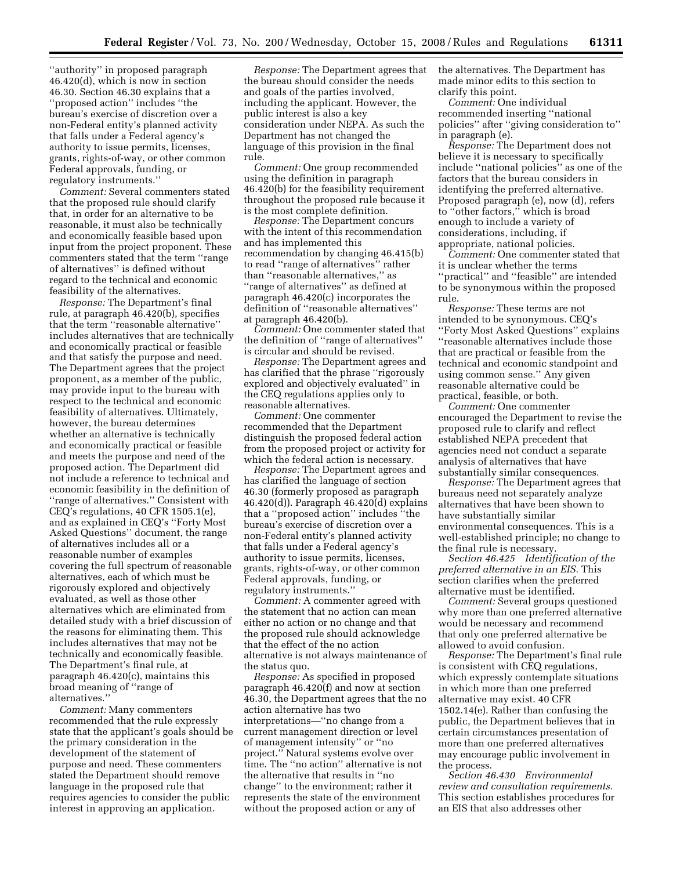''authority'' in proposed paragraph 46.420(d), which is now in section 46.30. Section 46.30 explains that a ''proposed action'' includes ''the bureau's exercise of discretion over a non-Federal entity's planned activity that falls under a Federal agency's authority to issue permits, licenses, grants, rights-of-way, or other common Federal approvals, funding, or regulatory instruments.''

*Comment:* Several commenters stated that the proposed rule should clarify that, in order for an alternative to be reasonable, it must also be technically and economically feasible based upon input from the project proponent. These commenters stated that the term ''range of alternatives'' is defined without regard to the technical and economic feasibility of the alternatives.

*Response:* The Department's final rule, at paragraph 46.420(b), specifies that the term ''reasonable alternative'' includes alternatives that are technically and economically practical or feasible and that satisfy the purpose and need. The Department agrees that the project proponent, as a member of the public, may provide input to the bureau with respect to the technical and economic feasibility of alternatives. Ultimately, however, the bureau determines whether an alternative is technically and economically practical or feasible and meets the purpose and need of the proposed action. The Department did not include a reference to technical and economic feasibility in the definition of ''range of alternatives.'' Consistent with CEQ's regulations, 40 CFR 1505.1(e), and as explained in CEQ's ''Forty Most Asked Questions'' document, the range of alternatives includes all or a reasonable number of examples covering the full spectrum of reasonable alternatives, each of which must be rigorously explored and objectively evaluated, as well as those other alternatives which are eliminated from detailed study with a brief discussion of the reasons for eliminating them. This includes alternatives that may not be technically and economically feasible. The Department's final rule, at paragraph 46.420(c), maintains this broad meaning of ''range of alternatives.''

*Comment:* Many commenters recommended that the rule expressly state that the applicant's goals should be the primary consideration in the development of the statement of purpose and need. These commenters stated the Department should remove language in the proposed rule that requires agencies to consider the public interest in approving an application.

*Response:* The Department agrees that the bureau should consider the needs and goals of the parties involved, including the applicant. However, the public interest is also a key consideration under NEPA. As such the Department has not changed the language of this provision in the final rule.

*Comment:* One group recommended using the definition in paragraph 46.420(b) for the feasibility requirement throughout the proposed rule because it is the most complete definition.

*Response:* The Department concurs with the intent of this recommendation and has implemented this recommendation by changing 46.415(b) to read ''range of alternatives'' rather than ''reasonable alternatives,'' as ''range of alternatives'' as defined at paragraph 46.420(c) incorporates the definition of ''reasonable alternatives'' at paragraph 46.420(b).

*Comment:* One commenter stated that the definition of ''range of alternatives'' is circular and should be revised.

*Response:* The Department agrees and has clarified that the phrase ''rigorously explored and objectively evaluated'' in the CEQ regulations applies only to reasonable alternatives.

*Comment:* One commenter recommended that the Department distinguish the proposed federal action from the proposed project or activity for which the federal action is necessary.

*Response:* The Department agrees and has clarified the language of section 46.30 (formerly proposed as paragraph 46.420(d)). Paragraph 46.420(d) explains that a ''proposed action'' includes ''the bureau's exercise of discretion over a non-Federal entity's planned activity that falls under a Federal agency's authority to issue permits, licenses, grants, rights-of-way, or other common Federal approvals, funding, or regulatory instruments.''

*Comment:* A commenter agreed with the statement that no action can mean either no action or no change and that the proposed rule should acknowledge that the effect of the no action alternative is not always maintenance of the status quo.

*Response:* As specified in proposed paragraph 46.420(f) and now at section 46.30, the Department agrees that the no action alternative has two interpretations—''no change from a current management direction or level of management intensity'' or ''no project.'' Natural systems evolve over time. The ''no action'' alternative is not the alternative that results in ''no change'' to the environment; rather it represents the state of the environment without the proposed action or any of

the alternatives. The Department has made minor edits to this section to clarify this point.

*Comment:* One individual recommended inserting ''national policies'' after ''giving consideration to'' in paragraph (e).

*Response:* The Department does not believe it is necessary to specifically include ''national policies'' as one of the factors that the bureau considers in identifying the preferred alternative. Proposed paragraph (e), now (d), refers to ''other factors,'' which is broad enough to include a variety of considerations, including, if appropriate, national policies.

*Comment:* One commenter stated that it is unclear whether the terms ''practical'' and ''feasible'' are intended to be synonymous within the proposed rule.

*Response:* These terms are not intended to be synonymous. CEQ's ''Forty Most Asked Questions'' explains ''reasonable alternatives include those that are practical or feasible from the technical and economic standpoint and using common sense.'' Any given reasonable alternative could be practical, feasible, or both.

*Comment:* One commenter encouraged the Department to revise the proposed rule to clarify and reflect established NEPA precedent that agencies need not conduct a separate analysis of alternatives that have substantially similar consequences.

*Response:* The Department agrees that bureaus need not separately analyze alternatives that have been shown to have substantially similar environmental consequences. This is a well-established principle; no change to the final rule is necessary.

*Section 46.425 Identification of the preferred alternative in an EIS.* This section clarifies when the preferred alternative must be identified.

*Comment:* Several groups questioned why more than one preferred alternative would be necessary and recommend that only one preferred alternative be allowed to avoid confusion.

*Response:* The Department's final rule is consistent with CEQ regulations, which expressly contemplate situations in which more than one preferred alternative may exist. 40 CFR 1502.14(e). Rather than confusing the public, the Department believes that in certain circumstances presentation of more than one preferred alternatives may encourage public involvement in the process.

*Section 46.430 Environmental review and consultation requirements.*  This section establishes procedures for an EIS that also addresses other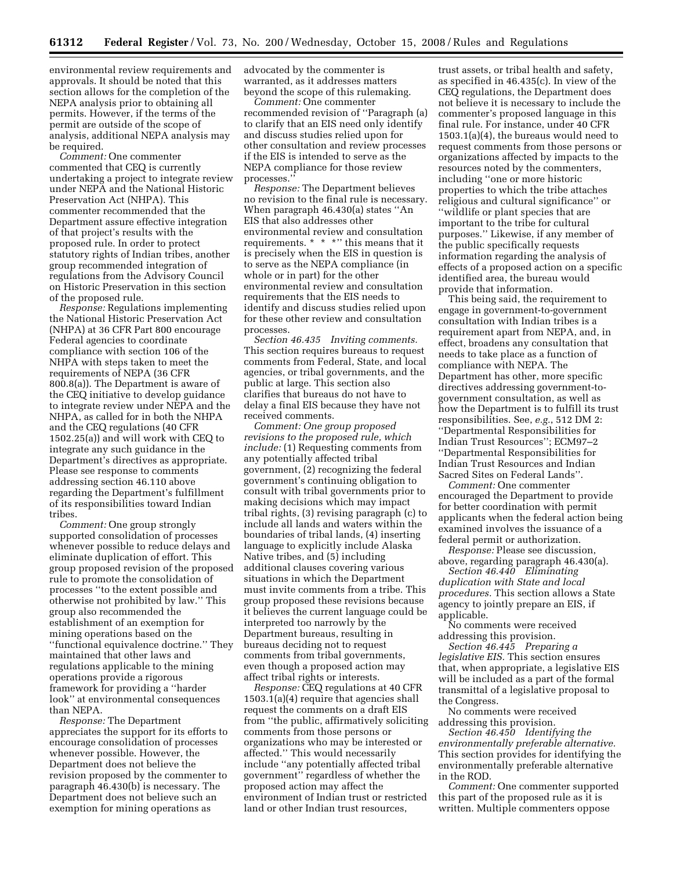environmental review requirements and approvals. It should be noted that this section allows for the completion of the NEPA analysis prior to obtaining all permits. However, if the terms of the permit are outside of the scope of analysis, additional NEPA analysis may be required.

*Comment:* One commenter commented that CEQ is currently undertaking a project to integrate review under NEPA and the National Historic Preservation Act (NHPA). This commenter recommended that the Department assure effective integration of that project's results with the proposed rule. In order to protect statutory rights of Indian tribes, another group recommended integration of regulations from the Advisory Council on Historic Preservation in this section of the proposed rule.

*Response:* Regulations implementing the National Historic Preservation Act (NHPA) at 36 CFR Part 800 encourage Federal agencies to coordinate compliance with section 106 of the NHPA with steps taken to meet the requirements of NEPA (36 CFR 800.8(a)). The Department is aware of the CEQ initiative to develop guidance to integrate review under NEPA and the NHPA, as called for in both the NHPA and the CEQ regulations (40 CFR 1502.25(a)) and will work with CEQ to integrate any such guidance in the Department's directives as appropriate. Please see response to comments addressing section 46.110 above regarding the Department's fulfillment of its responsibilities toward Indian tribes.

*Comment:* One group strongly supported consolidation of processes whenever possible to reduce delays and eliminate duplication of effort. This group proposed revision of the proposed rule to promote the consolidation of processes ''to the extent possible and otherwise not prohibited by law.'' This group also recommended the establishment of an exemption for mining operations based on the ''functional equivalence doctrine.'' They maintained that other laws and regulations applicable to the mining operations provide a rigorous framework for providing a ''harder look'' at environmental consequences than NEPA.

*Response:* The Department appreciates the support for its efforts to encourage consolidation of processes whenever possible. However, the Department does not believe the revision proposed by the commenter to paragraph 46.430(b) is necessary. The Department does not believe such an exemption for mining operations as

advocated by the commenter is warranted, as it addresses matters beyond the scope of this rulemaking.

*Comment:* One commenter recommended revision of ''Paragraph (a) to clarify that an EIS need only identify and discuss studies relied upon for other consultation and review processes if the EIS is intended to serve as the NEPA compliance for those review processes.''

*Response:* The Department believes no revision to the final rule is necessary. When paragraph 46.430(a) states ''An EIS that also addresses other environmental review and consultation requirements. \* \* \* \* this means that it is precisely when the EIS in question is to serve as the NEPA compliance (in whole or in part) for the other environmental review and consultation requirements that the EIS needs to identify and discuss studies relied upon for these other review and consultation processes.

*Section 46.435 Inviting comments.*  This section requires bureaus to request comments from Federal, State, and local agencies, or tribal governments, and the public at large. This section also clarifies that bureaus do not have to delay a final EIS because they have not received comments.

*Comment: One group proposed revisions to the proposed rule, which include:* (1) Requesting comments from any potentially affected tribal government, (2) recognizing the federal government's continuing obligation to consult with tribal governments prior to making decisions which may impact tribal rights, (3) revising paragraph (c) to include all lands and waters within the boundaries of tribal lands, (4) inserting language to explicitly include Alaska Native tribes, and (5) including additional clauses covering various situations in which the Department must invite comments from a tribe. This group proposed these revisions because it believes the current language could be interpreted too narrowly by the Department bureaus, resulting in bureaus deciding not to request comments from tribal governments, even though a proposed action may affect tribal rights or interests.

*Response:* CEQ regulations at 40 CFR 1503.1(a)(4) require that agencies shall request the comments on a draft EIS from ''the public, affirmatively soliciting comments from those persons or organizations who may be interested or affected.'' This would necessarily include ''any potentially affected tribal government'' regardless of whether the proposed action may affect the environment of Indian trust or restricted land or other Indian trust resources,

trust assets, or tribal health and safety, as specified in 46.435(c). In view of the CEQ regulations, the Department does not believe it is necessary to include the commenter's proposed language in this final rule. For instance, under 40 CFR 1503.1(a)(4), the bureaus would need to request comments from those persons or organizations affected by impacts to the resources noted by the commenters, including ''one or more historic properties to which the tribe attaches religious and cultural significance'' or ''wildlife or plant species that are important to the tribe for cultural purposes.'' Likewise, if any member of the public specifically requests information regarding the analysis of effects of a proposed action on a specific identified area, the bureau would provide that information.

This being said, the requirement to engage in government-to-government consultation with Indian tribes is a requirement apart from NEPA, and, in effect, broadens any consultation that needs to take place as a function of compliance with NEPA. The Department has other, more specific directives addressing government-togovernment consultation, as well as how the Department is to fulfill its trust responsibilities. See, *e.g.*, 512 DM 2: ''Departmental Responsibilities for Indian Trust Resources''; ECM97–2 ''Departmental Responsibilities for Indian Trust Resources and Indian Sacred Sites on Federal Lands''.

*Comment:* One commenter encouraged the Department to provide for better coordination with permit applicants when the federal action being examined involves the issuance of a federal permit or authorization.

*Response:* Please see discussion, above, regarding paragraph 46.430(a).

*Section 46.440 Eliminating duplication with State and local procedures.* This section allows a State agency to jointly prepare an EIS, if applicable.

No comments were received addressing this provision.

*Section 46.445 Preparing a legislative EIS.* This section ensures that, when appropriate, a legislative EIS will be included as a part of the formal transmittal of a legislative proposal to the Congress.

No comments were received addressing this provision.

*Section 46.450 Identifying the environmentally preferable alternative.*  This section provides for identifying the environmentally preferable alternative in the ROD.

*Comment:* One commenter supported this part of the proposed rule as it is written. Multiple commenters oppose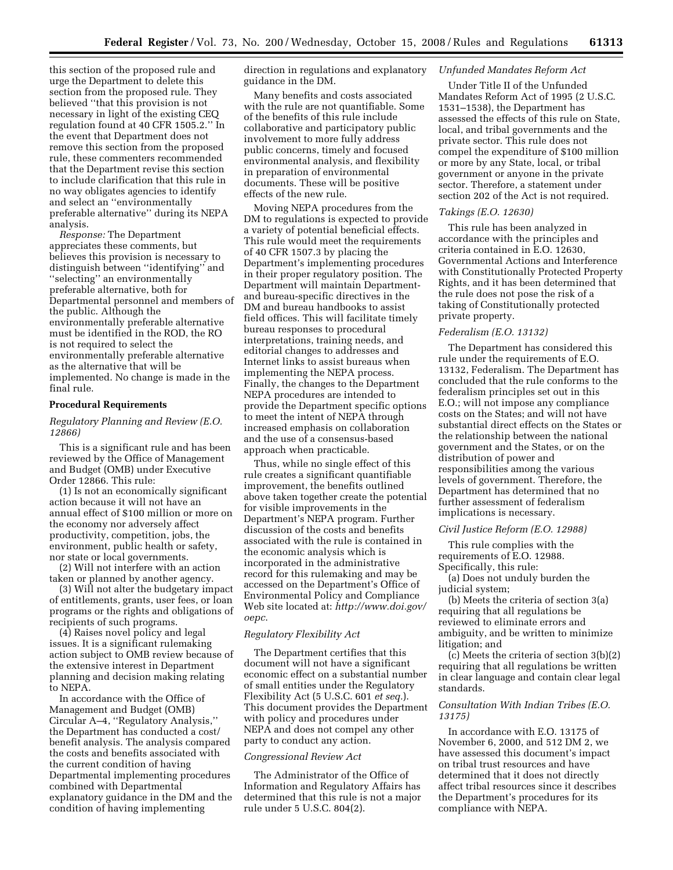this section of the proposed rule and urge the Department to delete this section from the proposed rule. They believed ''that this provision is not necessary in light of the existing CEQ regulation found at 40 CFR 1505.2.'' In the event that Department does not remove this section from the proposed rule, these commenters recommended that the Department revise this section to include clarification that this rule in no way obligates agencies to identify and select an ''environmentally preferable alternative'' during its NEPA analysis.

*Response:* The Department appreciates these comments, but believes this provision is necessary to distinguish between ''identifying'' and ''selecting'' an environmentally preferable alternative, both for Departmental personnel and members of the public. Although the environmentally preferable alternative must be identified in the ROD, the RO is not required to select the environmentally preferable alternative as the alternative that will be implemented. No change is made in the final rule.

#### **Procedural Requirements**

#### *Regulatory Planning and Review (E.O. 12866)*

This is a significant rule and has been reviewed by the Office of Management and Budget (OMB) under Executive Order 12866. This rule:

(1) Is not an economically significant action because it will not have an annual effect of \$100 million or more on the economy nor adversely affect productivity, competition, jobs, the environment, public health or safety, nor state or local governments.

(2) Will not interfere with an action taken or planned by another agency.

(3) Will not alter the budgetary impact of entitlements, grants, user fees, or loan programs or the rights and obligations of recipients of such programs.

(4) Raises novel policy and legal issues. It is a significant rulemaking action subject to OMB review because of the extensive interest in Department planning and decision making relating to NEPA.

In accordance with the Office of Management and Budget (OMB) Circular A–4, ''Regulatory Analysis,'' the Department has conducted a cost/ benefit analysis. The analysis compared the costs and benefits associated with the current condition of having Departmental implementing procedures combined with Departmental explanatory guidance in the DM and the condition of having implementing

direction in regulations and explanatory guidance in the DM.

Many benefits and costs associated with the rule are not quantifiable. Some of the benefits of this rule include collaborative and participatory public involvement to more fully address public concerns, timely and focused environmental analysis, and flexibility in preparation of environmental documents. These will be positive effects of the new rule.

Moving NEPA procedures from the DM to regulations is expected to provide a variety of potential beneficial effects. This rule would meet the requirements of 40 CFR 1507.3 by placing the Department's implementing procedures in their proper regulatory position. The Department will maintain Departmentand bureau-specific directives in the DM and bureau handbooks to assist field offices. This will facilitate timely bureau responses to procedural interpretations, training needs, and editorial changes to addresses and Internet links to assist bureaus when implementing the NEPA process. Finally, the changes to the Department NEPA procedures are intended to provide the Department specific options to meet the intent of NEPA through increased emphasis on collaboration and the use of a consensus-based approach when practicable.

Thus, while no single effect of this rule creates a significant quantifiable improvement, the benefits outlined above taken together create the potential for visible improvements in the Department's NEPA program. Further discussion of the costs and benefits associated with the rule is contained in the economic analysis which is incorporated in the administrative record for this rulemaking and may be accessed on the Department's Office of Environmental Policy and Compliance Web site located at: *http://www.doi.gov/ oepc*.

#### *Regulatory Flexibility Act*

The Department certifies that this document will not have a significant economic effect on a substantial number of small entities under the Regulatory Flexibility Act (5 U.S.C. 601 *et seq.*). This document provides the Department with policy and procedures under NEPA and does not compel any other party to conduct any action.

#### *Congressional Review Act*

The Administrator of the Office of Information and Regulatory Affairs has determined that this rule is not a major rule under 5 U.S.C. 804(2).

#### *Unfunded Mandates Reform Act*

Under Title II of the Unfunded Mandates Reform Act of 1995 (2 U.S.C. 1531–1538), the Department has assessed the effects of this rule on State, local, and tribal governments and the private sector. This rule does not compel the expenditure of \$100 million or more by any State, local, or tribal government or anyone in the private sector. Therefore, a statement under section 202 of the Act is not required.

#### *Takings (E.O. 12630)*

This rule has been analyzed in accordance with the principles and criteria contained in E.O. 12630, Governmental Actions and Interference with Constitutionally Protected Property Rights, and it has been determined that the rule does not pose the risk of a taking of Constitutionally protected private property.

#### *Federalism (E.O. 13132)*

The Department has considered this rule under the requirements of E.O. 13132, Federalism. The Department has concluded that the rule conforms to the federalism principles set out in this E.O.; will not impose any compliance costs on the States; and will not have substantial direct effects on the States or the relationship between the national government and the States, or on the distribution of power and responsibilities among the various levels of government. Therefore, the Department has determined that no further assessment of federalism implications is necessary.

#### *Civil Justice Reform (E.O. 12988)*

This rule complies with the requirements of E.O. 12988. Specifically, this rule:

(a) Does not unduly burden the judicial system;

(b) Meets the criteria of section 3(a) requiring that all regulations be reviewed to eliminate errors and ambiguity, and be written to minimize litigation; and

(c) Meets the criteria of section 3(b)(2) requiring that all regulations be written in clear language and contain clear legal standards.

#### *Consultation With Indian Tribes (E.O. 13175)*

In accordance with E.O. 13175 of November 6, 2000, and 512 DM 2, we have assessed this document's impact on tribal trust resources and have determined that it does not directly affect tribal resources since it describes the Department's procedures for its compliance with NEPA.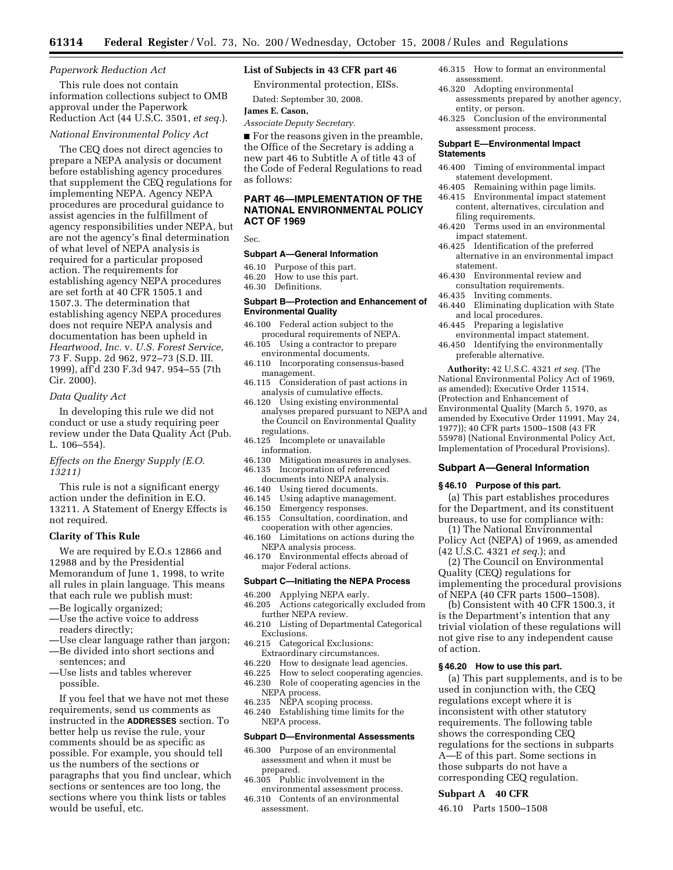#### *Paperwork Reduction Act*

This rule does not contain information collections subject to OMB approval under the Paperwork Reduction Act (44 U.S.C. 3501, *et seq.*).

#### *National Environmental Policy Act*

The CEQ does not direct agencies to prepare a NEPA analysis or document before establishing agency procedures that supplement the CEQ regulations for implementing NEPA. Agency NEPA procedures are procedural guidance to assist agencies in the fulfillment of agency responsibilities under NEPA, but are not the agency's final determination of what level of NEPA analysis is required for a particular proposed action. The requirements for establishing agency NEPA procedures are set forth at 40 CFR 1505.1 and 1507.3. The determination that establishing agency NEPA procedures does not require NEPA analysis and documentation has been upheld in *Heartwood, Inc.* v. *U.S. Forest Service,*  73 F. Supp. 2d 962, 972–73 (S.D. III. 1999), aff'd 230 F.3d 947. 954–55 (7th Cir. 2000).

#### *Data Quality Act*

In developing this rule we did not conduct or use a study requiring peer review under the Data Quality Act (Pub. L. 106–554).

#### *Effects on the Energy Supply (E.O. 13211)*

This rule is not a significant energy action under the definition in E.O. 13211. A Statement of Energy Effects is not required.

#### **Clarity of This Rule**

We are required by E.O.s 12866 and 12988 and by the Presidential Memorandum of June 1, 1998, to write all rules in plain language. This means that each rule we publish must:

- —Be logically organized;
- —Use the active voice to address readers directly;
- —Use clear language rather than jargon; —Be divided into short sections and
- sentences; and —Use lists and tables wherever
- possible.

If you feel that we have not met these requirements, send us comments as instructed in the **ADDRESSES** section. To better help us revise the rule, your comments should be as specific as possible. For example, you should tell us the numbers of the sections or paragraphs that you find unclear, which sections or sentences are too long, the sections where you think lists or tables would be useful, etc.

#### **List of Subjects in 43 CFR part 46**

Environmental protection, EISs. Dated: September 30, 2008.

#### **James E. Cason,**

*Associate Deputy Secretary.* 

■ For the reasons given in the preamble, the Office of the Secretary is adding a new part 46 to Subtitle A of title 43 of the Code of Federal Regulations to read as follows:

#### **PART 46—IMPLEMENTATION OF THE NATIONAL ENVIRONMENTAL POLICY ACT OF 1969**

Sec.

#### **Subpart A—General Information**

- 46.10 Purpose of this part.
- 46.20 How to use this part.
- 46.30 Definitions.

#### **Subpart B—Protection and Enhancement of Environmental Quality**

- 46.100 Federal action subject to the procedural requirements of NEPA.
- 46.105 Using a contractor to prepare environmental documents.
- 46.110 Incorporating consensus-based management.
- 46.115 Consideration of past actions in analysis of cumulative effects.
- 46.120 Using existing environmental analyses prepared pursuant to NEPA and the Council on Environmental Quality regulations.
- 46.125 Incomplete or unavailable information.
- 46.130 Mitigation measures in analyses. Incorporation of referenced
- documents into NEPA analysis.<br>46.140 Using tiered documents.
- Using tiered documents.
- 46.145 Using adaptive management.
- 46.150 Emergency responses.<br>46.155 Consultation, coordina Consultation, coordination, and
- cooperation with other agencies. 46.160 Limitations on actions during the NEPA analysis process.
- 46.170 Environmental effects abroad of major Federal actions.

#### **Subpart C—Initiating the NEPA Process**

### 46.200 Applying NEPA early.<br>46.205 Actions categorically e

- Actions categorically excluded from further NEPA review.
- 46.210 Listing of Departmental Categorical Exclusions.
- 46.215 Categorical Exclusions: Extraordinary circumstances.<br>46.220 How to designate lead ago
- 46.220 How to designate lead agencies.<br>46.225 How to select cooperating agenc
- How to select cooperating agencies.
- 46.230 Role of cooperating agencies in the NEPA process. 46.235 NEPA scoping process.
- 46.240 Establishing time limits for the NEPA process.

#### **Subpart D—Environmental Assessments**

- 46.300 Purpose of an environmental assessment and when it must be prepared.
- 46.305 Public involvement in the environmental assessment process.
- 46.310 Contents of an environmental assessment.
- 46.315 How to format an environmental assessment.
- 46.320 Adopting environmental assessments prepared by another agency, entity, or person.
- 46.325 Conclusion of the environmental assessment process.

#### **Subpart E—Environmental Impact Statements**

- 46.400 Timing of environmental impact statement development.<br>46.405 Remaining within r
- 46.405 Remaining within page limits.<br>46.415 Environmental impact stateme
- 46.415 Environmental impact statement content, alternatives, circulation and filing requirements.
- 46.420 Terms used in an environmental impact statement.
- 46.425 Identification of the preferred alternative in an environmental impact statement.
- 46.430 Environmental review and
- consultation requirements.<br>46.435 Inviting comments. Inviting comments.
- 46.440 Eliminating duplication with State and local procedures.
- 46.445 Preparing a legislative
- environmental impact statement. 46.450 Identifying the environmentally
- preferable alternative. **Authority:** 42 U.S.C. 4321 *et seq.* (The

National Environmental Policy Act of 1969, as amended); Executive Order 11514, (Protection and Enhancement of Environmental Quality (March 5, 1970, as amended by Executive Order 11991, May 24, 1977)); 40 CFR parts 1500–1508 (43 FR 55978) (National Environmental Policy Act, Implementation of Procedural Provisions).

#### **Subpart A—General Information**

#### **§ 46.10 Purpose of this part.**

(a) This part establishes procedures for the Department, and its constituent bureaus, to use for compliance with:

(1) The National Environmental Policy Act (NEPA) of 1969, as amended (42 U.S.C. 4321 *et seq.*); and

(2) The Council on Environmental Quality (CEQ) regulations for implementing the procedural provisions of NEPA (40 CFR parts 1500–1508).

(b) Consistent with 40 CFR 1500.3, it is the Department's intention that any trivial violation of these regulations will not give rise to any independent cause of action.

#### **§ 46.20 How to use this part.**

(a) This part supplements, and is to be used in conjunction with, the CEQ regulations except where it is inconsistent with other statutory requirements. The following table shows the corresponding CEQ regulations for the sections in subparts A—E of this part. Some sections in those subparts do not have a corresponding CEQ regulation.

#### **Subpart A 40 CFR**

46.10 Parts 1500–1508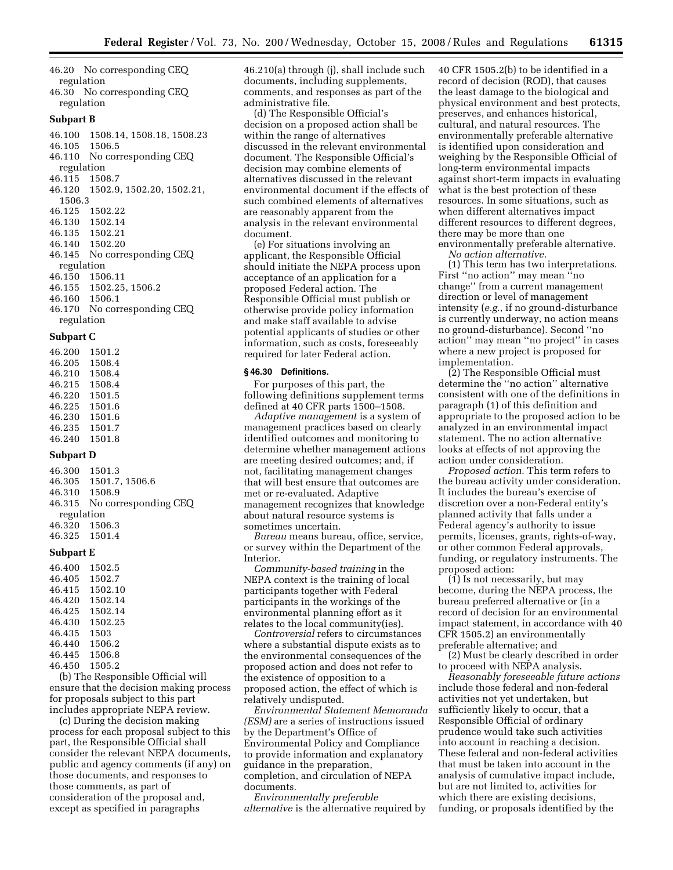| 46.20 No corresponding CEQ |
|----------------------------|
| regulation                 |
| 46.30 No corresponding CEQ |

regulation

#### **Subpart B**

- 46.100 1508.14, 1508.18, 1508.23 46.105 1506.5 46.110 No corresponding CEQ regulation 46.115 1508.7 46.120 1502.9, 1502.20, 1502.21, 1506.3 46.125 1502.22 46.130 1502.14 46.135 1502.21 46.140 1502.20 46.145 No corresponding CEQ regulation 46.150 1506.11 46.155 1502.25, 1506.2 46.160 1506.1
- 46.170 No corresponding CEQ regulation

#### **Subpart C**

| 46.200 | 1501.2 |
|--------|--------|
| 46.205 | 1508.4 |
| 46.210 | 1508.4 |
| 46.215 | 1508.4 |
| 46.220 | 1501.5 |
| 46.225 | 1501.6 |
| 46.230 | 1501.6 |
| 46.235 | 1501.7 |
| 46.240 | 1501.8 |
|        |        |

#### **Subpart D**

| 46.300 1501.3 |                             |  |  |  |
|---------------|-----------------------------|--|--|--|
|               | 46.305 1501.7, 1506.6       |  |  |  |
| 46.310 1508.9 |                             |  |  |  |
|               | 46.315 No corresponding CEQ |  |  |  |
| regulation    |                             |  |  |  |
| 46.320 1506.3 |                             |  |  |  |
| 46.325 1501.4 |                             |  |  |  |
|               |                             |  |  |  |

#### **Subpart E**

| 46.400 | 1502.5  |
|--------|---------|
| 46.405 | 1502.7  |
| 46.415 | 1502.10 |
| 46.420 | 1502.14 |
| 46.425 | 1502.14 |
| 46.430 | 1502.25 |
| 46.435 | 1503    |
| 46.440 | 1506.2  |
| 46.445 | 1506.8  |
| 46.450 | 1505.2  |
|        |         |

(b) The Responsible Official will ensure that the decision making process for proposals subject to this part includes appropriate NEPA review.

(c) During the decision making process for each proposal subject to this part, the Responsible Official shall consider the relevant NEPA documents, public and agency comments (if any) on those documents, and responses to those comments, as part of consideration of the proposal and, except as specified in paragraphs

46.210(a) through (j), shall include such documents, including supplements, comments, and responses as part of the administrative file.

(d) The Responsible Official's decision on a proposed action shall be within the range of alternatives discussed in the relevant environmental document. The Responsible Official's decision may combine elements of alternatives discussed in the relevant environmental document if the effects of such combined elements of alternatives are reasonably apparent from the analysis in the relevant environmental document.

(e) For situations involving an applicant, the Responsible Official should initiate the NEPA process upon acceptance of an application for a proposed Federal action. The Responsible Official must publish or otherwise provide policy information and make staff available to advise potential applicants of studies or other information, such as costs, foreseeably required for later Federal action.

#### **§ 46.30 Definitions.**

For purposes of this part, the following definitions supplement terms defined at 40 CFR parts 1500–1508.

*Adaptive management* is a system of management practices based on clearly identified outcomes and monitoring to determine whether management actions are meeting desired outcomes; and, if not, facilitating management changes that will best ensure that outcomes are met or re-evaluated. Adaptive management recognizes that knowledge about natural resource systems is sometimes uncertain.

*Bureau* means bureau, office, service, or survey within the Department of the Interior.

*Community-based training* in the NEPA context is the training of local participants together with Federal participants in the workings of the environmental planning effort as it relates to the local community(ies).

*Controversial* refers to circumstances where a substantial dispute exists as to the environmental consequences of the proposed action and does not refer to the existence of opposition to a proposed action, the effect of which is relatively undisputed.

*Environmental Statement Memoranda (ESM)* are a series of instructions issued by the Department's Office of Environmental Policy and Compliance to provide information and explanatory guidance in the preparation, completion, and circulation of NEPA documents.

*Environmentally preferable alternative* is the alternative required by 40 CFR 1505.2(b) to be identified in a record of decision (ROD), that causes the least damage to the biological and physical environment and best protects, preserves, and enhances historical, cultural, and natural resources. The environmentally preferable alternative is identified upon consideration and weighing by the Responsible Official of long-term environmental impacts against short-term impacts in evaluating what is the best protection of these resources. In some situations, such as when different alternatives impact different resources to different degrees, there may be more than one environmentally preferable alternative.

*No action alternative.* 

(1) This term has two interpretations. First ''no action'' may mean ''no change'' from a current management direction or level of management intensity (*e.g.*, if no ground-disturbance is currently underway, no action means no ground-disturbance). Second ''no action'' may mean ''no project'' in cases where a new project is proposed for implementation.

(2) The Responsible Official must determine the ''no action'' alternative consistent with one of the definitions in paragraph (1) of this definition and appropriate to the proposed action to be analyzed in an environmental impact statement. The no action alternative looks at effects of not approving the action under consideration.

*Proposed action.* This term refers to the bureau activity under consideration. It includes the bureau's exercise of discretion over a non-Federal entity's planned activity that falls under a Federal agency's authority to issue permits, licenses, grants, rights-of-way, or other common Federal approvals, funding, or regulatory instruments. The proposed action:

 $(1)$  Is not necessarily, but may become, during the NEPA process, the bureau preferred alternative or (in a record of decision for an environmental impact statement, in accordance with 40 CFR 1505.2) an environmentally preferable alternative; and

(2) Must be clearly described in order to proceed with NEPA analysis.

*Reasonably foreseeable future actions*  include those federal and non-federal activities not yet undertaken, but sufficiently likely to occur, that a Responsible Official of ordinary prudence would take such activities into account in reaching a decision. These federal and non-federal activities that must be taken into account in the analysis of cumulative impact include, but are not limited to, activities for which there are existing decisions, funding, or proposals identified by the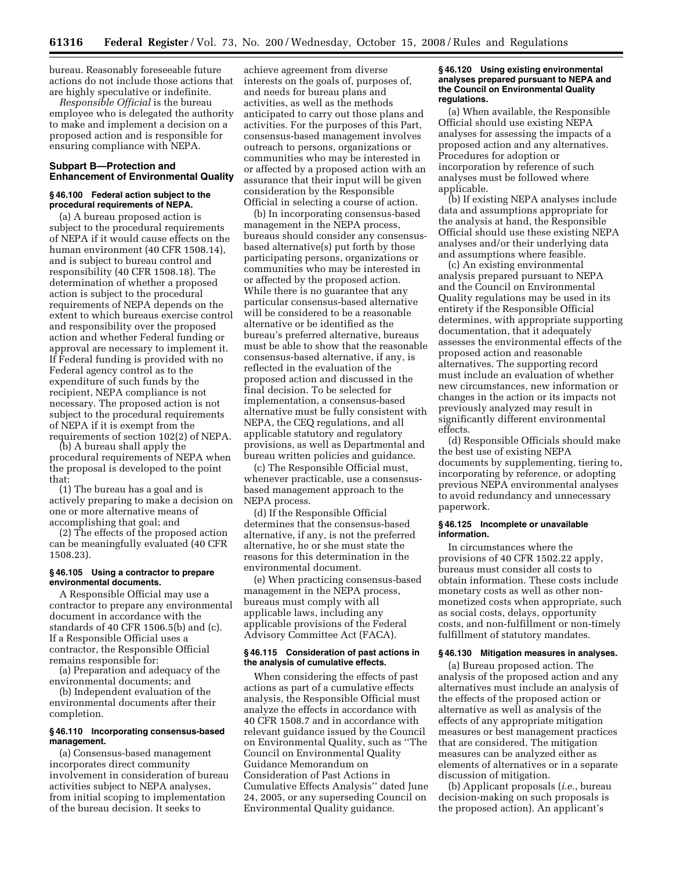bureau. Reasonably foreseeable future actions do not include those actions that are highly speculative or indefinite.

*Responsible Official* is the bureau employee who is delegated the authority to make and implement a decision on a proposed action and is responsible for ensuring compliance with NEPA.

#### **Subpart B—Protection and Enhancement of Environmental Quality**

#### **§ 46.100 Federal action subject to the procedural requirements of NEPA.**

(a) A bureau proposed action is subject to the procedural requirements of NEPA if it would cause effects on the human environment (40 CFR 1508.14), and is subject to bureau control and responsibility (40 CFR 1508.18). The determination of whether a proposed action is subject to the procedural requirements of NEPA depends on the extent to which bureaus exercise control and responsibility over the proposed action and whether Federal funding or approval are necessary to implement it. If Federal funding is provided with no Federal agency control as to the expenditure of such funds by the recipient, NEPA compliance is not necessary. The proposed action is not subject to the procedural requirements of NEPA if it is exempt from the requirements of section 102(2) of NEPA.

(b) A bureau shall apply the procedural requirements of NEPA when the proposal is developed to the point that:

(1) The bureau has a goal and is actively preparing to make a decision on one or more alternative means of accomplishing that goal; and

(2) The effects of the proposed action can be meaningfully evaluated (40 CFR 1508.23).

#### **§ 46.105 Using a contractor to prepare environmental documents.**

A Responsible Official may use a contractor to prepare any environmental document in accordance with the standards of 40 CFR 1506.5(b) and (c). If a Responsible Official uses a contractor, the Responsible Official remains responsible for:

(a) Preparation and adequacy of the environmental documents; and

(b) Independent evaluation of the environmental documents after their completion.

#### **§ 46.110 Incorporating consensus-based management.**

(a) Consensus-based management incorporates direct community involvement in consideration of bureau activities subject to NEPA analyses, from initial scoping to implementation of the bureau decision. It seeks to

achieve agreement from diverse interests on the goals of, purposes of, and needs for bureau plans and activities, as well as the methods anticipated to carry out those plans and activities. For the purposes of this Part, consensus-based management involves outreach to persons, organizations or communities who may be interested in or affected by a proposed action with an assurance that their input will be given consideration by the Responsible Official in selecting a course of action.

(b) In incorporating consensus-based management in the NEPA process, bureaus should consider any consensusbased alternative(s) put forth by those participating persons, organizations or communities who may be interested in or affected by the proposed action. While there is no guarantee that any particular consensus-based alternative will be considered to be a reasonable alternative or be identified as the bureau's preferred alternative, bureaus must be able to show that the reasonable consensus-based alternative, if any, is reflected in the evaluation of the proposed action and discussed in the final decision. To be selected for implementation, a consensus-based alternative must be fully consistent with NEPA, the CEQ regulations, and all applicable statutory and regulatory provisions, as well as Departmental and bureau written policies and guidance.

(c) The Responsible Official must, whenever practicable, use a consensusbased management approach to the NEPA process.

(d) If the Responsible Official determines that the consensus-based alternative, if any, is not the preferred alternative, he or she must state the reasons for this determination in the environmental document.

(e) When practicing consensus-based management in the NEPA process, bureaus must comply with all applicable laws, including any applicable provisions of the Federal Advisory Committee Act (FACA).

#### **§ 46.115 Consideration of past actions in the analysis of cumulative effects.**

When considering the effects of past actions as part of a cumulative effects analysis, the Responsible Official must analyze the effects in accordance with 40 CFR 1508.7 and in accordance with relevant guidance issued by the Council on Environmental Quality, such as ''The Council on Environmental Quality Guidance Memorandum on Consideration of Past Actions in Cumulative Effects Analysis'' dated June 24, 2005, or any superseding Council on Environmental Quality guidance.

#### **§ 46.120 Using existing environmental analyses prepared pursuant to NEPA and the Council on Environmental Quality regulations.**

(a) When available, the Responsible Official should use existing NEPA analyses for assessing the impacts of a proposed action and any alternatives. Procedures for adoption or incorporation by reference of such analyses must be followed where applicable.

(b) If existing NEPA analyses include data and assumptions appropriate for the analysis at hand, the Responsible Official should use these existing NEPA analyses and/or their underlying data and assumptions where feasible.

(c) An existing environmental analysis prepared pursuant to NEPA and the Council on Environmental Quality regulations may be used in its entirety if the Responsible Official determines, with appropriate supporting documentation, that it adequately assesses the environmental effects of the proposed action and reasonable alternatives. The supporting record must include an evaluation of whether new circumstances, new information or changes in the action or its impacts not previously analyzed may result in significantly different environmental effects.

(d) Responsible Officials should make the best use of existing NEPA documents by supplementing, tiering to, incorporating by reference, or adopting previous NEPA environmental analyses to avoid redundancy and unnecessary paperwork.

#### **§ 46.125 Incomplete or unavailable information.**

In circumstances where the provisions of 40 CFR 1502.22 apply, bureaus must consider all costs to obtain information. These costs include monetary costs as well as other nonmonetized costs when appropriate, such as social costs, delays, opportunity costs, and non-fulfillment or non-timely fulfillment of statutory mandates.

#### **§ 46.130 Mitigation measures in analyses.**

(a) Bureau proposed action. The analysis of the proposed action and any alternatives must include an analysis of the effects of the proposed action or alternative as well as analysis of the effects of any appropriate mitigation measures or best management practices that are considered. The mitigation measures can be analyzed either as elements of alternatives or in a separate discussion of mitigation.

(b) Applicant proposals (*i.e.*, bureau decision-making on such proposals is the proposed action). An applicant's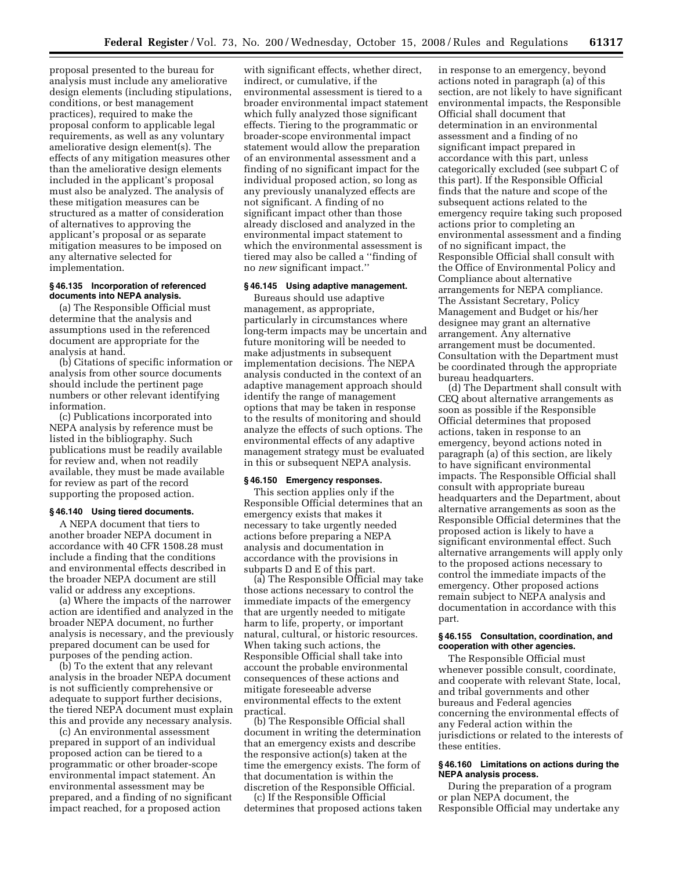proposal presented to the bureau for analysis must include any ameliorative design elements (including stipulations, conditions, or best management practices), required to make the proposal conform to applicable legal requirements, as well as any voluntary ameliorative design element(s). The effects of any mitigation measures other than the ameliorative design elements included in the applicant's proposal must also be analyzed. The analysis of these mitigation measures can be structured as a matter of consideration of alternatives to approving the applicant's proposal or as separate mitigation measures to be imposed on any alternative selected for implementation.

#### **§ 46.135 Incorporation of referenced documents into NEPA analysis.**

(a) The Responsible Official must determine that the analysis and assumptions used in the referenced document are appropriate for the analysis at hand.

(b) Citations of specific information or analysis from other source documents should include the pertinent page numbers or other relevant identifying information.

(c) Publications incorporated into NEPA analysis by reference must be listed in the bibliography. Such publications must be readily available for review and, when not readily available, they must be made available for review as part of the record supporting the proposed action.

#### **§ 46.140 Using tiered documents.**

A NEPA document that tiers to another broader NEPA document in accordance with 40 CFR 1508.28 must include a finding that the conditions and environmental effects described in the broader NEPA document are still valid or address any exceptions.

(a) Where the impacts of the narrower action are identified and analyzed in the broader NEPA document, no further analysis is necessary, and the previously prepared document can be used for purposes of the pending action.

(b) To the extent that any relevant analysis in the broader NEPA document is not sufficiently comprehensive or adequate to support further decisions, the tiered NEPA document must explain this and provide any necessary analysis.

(c) An environmental assessment prepared in support of an individual proposed action can be tiered to a programmatic or other broader-scope environmental impact statement. An environmental assessment may be prepared, and a finding of no significant impact reached, for a proposed action

with significant effects, whether direct, indirect, or cumulative, if the environmental assessment is tiered to a broader environmental impact statement which fully analyzed those significant effects. Tiering to the programmatic or broader-scope environmental impact statement would allow the preparation of an environmental assessment and a finding of no significant impact for the individual proposed action, so long as any previously unanalyzed effects are not significant. A finding of no significant impact other than those already disclosed and analyzed in the environmental impact statement to which the environmental assessment is tiered may also be called a ''finding of no *new* significant impact.''

#### **§ 46.145 Using adaptive management.**

Bureaus should use adaptive management, as appropriate, particularly in circumstances where long-term impacts may be uncertain and future monitoring will be needed to make adjustments in subsequent implementation decisions. The NEPA analysis conducted in the context of an adaptive management approach should identify the range of management options that may be taken in response to the results of monitoring and should analyze the effects of such options. The environmental effects of any adaptive management strategy must be evaluated in this or subsequent NEPA analysis.

#### **§ 46.150 Emergency responses.**

This section applies only if the Responsible Official determines that an emergency exists that makes it necessary to take urgently needed actions before preparing a NEPA analysis and documentation in accordance with the provisions in subparts D and E of this part.

(a) The Responsible Official may take those actions necessary to control the immediate impacts of the emergency that are urgently needed to mitigate harm to life, property, or important natural, cultural, or historic resources. When taking such actions, the Responsible Official shall take into account the probable environmental consequences of these actions and mitigate foreseeable adverse environmental effects to the extent practical.

(b) The Responsible Official shall document in writing the determination that an emergency exists and describe the responsive action(s) taken at the time the emergency exists. The form of that documentation is within the discretion of the Responsible Official.

(c) If the Responsible Official determines that proposed actions taken

in response to an emergency, beyond actions noted in paragraph (a) of this section, are not likely to have significant environmental impacts, the Responsible Official shall document that determination in an environmental assessment and a finding of no significant impact prepared in accordance with this part, unless categorically excluded (see subpart C of this part). If the Responsible Official finds that the nature and scope of the subsequent actions related to the emergency require taking such proposed actions prior to completing an environmental assessment and a finding of no significant impact, the Responsible Official shall consult with the Office of Environmental Policy and Compliance about alternative arrangements for NEPA compliance. The Assistant Secretary, Policy Management and Budget or his/her designee may grant an alternative arrangement. Any alternative arrangement must be documented. Consultation with the Department must be coordinated through the appropriate bureau headquarters.

(d) The Department shall consult with CEQ about alternative arrangements as soon as possible if the Responsible Official determines that proposed actions, taken in response to an emergency, beyond actions noted in paragraph (a) of this section, are likely to have significant environmental impacts. The Responsible Official shall consult with appropriate bureau headquarters and the Department, about alternative arrangements as soon as the Responsible Official determines that the proposed action is likely to have a significant environmental effect. Such alternative arrangements will apply only to the proposed actions necessary to control the immediate impacts of the emergency. Other proposed actions remain subject to NEPA analysis and documentation in accordance with this part.

#### **§ 46.155 Consultation, coordination, and cooperation with other agencies.**

The Responsible Official must whenever possible consult, coordinate, and cooperate with relevant State, local, and tribal governments and other bureaus and Federal agencies concerning the environmental effects of any Federal action within the jurisdictions or related to the interests of these entities.

#### **§ 46.160 Limitations on actions during the NEPA analysis process.**

During the preparation of a program or plan NEPA document, the Responsible Official may undertake any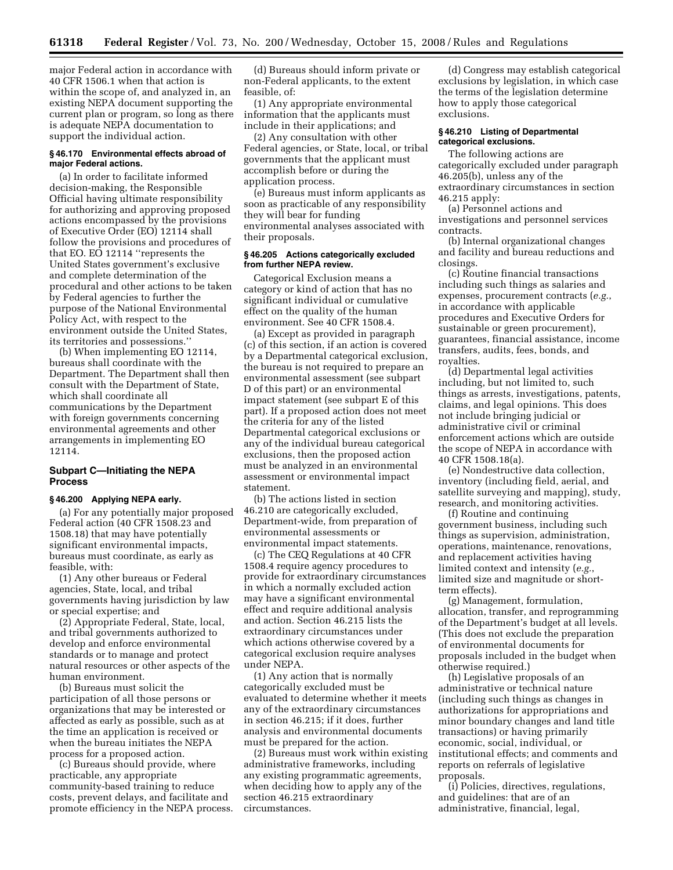major Federal action in accordance with 40 CFR 1506.1 when that action is within the scope of, and analyzed in, an existing NEPA document supporting the current plan or program, so long as there is adequate NEPA documentation to support the individual action.

#### **§ 46.170 Environmental effects abroad of major Federal actions.**

(a) In order to facilitate informed decision-making, the Responsible Official having ultimate responsibility for authorizing and approving proposed actions encompassed by the provisions of Executive Order (EO) 12114 shall follow the provisions and procedures of that EO. EO 12114 ''represents the United States government's exclusive and complete determination of the procedural and other actions to be taken by Federal agencies to further the purpose of the National Environmental Policy Act, with respect to the environment outside the United States, its territories and possessions.''

(b) When implementing EO 12114, bureaus shall coordinate with the Department. The Department shall then consult with the Department of State, which shall coordinate all communications by the Department with foreign governments concerning environmental agreements and other arrangements in implementing EO 12114.

#### **Subpart C—Initiating the NEPA Process**

#### **§ 46.200 Applying NEPA early.**

(a) For any potentially major proposed Federal action (40 CFR 1508.23 and 1508.18) that may have potentially significant environmental impacts, bureaus must coordinate, as early as feasible, with:

(1) Any other bureaus or Federal agencies, State, local, and tribal governments having jurisdiction by law or special expertise; and

(2) Appropriate Federal, State, local, and tribal governments authorized to develop and enforce environmental standards or to manage and protect natural resources or other aspects of the human environment.

(b) Bureaus must solicit the participation of all those persons or organizations that may be interested or affected as early as possible, such as at the time an application is received or when the bureau initiates the NEPA process for a proposed action.

(c) Bureaus should provide, where practicable, any appropriate community-based training to reduce costs, prevent delays, and facilitate and promote efficiency in the NEPA process.

(d) Bureaus should inform private or non-Federal applicants, to the extent feasible, of:

(1) Any appropriate environmental information that the applicants must include in their applications; and

(2) Any consultation with other Federal agencies, or State, local, or tribal governments that the applicant must accomplish before or during the application process.

(e) Bureaus must inform applicants as soon as practicable of any responsibility they will bear for funding environmental analyses associated with their proposals.

#### **§ 46.205 Actions categorically excluded from further NEPA review.**

Categorical Exclusion means a category or kind of action that has no significant individual or cumulative effect on the quality of the human environment. See 40 CFR 1508.4.

(a) Except as provided in paragraph (c) of this section, if an action is covered by a Departmental categorical exclusion, the bureau is not required to prepare an environmental assessment (see subpart D of this part) or an environmental impact statement (see subpart E of this part). If a proposed action does not meet the criteria for any of the listed Departmental categorical exclusions or any of the individual bureau categorical exclusions, then the proposed action must be analyzed in an environmental assessment or environmental impact statement.

(b) The actions listed in section 46.210 are categorically excluded, Department-wide, from preparation of environmental assessments or environmental impact statements.

(c) The CEQ Regulations at 40 CFR 1508.4 require agency procedures to provide for extraordinary circumstances in which a normally excluded action may have a significant environmental effect and require additional analysis and action. Section 46.215 lists the extraordinary circumstances under which actions otherwise covered by a categorical exclusion require analyses under NEPA.

(1) Any action that is normally categorically excluded must be evaluated to determine whether it meets any of the extraordinary circumstances in section 46.215; if it does, further analysis and environmental documents must be prepared for the action.

(2) Bureaus must work within existing administrative frameworks, including any existing programmatic agreements, when deciding how to apply any of the section 46.215 extraordinary circumstances.

(d) Congress may establish categorical exclusions by legislation, in which case the terms of the legislation determine how to apply those categorical exclusions.

#### **§ 46.210 Listing of Departmental categorical exclusions.**

The following actions are categorically excluded under paragraph 46.205(b), unless any of the extraordinary circumstances in section 46.215 apply:

(a) Personnel actions and investigations and personnel services contracts.

(b) Internal organizational changes and facility and bureau reductions and closings.

(c) Routine financial transactions including such things as salaries and expenses, procurement contracts (*e.g.*, in accordance with applicable procedures and Executive Orders for sustainable or green procurement), guarantees, financial assistance, income transfers, audits, fees, bonds, and royalties.

(d) Departmental legal activities including, but not limited to, such things as arrests, investigations, patents, claims, and legal opinions. This does not include bringing judicial or administrative civil or criminal enforcement actions which are outside the scope of NEPA in accordance with 40 CFR 1508.18(a).

(e) Nondestructive data collection, inventory (including field, aerial, and satellite surveying and mapping), study, research, and monitoring activities.

(f) Routine and continuing government business, including such things as supervision, administration, operations, maintenance, renovations, and replacement activities having limited context and intensity (*e.g.*, limited size and magnitude or shortterm effects).

(g) Management, formulation, allocation, transfer, and reprogramming of the Department's budget at all levels. (This does not exclude the preparation of environmental documents for proposals included in the budget when otherwise required.)

(h) Legislative proposals of an administrative or technical nature (including such things as changes in authorizations for appropriations and minor boundary changes and land title transactions) or having primarily economic, social, individual, or institutional effects; and comments and reports on referrals of legislative proposals.

(i) Policies, directives, regulations, and guidelines: that are of an administrative, financial, legal,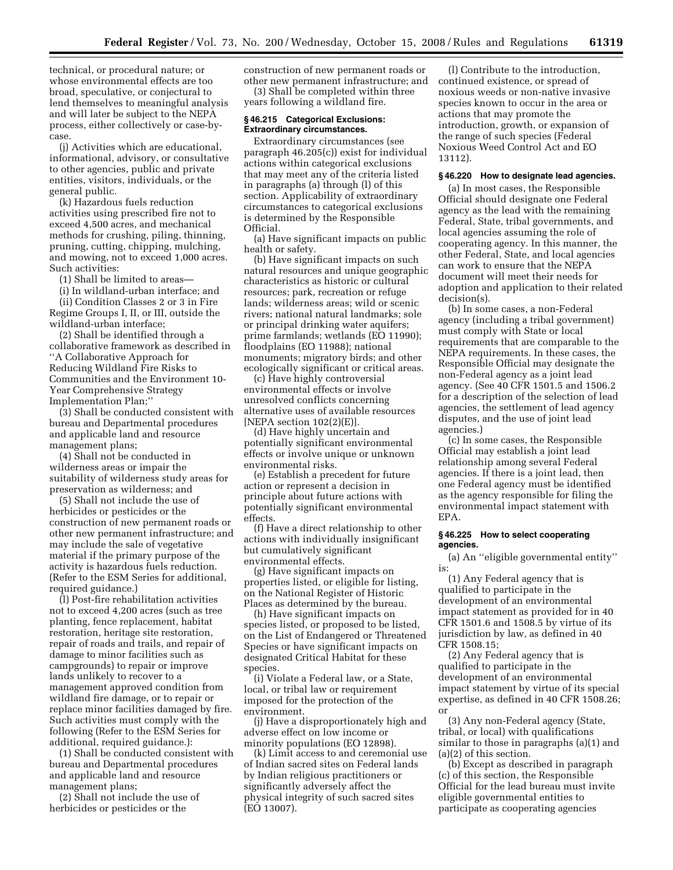technical, or procedural nature; or whose environmental effects are too broad, speculative, or conjectural to lend themselves to meaningful analysis and will later be subject to the NEPA process, either collectively or case-bycase.

(j) Activities which are educational, informational, advisory, or consultative to other agencies, public and private entities, visitors, individuals, or the general public.

(k) Hazardous fuels reduction activities using prescribed fire not to exceed 4,500 acres, and mechanical methods for crushing, piling, thinning, pruning, cutting, chipping, mulching, and mowing, not to exceed 1,000 acres. Such activities:

(1) Shall be limited to areas—

(i) In wildland-urban interface; and (ii) Condition Classes 2 or 3 in Fire Regime Groups I, II, or III, outside the wildland-urban interface;

(2) Shall be identified through a collaborative framework as described in ''A Collaborative Approach for Reducing Wildland Fire Risks to Communities and the Environment 10- Year Comprehensive Strategy Implementation Plan;''

(3) Shall be conducted consistent with bureau and Departmental procedures and applicable land and resource management plans;

(4) Shall not be conducted in wilderness areas or impair the suitability of wilderness study areas for preservation as wilderness; and

(5) Shall not include the use of herbicides or pesticides or the construction of new permanent roads or other new permanent infrastructure; and may include the sale of vegetative material if the primary purpose of the activity is hazardous fuels reduction. (Refer to the ESM Series for additional, required guidance.)

(l) Post-fire rehabilitation activities not to exceed 4,200 acres (such as tree planting, fence replacement, habitat restoration, heritage site restoration, repair of roads and trails, and repair of damage to minor facilities such as campgrounds) to repair or improve lands unlikely to recover to a management approved condition from wildland fire damage, or to repair or replace minor facilities damaged by fire. Such activities must comply with the following (Refer to the ESM Series for additional, required guidance.):

(1) Shall be conducted consistent with bureau and Departmental procedures and applicable land and resource management plans;

(2) Shall not include the use of herbicides or pesticides or the

construction of new permanent roads or other new permanent infrastructure; and (3) Shall be completed within three

years following a wildland fire.

#### **§ 46.215 Categorical Exclusions: Extraordinary circumstances.**

Extraordinary circumstances (see paragraph 46.205(c)) exist for individual actions within categorical exclusions that may meet any of the criteria listed in paragraphs (a) through (l) of this section. Applicability of extraordinary circumstances to categorical exclusions is determined by the Responsible Official.

(a) Have significant impacts on public health or safety.

(b) Have significant impacts on such natural resources and unique geographic characteristics as historic or cultural resources; park, recreation or refuge lands; wilderness areas; wild or scenic rivers; national natural landmarks; sole or principal drinking water aquifers; prime farmlands; wetlands (EO 11990); floodplains (EO 11988); national monuments; migratory birds; and other ecologically significant or critical areas.

(c) Have highly controversial environmental effects or involve unresolved conflicts concerning alternative uses of available resources [NEPA section 102(2)(E)].

(d) Have highly uncertain and potentially significant environmental effects or involve unique or unknown environmental risks.

(e) Establish a precedent for future action or represent a decision in principle about future actions with potentially significant environmental effects.

(f) Have a direct relationship to other actions with individually insignificant but cumulatively significant environmental effects.

(g) Have significant impacts on properties listed, or eligible for listing, on the National Register of Historic Places as determined by the bureau.

(h) Have significant impacts on species listed, or proposed to be listed, on the List of Endangered or Threatened Species or have significant impacts on designated Critical Habitat for these species.

(i) Violate a Federal law, or a State, local, or tribal law or requirement imposed for the protection of the environment.

(j) Have a disproportionately high and adverse effect on low income or minority populations (EO 12898).

(k) Limit access to and ceremonial use of Indian sacred sites on Federal lands by Indian religious practitioners or significantly adversely affect the physical integrity of such sacred sites (EO 13007).

(l) Contribute to the introduction, continued existence, or spread of noxious weeds or non-native invasive species known to occur in the area or actions that may promote the introduction, growth, or expansion of the range of such species (Federal Noxious Weed Control Act and EO 13112).

#### **§ 46.220 How to designate lead agencies.**

(a) In most cases, the Responsible Official should designate one Federal agency as the lead with the remaining Federal, State, tribal governments, and local agencies assuming the role of cooperating agency. In this manner, the other Federal, State, and local agencies can work to ensure that the NEPA document will meet their needs for adoption and application to their related decision(s).

(b) In some cases, a non-Federal agency (including a tribal government) must comply with State or local requirements that are comparable to the NEPA requirements. In these cases, the Responsible Official may designate the non-Federal agency as a joint lead agency. (See 40 CFR 1501.5 and 1506.2 for a description of the selection of lead agencies, the settlement of lead agency disputes, and the use of joint lead agencies.)

(c) In some cases, the Responsible Official may establish a joint lead relationship among several Federal agencies. If there is a joint lead, then one Federal agency must be identified as the agency responsible for filing the environmental impact statement with EPA.

#### **§ 46.225 How to select cooperating agencies.**

(a) An ''eligible governmental entity'' is:

(1) Any Federal agency that is qualified to participate in the development of an environmental impact statement as provided for in 40 CFR 1501.6 and 1508.5 by virtue of its jurisdiction by law, as defined in 40 CFR 1508.15;

(2) Any Federal agency that is qualified to participate in the development of an environmental impact statement by virtue of its special expertise, as defined in 40 CFR 1508.26; or

(3) Any non-Federal agency (State, tribal, or local) with qualifications similar to those in paragraphs (a)(1) and (a)(2) of this section.

(b) Except as described in paragraph (c) of this section, the Responsible Official for the lead bureau must invite eligible governmental entities to participate as cooperating agencies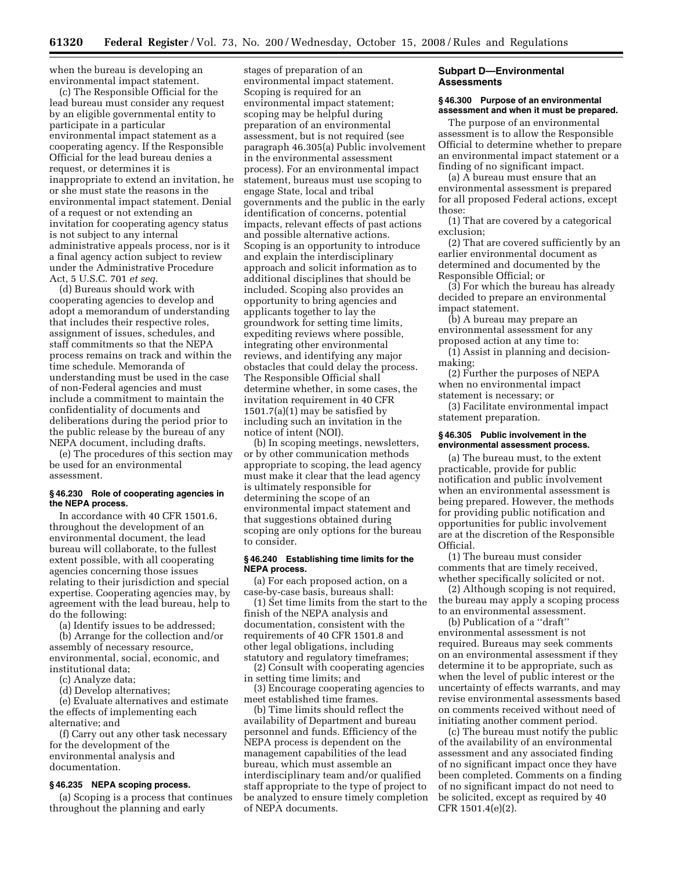when the bureau is developing an environmental impact statement.

(c) The Responsible Official for the lead bureau must consider any request by an eligible governmental entity to participate in a particular environmental impact statement as a cooperating agency. If the Responsible Official for the lead bureau denies a request, or determines it is inappropriate to extend an invitation, he or she must state the reasons in the environmental impact statement. Denial of a request or not extending an invitation for cooperating agency status is not subject to any internal administrative appeals process, nor is it a final agency action subject to review under the Administrative Procedure Act, 5 U.S.C. 701 *et seq.* 

(d) Bureaus should work with cooperating agencies to develop and adopt a memorandum of understanding that includes their respective roles, assignment of issues, schedules, and staff commitments so that the NEPA process remains on track and within the time schedule. Memoranda of understanding must be used in the case of non-Federal agencies and must include a commitment to maintain the confidentiality of documents and deliberations during the period prior to the public release by the bureau of any NEPA document, including drafts.

(e) The procedures of this section may be used for an environmental assessment.

#### **§ 46.230 Role of cooperating agencies in the NEPA process.**

In accordance with 40 CFR 1501.6, throughout the development of an environmental document, the lead bureau will collaborate, to the fullest extent possible, with all cooperating agencies concerning those issues relating to their jurisdiction and special expertise. Cooperating agencies may, by agreement with the lead bureau, help to do the following:

(a) Identify issues to be addressed;

(b) Arrange for the collection and/or assembly of necessary resource, environmental, social, economic, and institutional data;

(c) Analyze data;

(d) Develop alternatives;

(e) Evaluate alternatives and estimate the effects of implementing each alternative; and

(f) Carry out any other task necessary for the development of the environmental analysis and documentation.

#### **§ 46.235 NEPA scoping process.**

(a) Scoping is a process that continues throughout the planning and early

stages of preparation of an environmental impact statement. Scoping is required for an environmental impact statement; scoping may be helpful during preparation of an environmental assessment, but is not required (see paragraph 46.305(a) Public involvement in the environmental assessment process). For an environmental impact statement, bureaus must use scoping to engage State, local and tribal governments and the public in the early identification of concerns, potential impacts, relevant effects of past actions and possible alternative actions. Scoping is an opportunity to introduce and explain the interdisciplinary approach and solicit information as to additional disciplines that should be included. Scoping also provides an opportunity to bring agencies and applicants together to lay the groundwork for setting time limits, expediting reviews where possible, integrating other environmental reviews, and identifying any major obstacles that could delay the process. The Responsible Official shall determine whether, in some cases, the invitation requirement in 40 CFR 1501.7(a)(1) may be satisfied by including such an invitation in the notice of intent (NOI).

(b) In scoping meetings, newsletters, or by other communication methods appropriate to scoping, the lead agency must make it clear that the lead agency is ultimately responsible for determining the scope of an environmental impact statement and that suggestions obtained during scoping are only options for the bureau to consider.

#### **§ 46.240 Establishing time limits for the NEPA process.**

(a) For each proposed action, on a case-by-case basis, bureaus shall:

(1) Set time limits from the start to the finish of the NEPA analysis and documentation, consistent with the requirements of 40 CFR 1501.8 and other legal obligations, including statutory and regulatory timeframes;

(2) Consult with cooperating agencies in setting time limits; and

(3) Encourage cooperating agencies to meet established time frames.

(b) Time limits should reflect the availability of Department and bureau personnel and funds. Efficiency of the NEPA process is dependent on the management capabilities of the lead bureau, which must assemble an interdisciplinary team and/or qualified staff appropriate to the type of project to be analyzed to ensure timely completion of NEPA documents.

#### **Subpart D—Environmental Assessments**

#### **§ 46.300 Purpose of an environmental assessment and when it must be prepared.**

The purpose of an environmental assessment is to allow the Responsible Official to determine whether to prepare an environmental impact statement or a finding of no significant impact.

(a) A bureau must ensure that an environmental assessment is prepared for all proposed Federal actions, except those:

(1) That are covered by a categorical exclusion;

(2) That are covered sufficiently by an earlier environmental document as determined and documented by the Responsible Official; or

(3) For which the bureau has already decided to prepare an environmental impact statement.

(b) A bureau may prepare an environmental assessment for any proposed action at any time to:

(1) Assist in planning and decisionmaking;

(2) Further the purposes of NEPA when no environmental impact statement is necessary; or

(3) Facilitate environmental impact statement preparation.

#### **§ 46.305 Public involvement in the environmental assessment process.**

(a) The bureau must, to the extent practicable, provide for public notification and public involvement when an environmental assessment is being prepared. However, the methods for providing public notification and opportunities for public involvement are at the discretion of the Responsible Official.

(1) The bureau must consider comments that are timely received, whether specifically solicited or not.

(2) Although scoping is not required, the bureau may apply a scoping process to an environmental assessment.

(b) Publication of a ''draft'' environmental assessment is not required. Bureaus may seek comments on an environmental assessment if they determine it to be appropriate, such as when the level of public interest or the uncertainty of effects warrants, and may revise environmental assessments based on comments received without need of initiating another comment period.

(c) The bureau must notify the public of the availability of an environmental assessment and any associated finding of no significant impact once they have been completed. Comments on a finding of no significant impact do not need to be solicited, except as required by 40 CFR 1501.4(e)(2).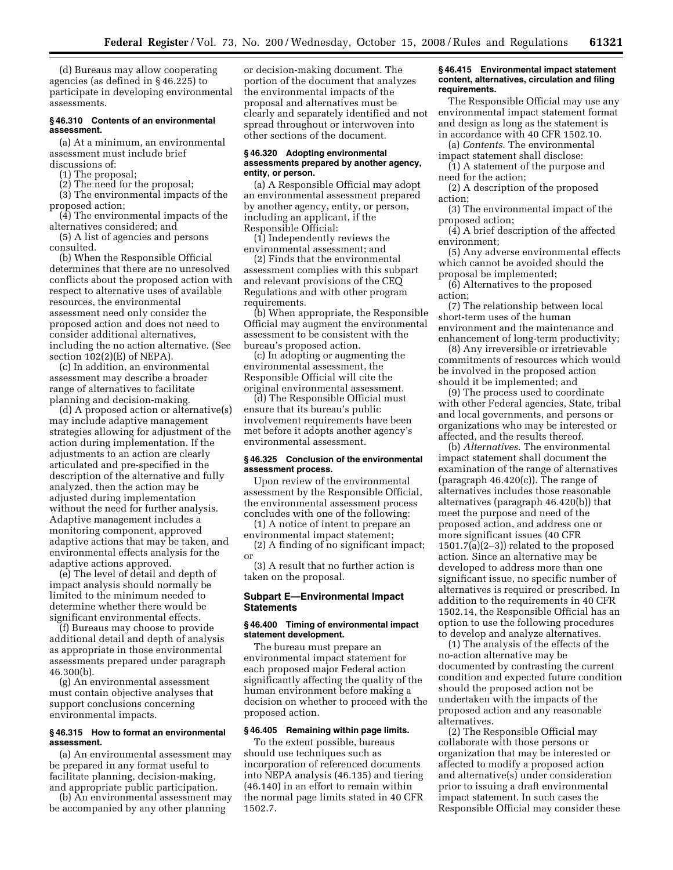(d) Bureaus may allow cooperating agencies (as defined in § 46.225) to participate in developing environmental assessments.

#### **§ 46.310 Contents of an environmental assessment.**

(a) At a minimum, an environmental assessment must include brief discussions of:

(1) The proposal;

(2) The need for the proposal;

(3) The environmental impacts of the proposed action;

(4) The environmental impacts of the alternatives considered; and

(5) A list of agencies and persons consulted.

(b) When the Responsible Official determines that there are no unresolved conflicts about the proposed action with respect to alternative uses of available resources, the environmental assessment need only consider the proposed action and does not need to consider additional alternatives, including the no action alternative. (See section  $102(2)$ (E) of NEPA).

(c) In addition, an environmental assessment may describe a broader range of alternatives to facilitate planning and decision-making.

(d) A proposed action or alternative(s) may include adaptive management strategies allowing for adjustment of the action during implementation. If the adjustments to an action are clearly articulated and pre-specified in the description of the alternative and fully analyzed, then the action may be adjusted during implementation without the need for further analysis. Adaptive management includes a monitoring component, approved adaptive actions that may be taken, and environmental effects analysis for the adaptive actions approved.

(e) The level of detail and depth of impact analysis should normally be limited to the minimum needed to determine whether there would be significant environmental effects.

(f) Bureaus may choose to provide additional detail and depth of analysis as appropriate in those environmental assessments prepared under paragraph 46.300(b).

(g) An environmental assessment must contain objective analyses that support conclusions concerning environmental impacts.

#### **§ 46.315 How to format an environmental assessment.**

(a) An environmental assessment may be prepared in any format useful to facilitate planning, decision-making, and appropriate public participation.

(b) An environmental assessment may be accompanied by any other planning

or decision-making document. The portion of the document that analyzes the environmental impacts of the proposal and alternatives must be clearly and separately identified and not spread throughout or interwoven into other sections of the document.

#### **§ 46.320 Adopting environmental assessments prepared by another agency, entity, or person.**

(a) A Responsible Official may adopt an environmental assessment prepared by another agency, entity, or person, including an applicant, if the Responsible Official:

(1) Independently reviews the environmental assessment; and

(2) Finds that the environmental assessment complies with this subpart and relevant provisions of the CEQ Regulations and with other program requirements.

(b) When appropriate, the Responsible Official may augment the environmental assessment to be consistent with the bureau's proposed action.

(c) In adopting or augmenting the environmental assessment, the Responsible Official will cite the original environmental assessment.

(d) The Responsible Official must ensure that its bureau's public involvement requirements have been met before it adopts another agency's environmental assessment.

#### **§ 46.325 Conclusion of the environmental assessment process.**

Upon review of the environmental assessment by the Responsible Official, the environmental assessment process concludes with one of the following:

(1) A notice of intent to prepare an environmental impact statement;

(2) A finding of no significant impact; or

(3) A result that no further action is taken on the proposal.

#### **Subpart E—Environmental Impact Statements**

#### **§ 46.400 Timing of environmental impact statement development.**

The bureau must prepare an environmental impact statement for each proposed major Federal action significantly affecting the quality of the human environment before making a decision on whether to proceed with the proposed action.

#### **§ 46.405 Remaining within page limits.**

To the extent possible, bureaus should use techniques such as incorporation of referenced documents into NEPA analysis (46.135) and tiering (46.140) in an effort to remain within the normal page limits stated in 40 CFR 1502.7.

#### **§ 46.415 Environmental impact statement content, alternatives, circulation and filing requirements.**

The Responsible Official may use any environmental impact statement format and design as long as the statement is in accordance with 40 CFR 1502.10.

(a) *Contents*. The environmental impact statement shall disclose:

(1) A statement of the purpose and need for the action;

(2) A description of the proposed action;

(3) The environmental impact of the proposed action;

(4) A brief description of the affected environment;

(5) Any adverse environmental effects which cannot be avoided should the proposal be implemented;

(6) Alternatives to the proposed action;

(7) The relationship between local short-term uses of the human environment and the maintenance and enhancement of long-term productivity;

(8) Any irreversible or irretrievable commitments of resources which would be involved in the proposed action should it be implemented; and

(9) The process used to coordinate with other Federal agencies, State, tribal and local governments, and persons or organizations who may be interested or affected, and the results thereof.

(b) *Alternatives*. The environmental impact statement shall document the examination of the range of alternatives (paragraph  $46.420(c)$ ). The range of alternatives includes those reasonable alternatives (paragraph 46.420(b)) that meet the purpose and need of the proposed action, and address one or more significant issues (40 CFR 1501.7(a)(2–3)) related to the proposed action. Since an alternative may be developed to address more than one significant issue, no specific number of alternatives is required or prescribed. In addition to the requirements in 40 CFR 1502.14, the Responsible Official has an option to use the following procedures to develop and analyze alternatives.

(1) The analysis of the effects of the no-action alternative may be documented by contrasting the current condition and expected future condition should the proposed action not be undertaken with the impacts of the proposed action and any reasonable alternatives.

(2) The Responsible Official may collaborate with those persons or organization that may be interested or affected to modify a proposed action and alternative(s) under consideration prior to issuing a draft environmental impact statement. In such cases the Responsible Official may consider these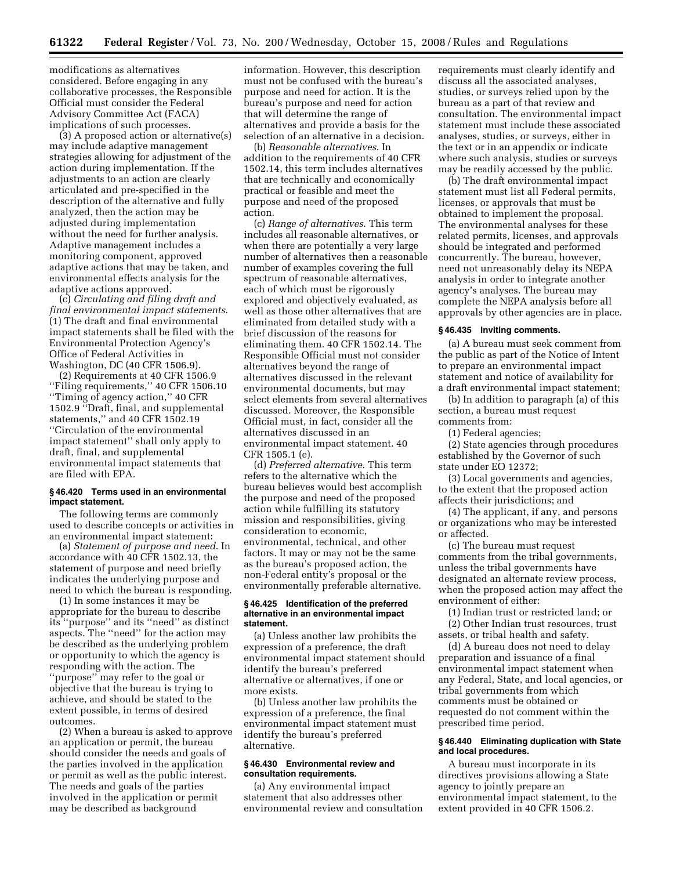modifications as alternatives considered. Before engaging in any collaborative processes, the Responsible Official must consider the Federal Advisory Committee Act (FACA) implications of such processes.

(3) A proposed action or alternative(s) may include adaptive management strategies allowing for adjustment of the action during implementation. If the adjustments to an action are clearly articulated and pre-specified in the description of the alternative and fully analyzed, then the action may be adjusted during implementation without the need for further analysis. Adaptive management includes a monitoring component, approved adaptive actions that may be taken, and environmental effects analysis for the adaptive actions approved.

(c) *Circulating and filing draft and final environmental impact statements*. (1) The draft and final environmental impact statements shall be filed with the Environmental Protection Agency's Office of Federal Activities in Washington, DC (40 CFR 1506.9).

(2) Requirements at 40 CFR 1506.9 ''Filing requirements,'' 40 CFR 1506.10 ''Timing of agency action,'' 40 CFR 1502.9 ''Draft, final, and supplemental statements,'' and 40 CFR 1502.19 ''Circulation of the environmental impact statement'' shall only apply to draft, final, and supplemental environmental impact statements that are filed with EPA.

#### **§ 46.420 Terms used in an environmental impact statement.**

The following terms are commonly used to describe concepts or activities in an environmental impact statement:

(a) *Statement of purpose and need*. In accordance with 40 CFR 1502.13, the statement of purpose and need briefly indicates the underlying purpose and need to which the bureau is responding.

(1) In some instances it may be appropriate for the bureau to describe its ''purpose'' and its ''need'' as distinct aspects. The ''need'' for the action may be described as the underlying problem or opportunity to which the agency is responding with the action. The ''purpose'' may refer to the goal or objective that the bureau is trying to achieve, and should be stated to the extent possible, in terms of desired outcomes.

(2) When a bureau is asked to approve an application or permit, the bureau should consider the needs and goals of the parties involved in the application or permit as well as the public interest. The needs and goals of the parties involved in the application or permit may be described as background

information. However, this description must not be confused with the bureau's purpose and need for action. It is the bureau's purpose and need for action that will determine the range of alternatives and provide a basis for the selection of an alternative in a decision.

(b) *Reasonable alternatives*. In addition to the requirements of 40 CFR 1502.14, this term includes alternatives that are technically and economically practical or feasible and meet the purpose and need of the proposed action.

(c) *Range of alternatives*. This term includes all reasonable alternatives, or when there are potentially a very large number of alternatives then a reasonable number of examples covering the full spectrum of reasonable alternatives, each of which must be rigorously explored and objectively evaluated, as well as those other alternatives that are eliminated from detailed study with a brief discussion of the reasons for eliminating them. 40 CFR 1502.14. The Responsible Official must not consider alternatives beyond the range of alternatives discussed in the relevant environmental documents, but may select elements from several alternatives discussed. Moreover, the Responsible Official must, in fact, consider all the alternatives discussed in an environmental impact statement. 40 CFR 1505.1 (e).

(d) *Preferred alternative*. This term refers to the alternative which the bureau believes would best accomplish the purpose and need of the proposed action while fulfilling its statutory mission and responsibilities, giving consideration to economic, environmental, technical, and other factors. It may or may not be the same as the bureau's proposed action, the non-Federal entity's proposal or the environmentally preferable alternative.

#### **§ 46.425 Identification of the preferred alternative in an environmental impact statement.**

(a) Unless another law prohibits the expression of a preference, the draft environmental impact statement should identify the bureau's preferred alternative or alternatives, if one or more exists.

(b) Unless another law prohibits the expression of a preference, the final environmental impact statement must identify the bureau's preferred alternative.

#### **§ 46.430 Environmental review and consultation requirements.**

(a) Any environmental impact statement that also addresses other environmental review and consultation requirements must clearly identify and discuss all the associated analyses, studies, or surveys relied upon by the bureau as a part of that review and consultation. The environmental impact statement must include these associated analyses, studies, or surveys, either in the text or in an appendix or indicate where such analysis, studies or surveys may be readily accessed by the public.

(b) The draft environmental impact statement must list all Federal permits, licenses, or approvals that must be obtained to implement the proposal. The environmental analyses for these related permits, licenses, and approvals should be integrated and performed concurrently. The bureau, however, need not unreasonably delay its NEPA analysis in order to integrate another agency's analyses. The bureau may complete the NEPA analysis before all approvals by other agencies are in place.

#### **§ 46.435 Inviting comments.**

(a) A bureau must seek comment from the public as part of the Notice of Intent to prepare an environmental impact statement and notice of availability for a draft environmental impact statement;

(b) In addition to paragraph (a) of this section, a bureau must request comments from:

(1) Federal agencies;

(2) State agencies through procedures established by the Governor of such state under EO 12372;

(3) Local governments and agencies, to the extent that the proposed action affects their jurisdictions; and

(4) The applicant, if any, and persons or organizations who may be interested or affected.

(c) The bureau must request comments from the tribal governments, unless the tribal governments have designated an alternate review process, when the proposed action may affect the environment of either:

(1) Indian trust or restricted land; or (2) Other Indian trust resources, trust assets, or tribal health and safety.

(d) A bureau does not need to delay preparation and issuance of a final environmental impact statement when any Federal, State, and local agencies, or tribal governments from which comments must be obtained or requested do not comment within the prescribed time period.

#### **§ 46.440 Eliminating duplication with State and local procedures.**

A bureau must incorporate in its directives provisions allowing a State agency to jointly prepare an environmental impact statement, to the extent provided in 40 CFR 1506.2.